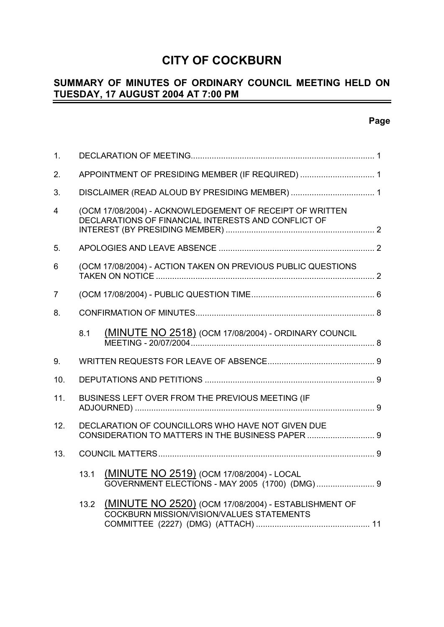# **CITY OF COCKBURN**

#### **SUMMARY OF MINUTES OF ORDINARY COUNCIL MEETING HELD ON TUESDAY, 17 AUGUST 2004 AT 7:00 PM** -

### **Page**

| 1.             |                                                                                                                 |                                                                                                          |  |  |
|----------------|-----------------------------------------------------------------------------------------------------------------|----------------------------------------------------------------------------------------------------------|--|--|
| 2.             | APPOINTMENT OF PRESIDING MEMBER (IF REQUIRED)  1                                                                |                                                                                                          |  |  |
| 3.             |                                                                                                                 |                                                                                                          |  |  |
| $\overline{4}$ | (OCM 17/08/2004) - ACKNOWLEDGEMENT OF RECEIPT OF WRITTEN<br>DECLARATIONS OF FINANCIAL INTERESTS AND CONFLICT OF |                                                                                                          |  |  |
| 5.             |                                                                                                                 |                                                                                                          |  |  |
| 6              |                                                                                                                 | (OCM 17/08/2004) - ACTION TAKEN ON PREVIOUS PUBLIC QUESTIONS                                             |  |  |
| $\overline{7}$ |                                                                                                                 |                                                                                                          |  |  |
| 8.             |                                                                                                                 |                                                                                                          |  |  |
|                | 8.1                                                                                                             | <b>(MINUTE NO 2518)</b> (OCM 17/08/2004) - ORDINARY COUNCIL                                              |  |  |
| 9.             |                                                                                                                 |                                                                                                          |  |  |
| 10.            |                                                                                                                 |                                                                                                          |  |  |
| 11.            |                                                                                                                 | BUSINESS LEFT OVER FROM THE PREVIOUS MEETING (IF                                                         |  |  |
| 12.            |                                                                                                                 | DECLARATION OF COUNCILLORS WHO HAVE NOT GIVEN DUE<br>CONSIDERATION TO MATTERS IN THE BUSINESS PAPER  9   |  |  |
| 13.            |                                                                                                                 |                                                                                                          |  |  |
|                | 13.1                                                                                                            | (MINUTE NO 2519) (OCM 17/08/2004) - LOCAL                                                                |  |  |
|                | 13.2                                                                                                            | (MINUTE NO 2520) (OCM 17/08/2004) - ESTABLISHMENT OF<br><b>COCKBURN MISSION/VISION/VALUES STATEMENTS</b> |  |  |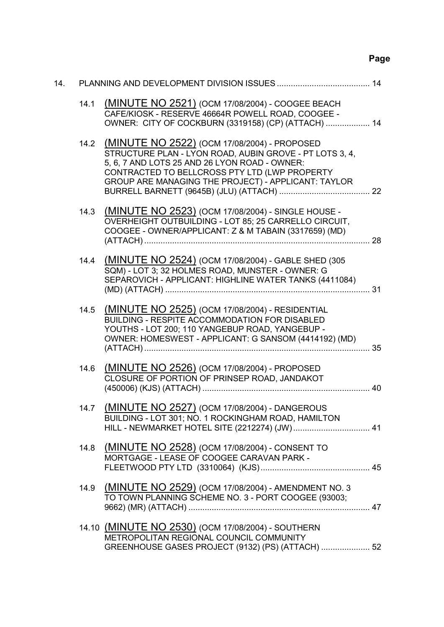# **Page**

| 14. |      |                                                                                                                                                                                                                                                                       |  |
|-----|------|-----------------------------------------------------------------------------------------------------------------------------------------------------------------------------------------------------------------------------------------------------------------------|--|
|     | 14.1 | (MINUTE NO 2521) (OCM 17/08/2004) - COOGEE BEACH<br>CAFE/KIOSK - RESERVE 46664R POWELL ROAD, COOGEE -<br>OWNER: CITY OF COCKBURN (3319158) (CP) (ATTACH)  14                                                                                                          |  |
|     |      | 14.2 (MINUTE NO 2522) (OCM 17/08/2004) - PROPOSED<br>STRUCTURE PLAN - LYON ROAD, AUBIN GROVE - PT LOTS 3, 4,<br>5, 6, 7 AND LOTS 25 AND 26 LYON ROAD - OWNER:<br>CONTRACTED TO BELLCROSS PTY LTD (LWP PROPERTY<br>GROUP ARE MANAGING THE PROJECT) - APPLICANT: TAYLOR |  |
|     | 14.3 | (MINUTE NO 2523) (OCM 17/08/2004) - SINGLE HOUSE -<br>OVERHEIGHT OUTBUILDING - LOT 85; 25 CARRELLO CIRCUIT,<br>COOGEE - OWNER/APPLICANT: Z & M TABAIN (3317659) (MD)                                                                                                  |  |
|     | 14.4 | (MINUTE NO 2524) (OCM 17/08/2004) - GABLE SHED (305<br>SQM) - LOT 3; 32 HOLMES ROAD, MUNSTER - OWNER: G<br>SEPAROVICH - APPLICANT: HIGHLINE WATER TANKS (4411084)                                                                                                     |  |
|     | 14.5 | (MINUTE NO 2525) (OCM 17/08/2004) - RESIDENTIAL<br>BUILDING - RESPITE ACCOMMODATION FOR DISABLED<br>YOUTHS - LOT 200; 110 YANGEBUP ROAD, YANGEBUP -<br>OWNER: HOMESWEST - APPLICANT: G SANSOM (4414192) (MD)<br>35                                                    |  |
|     | 14.6 | (MINUTE NO 2526) (OCM 17/08/2004) - PROPOSED<br>CLOSURE OF PORTION OF PRINSEP ROAD, JANDAKOT                                                                                                                                                                          |  |
|     | 14.7 | (MINUTE NO 2527) (OCM 17/08/2004) - DANGEROUS<br>BUILDING - LOT 301; NO. 1 ROCKINGHAM ROAD, HAMILTON<br>HILL - NEWMARKET HOTEL SITE (2212274) (JW) 41                                                                                                                 |  |
|     | 14.8 | (MINUTE NO 2528) (OCM 17/08/2004) - CONSENT TO<br>MORTGAGE - LEASE OF COOGEE CARAVAN PARK -                                                                                                                                                                           |  |
|     |      | 14.9 (MINUTE NO 2529) (OCM 17/08/2004) - AMENDMENT NO. 3<br>TO TOWN PLANNING SCHEME NO. 3 - PORT COOGEE (93003;                                                                                                                                                       |  |
|     |      | 14.10 (MINUTE NO 2530) (OCM 17/08/2004) - SOUTHERN<br>METROPOLITAN REGIONAL COUNCIL COMMUNITY<br>GREENHOUSE GASES PROJECT (9132) (PS) (ATTACH)  52                                                                                                                    |  |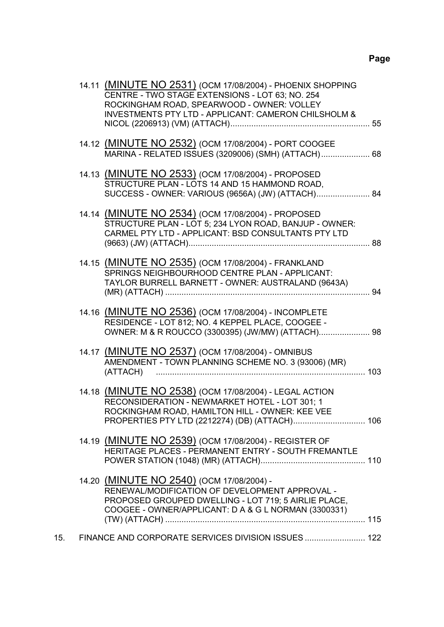|     | 14.11 (MINUTE NO 2531) (OCM 17/08/2004) - PHOENIX SHOPPING<br>CENTRE - TWO STAGE EXTENSIONS - LOT 63; NO. 254<br>ROCKINGHAM ROAD, SPEARWOOD - OWNER: VOLLEY<br><b>INVESTMENTS PTY LTD - APPLICANT: CAMERON CHILSHOLM &amp;</b> |  |
|-----|--------------------------------------------------------------------------------------------------------------------------------------------------------------------------------------------------------------------------------|--|
|     | 14.12 (MINUTE NO 2532) (OCM 17/08/2004) - PORT COOGEE<br>MARINA - RELATED ISSUES (3209006) (SMH) (ATTACH) 68                                                                                                                   |  |
|     | 14.13 (MINUTE NO 2533) (OCM 17/08/2004) - PROPOSED<br>STRUCTURE PLAN - LOTS 14 AND 15 HAMMOND ROAD,<br>SUCCESS - OWNER: VARIOUS (9656A) (JW) (ATTACH) 84                                                                       |  |
|     | 14.14 (MINUTE NO 2534) (OCM 17/08/2004) - PROPOSED<br>STRUCTURE PLAN - LOT 5; 234 LYON ROAD, BANJUP - OWNER:<br>CARMEL PTY LTD - APPLICANT: BSD CONSULTANTS PTY LTD                                                            |  |
|     | 14.15 (MINUTE NO 2535) (OCM 17/08/2004) - FRANKLAND<br>SPRINGS NEIGHBOURHOOD CENTRE PLAN - APPLICANT:<br>TAYLOR BURRELL BARNETT - OWNER: AUSTRALAND (9643A)                                                                    |  |
|     | 14.16 (MINUTE NO 2536) (OCM 17/08/2004) - INCOMPLETE<br>RESIDENCE - LOT 812; NO. 4 KEPPEL PLACE, COOGEE -<br>OWNER: M & R ROUCCO (3300395) (JW/MW) (ATTACH) 98                                                                 |  |
|     | 14.17 (MINUTE NO 2537) (OCM 17/08/2004) - OMNIBUS<br>AMENDMENT - TOWN PLANNING SCHEME NO. 3 (93006) (MR)                                                                                                                       |  |
|     | 14.18 (MINUTE NO 2538) (OCM 17/08/2004) - LEGAL ACTION<br>RECONSIDERATION - NEWMARKET HOTEL - LOT 301; 1<br>ROCKINGHAM ROAD, HAMILTON HILL - OWNER: KEE VEE                                                                    |  |
|     | 14.19 (MINUTE NO 2539) (OCM 17/08/2004) - REGISTER OF<br>HERITAGE PLACES - PERMANENT ENTRY - SOUTH FREMANTLE                                                                                                                   |  |
|     | 14.20 (MINUTE NO 2540) (OCM 17/08/2004) -<br>RENEWAL/MODIFICATION OF DEVELOPMENT APPROVAL -<br>PROPOSED GROUPED DWELLING - LOT 719; 5 AIRLIE PLACE,<br>COOGEE - OWNER/APPLICANT: D A & G L NORMAN (3300331)                    |  |
| 15. | FINANCE AND CORPORATE SERVICES DIVISION ISSUES  122                                                                                                                                                                            |  |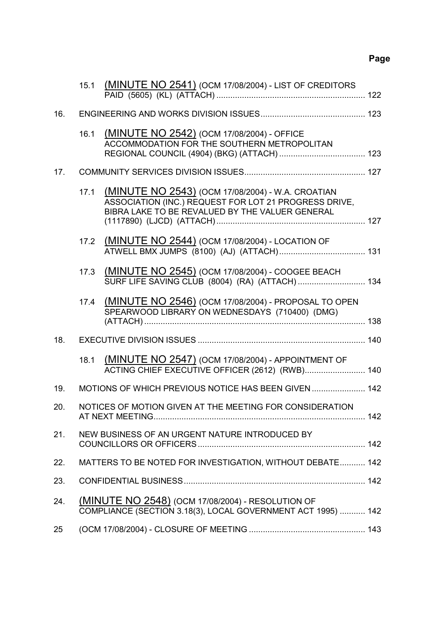# **Page**

|     | 15.1 | (MINUTE NO 2541) (OCM 17/08/2004) - LIST OF CREDITORS                                                                                                         |  |
|-----|------|---------------------------------------------------------------------------------------------------------------------------------------------------------------|--|
| 16. |      |                                                                                                                                                               |  |
|     |      |                                                                                                                                                               |  |
|     | 16.1 | (MINUTE NO 2542) (OCM 17/08/2004) - OFFICE<br>ACCOMMODATION FOR THE SOUTHERN METROPOLITAN                                                                     |  |
| 17. |      |                                                                                                                                                               |  |
|     | 17.1 | (MINUTE NO 2543) (OCM 17/08/2004) - W.A. CROATIAN<br>ASSOCIATION (INC.) REQUEST FOR LOT 21 PROGRESS DRIVE,<br>BIBRA LAKE TO BE REVALUED BY THE VALUER GENERAL |  |
|     | 17.2 | (MINUTE NO 2544) (OCM 17/08/2004) - LOCATION OF                                                                                                               |  |
|     | 17.3 | (MINUTE NO 2545) (OCM 17/08/2004) - COOGEE BEACH<br>SURF LIFE SAVING CLUB (8004) (RA) (ATTACH)  134                                                           |  |
|     | 17.4 | (MINUTE NO 2546) (OCM 17/08/2004) - PROPOSAL TO OPEN<br>SPEARWOOD LIBRARY ON WEDNESDAYS (710400) (DMG)                                                        |  |
| 18. |      |                                                                                                                                                               |  |
|     | 18.1 | (MINUTE NO 2547) (OCM 17/08/2004) - APPOINTMENT OF<br>ACTING CHIEF EXECUTIVE OFFICER (2612) (RWB) 140                                                         |  |
| 19. |      | MOTIONS OF WHICH PREVIOUS NOTICE HAS BEEN GIVEN  142                                                                                                          |  |
| 20. |      | NOTICES OF MOTION GIVEN AT THE MEETING FOR CONSIDERATION                                                                                                      |  |
| 21. |      | NEW BUSINESS OF AN URGENT NATURE INTRODUCED BY                                                                                                                |  |
| 22. |      | MATTERS TO BE NOTED FOR INVESTIGATION, WITHOUT DEBATE 142                                                                                                     |  |
| 23. |      |                                                                                                                                                               |  |
| 24. |      | (MINUTE NO 2548) (OCM 17/08/2004) - RESOLUTION OF<br>COMPLIANCE (SECTION 3.18(3), LOCAL GOVERNMENT ACT 1995)  142                                             |  |
| 25  |      |                                                                                                                                                               |  |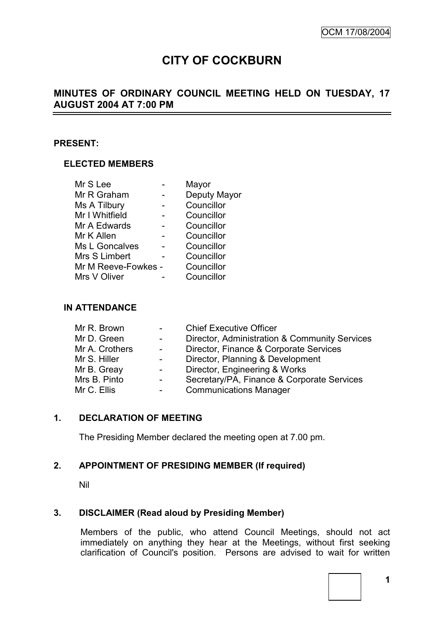# **CITY OF COCKBURN**

### **MINUTES OF ORDINARY COUNCIL MEETING HELD ON TUESDAY, 17 AUGUST 2004 AT 7:00 PM**

#### **PRESENT:**

#### **ELECTED MEMBERS**

|                     | Mayor        |
|---------------------|--------------|
|                     | Deputy Mayor |
|                     | Councillor   |
|                     | Councillor   |
|                     | Councillor   |
|                     | Councillor   |
|                     | Councillor   |
|                     | Councillor   |
| Mr M Reeve-Fowkes - | Councillor   |
|                     | Councillor   |
|                     |              |

#### **IN ATTENDANCE**

| Mr R. Brown    | $\sim$ 100 $\mu$         | <b>Chief Executive Officer</b>                |
|----------------|--------------------------|-----------------------------------------------|
| Mr D. Green    | $\sim$ 10 $\pm$          | Director, Administration & Community Services |
| Mr A. Crothers | $\overline{\phantom{0}}$ | Director, Finance & Corporate Services        |
| Mr S. Hiller   |                          | Director, Planning & Development              |
| Mr B. Greay    |                          | Director, Engineering & Works                 |
| Mrs B. Pinto   | $\sim$                   | Secretary/PA, Finance & Corporate Services    |
| Mr C. Ellis    | $\sim$ $-$               | <b>Communications Manager</b>                 |

#### **1. DECLARATION OF MEETING**

The Presiding Member declared the meeting open at 7.00 pm.

#### **2. APPOINTMENT OF PRESIDING MEMBER (If required)**

Nil

#### **3. DISCLAIMER (Read aloud by Presiding Member)**

Members of the public, who attend Council Meetings, should not act immediately on anything they hear at the Meetings, without first seeking clarification of Council's position. Persons are advised to wait for written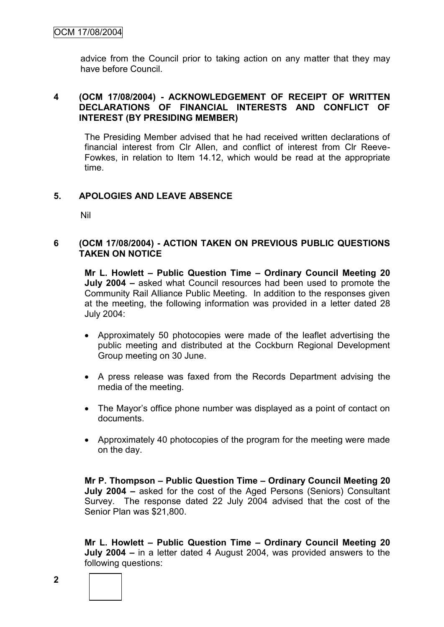advice from the Council prior to taking action on any matter that they may have before Council.

#### **4 (OCM 17/08/2004) - ACKNOWLEDGEMENT OF RECEIPT OF WRITTEN DECLARATIONS OF FINANCIAL INTERESTS AND CONFLICT OF INTEREST (BY PRESIDING MEMBER)**

The Presiding Member advised that he had received written declarations of financial interest from Clr Allen, and conflict of interest from Clr Reeve-Fowkes, in relation to Item 14.12, which would be read at the appropriate time.

#### **5. APOLOGIES AND LEAVE ABSENCE**

Nil

#### **6 (OCM 17/08/2004) - ACTION TAKEN ON PREVIOUS PUBLIC QUESTIONS TAKEN ON NOTICE**

**Mr L. Howlett – Public Question Time – Ordinary Council Meeting 20 July 2004 –** asked what Council resources had been used to promote the Community Rail Alliance Public Meeting. In addition to the responses given at the meeting, the following information was provided in a letter dated 28 July 2004:

- Approximately 50 photocopies were made of the leaflet advertising the public meeting and distributed at the Cockburn Regional Development Group meeting on 30 June.
- A press release was faxed from the Records Department advising the media of the meeting.
- The Mayor's office phone number was displayed as a point of contact on documents.
- Approximately 40 photocopies of the program for the meeting were made on the day.

**Mr P. Thompson – Public Question Time – Ordinary Council Meeting 20 July 2004 –** asked for the cost of the Aged Persons (Seniors) Consultant Survey. The response dated 22 July 2004 advised that the cost of the Senior Plan was \$21,800.

**Mr L. Howlett – Public Question Time – Ordinary Council Meeting 20 July 2004 –** in a letter dated 4 August 2004, was provided answers to the following questions:

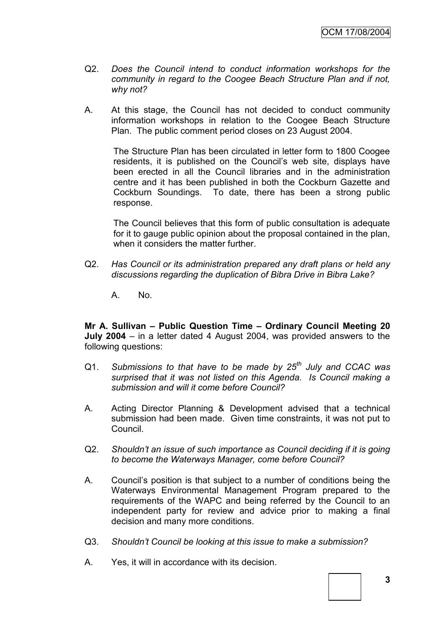- Q2. *Does the Council intend to conduct information workshops for the community in regard to the Coogee Beach Structure Plan and if not, why not?*
- A. At this stage, the Council has not decided to conduct community information workshops in relation to the Coogee Beach Structure Plan. The public comment period closes on 23 August 2004.

The Structure Plan has been circulated in letter form to 1800 Coogee residents, it is published on the Council"s web site, displays have been erected in all the Council libraries and in the administration centre and it has been published in both the Cockburn Gazette and Cockburn Soundings. To date, there has been a strong public response.

The Council believes that this form of public consultation is adequate for it to gauge public opinion about the proposal contained in the plan, when it considers the matter further.

- Q2. *Has Council or its administration prepared any draft plans or held any discussions regarding the duplication of Bibra Drive in Bibra Lake?*
	- A. No.

**Mr A. Sullivan – Public Question Time – Ordinary Council Meeting 20 July 2004** – in a letter dated 4 August 2004, was provided answers to the following questions:

- Q1. *Submissions to that have to be made by 25th July and CCAC was surprised that it was not listed on this Agenda. Is Council making a submission and will it come before Council?*
- A. Acting Director Planning & Development advised that a technical submission had been made. Given time constraints, it was not put to Council.
- Q2. *Shouldn"t an issue of such importance as Council deciding if it is going to become the Waterways Manager, come before Council?*
- A. Council"s position is that subject to a number of conditions being the Waterways Environmental Management Program prepared to the requirements of the WAPC and being referred by the Council to an independent party for review and advice prior to making a final decision and many more conditions.
- Q3. *Shouldn"t Council be looking at this issue to make a submission?*
- A. Yes, it will in accordance with its decision.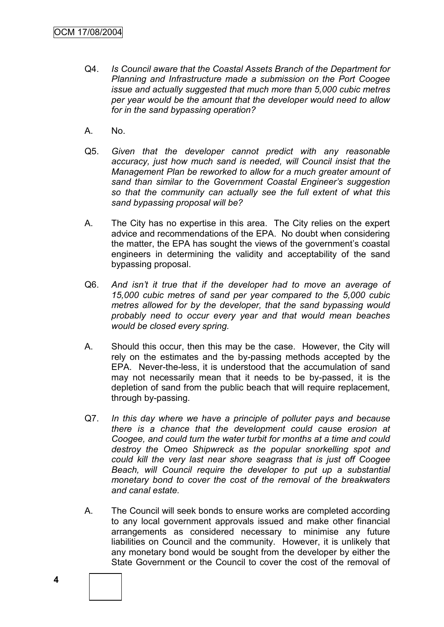- Q4. *Is Council aware that the Coastal Assets Branch of the Department for Planning and Infrastructure made a submission on the Port Coogee issue and actually suggested that much more than 5,000 cubic metres per year would be the amount that the developer would need to allow for in the sand bypassing operation?*
- A. No.
- Q5. *Given that the developer cannot predict with any reasonable accuracy, just how much sand is needed, will Council insist that the Management Plan be reworked to allow for a much greater amount of sand than similar to the Government Coastal Engineer"s suggestion so that the community can actually see the full extent of what this sand bypassing proposal will be?*
- A. The City has no expertise in this area. The City relies on the expert advice and recommendations of the EPA. No doubt when considering the matter, the EPA has sought the views of the government's coastal engineers in determining the validity and acceptability of the sand bypassing proposal.
- Q6. *And isn"t it true that if the developer had to move an average of 15,000 cubic metres of sand per year compared to the 5,000 cubic metres allowed for by the developer, that the sand bypassing would probably need to occur every year and that would mean beaches would be closed every spring.*
- A. Should this occur, then this may be the case. However, the City will rely on the estimates and the by-passing methods accepted by the EPA. Never-the-less, it is understood that the accumulation of sand may not necessarily mean that it needs to be by-passed, it is the depletion of sand from the public beach that will require replacement, through by-passing.
- Q7. *In this day where we have a principle of polluter pays and because there is a chance that the development could cause erosion at Coogee, and could turn the water turbit for months at a time and could destroy the Omeo Shipwreck as the popular snorkelling spot and could kill the very last near shore seagrass that is just off Coogee Beach, will Council require the developer to put up a substantial monetary bond to cover the cost of the removal of the breakwaters and canal estate.*
- A. The Council will seek bonds to ensure works are completed according to any local government approvals issued and make other financial arrangements as considered necessary to minimise any future liabilities on Council and the community. However, it is unlikely that any monetary bond would be sought from the developer by either the State Government or the Council to cover the cost of the removal of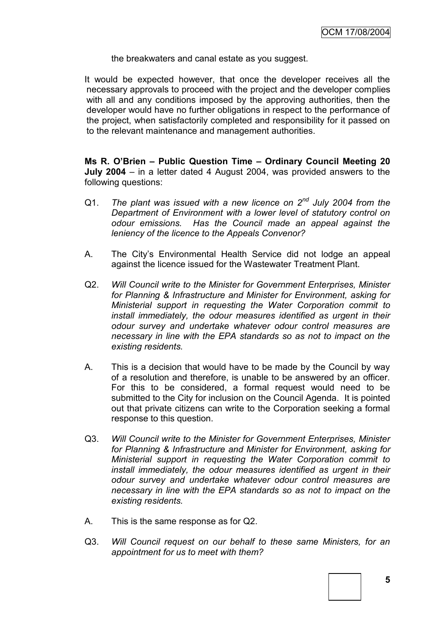the breakwaters and canal estate as you suggest.

It would be expected however, that once the developer receives all the necessary approvals to proceed with the project and the developer complies with all and any conditions imposed by the approving authorities, then the developer would have no further obligations in respect to the performance of the project, when satisfactorily completed and responsibility for it passed on to the relevant maintenance and management authorities.

**Ms R. O'Brien – Public Question Time – Ordinary Council Meeting 20 July 2004** – in a letter dated 4 August 2004, was provided answers to the following questions:

- Q1. *The plant was issued with a new licence on 2nd July 2004 from the Department of Environment with a lower level of statutory control on odour emissions. Has the Council made an appeal against the leniency of the licence to the Appeals Convenor?*
- A. The City"s Environmental Health Service did not lodge an appeal against the licence issued for the Wastewater Treatment Plant.
- Q2. *Will Council write to the Minister for Government Enterprises, Minister for Planning & Infrastructure and Minister for Environment, asking for Ministerial support in requesting the Water Corporation commit to install immediately, the odour measures identified as urgent in their odour survey and undertake whatever odour control measures are necessary in line with the EPA standards so as not to impact on the existing residents.*
- A. This is a decision that would have to be made by the Council by way of a resolution and therefore, is unable to be answered by an officer. For this to be considered, a formal request would need to be submitted to the City for inclusion on the Council Agenda. It is pointed out that private citizens can write to the Corporation seeking a formal response to this question.
- Q3. *Will Council write to the Minister for Government Enterprises, Minister for Planning & Infrastructure and Minister for Environment, asking for Ministerial support in requesting the Water Corporation commit to install immediately, the odour measures identified as urgent in their odour survey and undertake whatever odour control measures are necessary in line with the EPA standards so as not to impact on the existing residents.*
- A. This is the same response as for Q2.
- Q3. *Will Council request on our behalf to these same Ministers, for an appointment for us to meet with them?*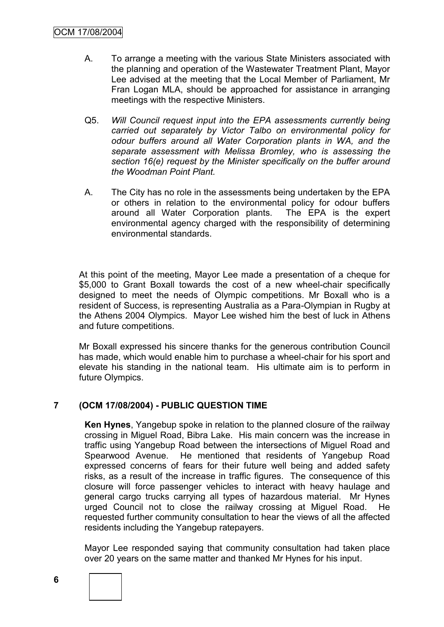- A. To arrange a meeting with the various State Ministers associated with the planning and operation of the Wastewater Treatment Plant, Mayor Lee advised at the meeting that the Local Member of Parliament, Mr Fran Logan MLA, should be approached for assistance in arranging meetings with the respective Ministers.
- Q5. *Will Council request input into the EPA assessments currently being carried out separately by Victor Talbo on environmental policy for odour buffers around all Water Corporation plants in WA, and the separate assessment with Melissa Bromley, who is assessing the section 16(e) request by the Minister specifically on the buffer around the Woodman Point Plant.*
- A. The City has no role in the assessments being undertaken by the EPA or others in relation to the environmental policy for odour buffers around all Water Corporation plants. The EPA is the expert around all Water Corporation plants. environmental agency charged with the responsibility of determining environmental standards.

At this point of the meeting, Mayor Lee made a presentation of a cheque for \$5,000 to Grant Boxall towards the cost of a new wheel-chair specifically designed to meet the needs of Olympic competitions. Mr Boxall who is a resident of Success, is representing Australia as a Para-Olympian in Rugby at the Athens 2004 Olympics. Mayor Lee wished him the best of luck in Athens and future competitions.

Mr Boxall expressed his sincere thanks for the generous contribution Council has made, which would enable him to purchase a wheel-chair for his sport and elevate his standing in the national team. His ultimate aim is to perform in future Olympics.

### **7 (OCM 17/08/2004) - PUBLIC QUESTION TIME**

**Ken Hynes**, Yangebup spoke in relation to the planned closure of the railway crossing in Miguel Road, Bibra Lake. His main concern was the increase in traffic using Yangebup Road between the intersections of Miguel Road and Spearwood Avenue. He mentioned that residents of Yangebup Road expressed concerns of fears for their future well being and added safety risks, as a result of the increase in traffic figures. The consequence of this closure will force passenger vehicles to interact with heavy haulage and general cargo trucks carrying all types of hazardous material. Mr Hynes urged Council not to close the railway crossing at Miguel Road. He requested further community consultation to hear the views of all the affected residents including the Yangebup ratepayers.

Mayor Lee responded saying that community consultation had taken place over 20 years on the same matter and thanked Mr Hynes for his input.

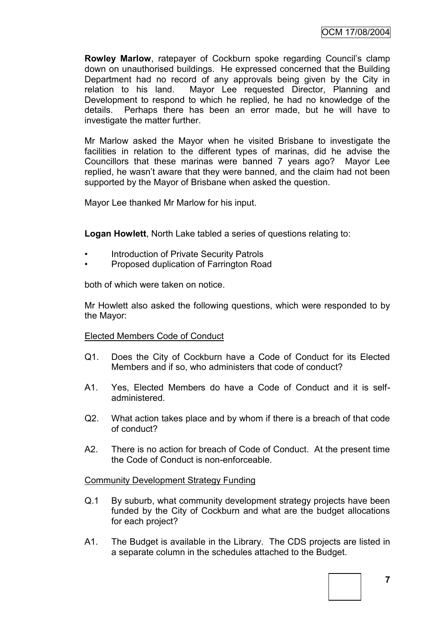**Rowley Marlow, ratepayer of Cockburn spoke regarding Council's clamp** down on unauthorised buildings. He expressed concerned that the Building Department had no record of any approvals being given by the City in relation to his land. Mayor Lee requested Director, Planning and Development to respond to which he replied, he had no knowledge of the details. Perhaps there has been an error made, but he will have to investigate the matter further.

Mr Marlow asked the Mayor when he visited Brisbane to investigate the facilities in relation to the different types of marinas, did he advise the Councillors that these marinas were banned 7 years ago? Mayor Lee replied, he wasn't aware that they were banned, and the claim had not been supported by the Mayor of Brisbane when asked the question.

Mayor Lee thanked Mr Marlow for his input.

**Logan Howlett**, North Lake tabled a series of questions relating to:

- Introduction of Private Security Patrols
- Proposed duplication of Farrington Road

both of which were taken on notice.

Mr Howlett also asked the following questions, which were responded to by the Mayor:

#### Elected Members Code of Conduct

- Q1. Does the City of Cockburn have a Code of Conduct for its Elected Members and if so, who administers that code of conduct?
- A1. Yes, Elected Members do have a Code of Conduct and it is selfadministered.
- Q2. What action takes place and by whom if there is a breach of that code of conduct?
- A2. There is no action for breach of Code of Conduct. At the present time the Code of Conduct is non-enforceable.

#### Community Development Strategy Funding

- Q.1 By suburb, what community development strategy projects have been funded by the City of Cockburn and what are the budget allocations for each project?
- A1. The Budget is available in the Library. The CDS projects are listed in a separate column in the schedules attached to the Budget.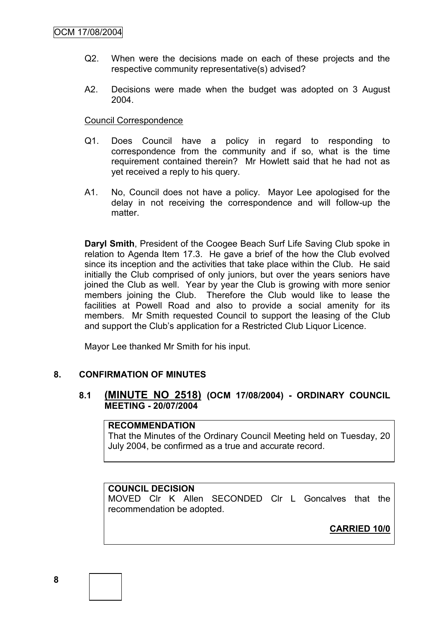- Q2. When were the decisions made on each of these projects and the respective community representative(s) advised?
- A2. Decisions were made when the budget was adopted on 3 August 2004.

#### Council Correspondence

- Q1. Does Council have a policy in regard to responding to correspondence from the community and if so, what is the time requirement contained therein? Mr Howlett said that he had not as yet received a reply to his query.
- A1. No, Council does not have a policy. Mayor Lee apologised for the delay in not receiving the correspondence and will follow-up the matter.

**Daryl Smith**, President of the Coogee Beach Surf Life Saving Club spoke in relation to Agenda Item 17.3. He gave a brief of the how the Club evolved since its inception and the activities that take place within the Club. He said initially the Club comprised of only juniors, but over the years seniors have joined the Club as well. Year by year the Club is growing with more senior members joining the Club. Therefore the Club would like to lease the facilities at Powell Road and also to provide a social amenity for its members. Mr Smith requested Council to support the leasing of the Club and support the Club"s application for a Restricted Club Liquor Licence.

Mayor Lee thanked Mr Smith for his input.

#### **8. CONFIRMATION OF MINUTES**

#### **8.1 (MINUTE NO 2518) (OCM 17/08/2004) - ORDINARY COUNCIL MEETING - 20/07/2004**

#### **RECOMMENDATION**

That the Minutes of the Ordinary Council Meeting held on Tuesday, 20 July 2004, be confirmed as a true and accurate record.

#### **COUNCIL DECISION**

MOVED Clr K Allen SECONDED Clr L Goncalves that the recommendation be adopted.

**CARRIED 10/0**

**8**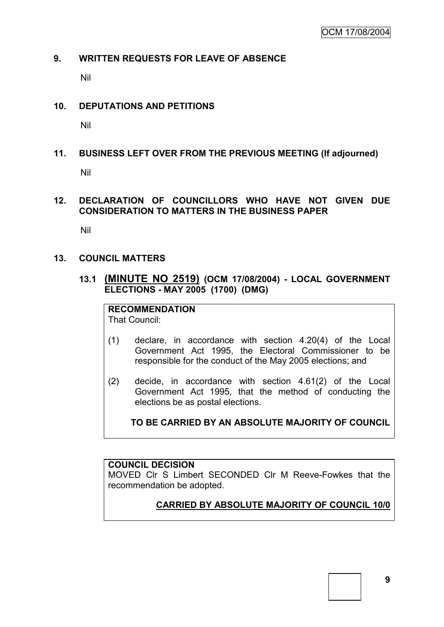#### **9. WRITTEN REQUESTS FOR LEAVE OF ABSENCE**

Nil

#### **10. DEPUTATIONS AND PETITIONS**

Nil

### **11. BUSINESS LEFT OVER FROM THE PREVIOUS MEETING (If adjourned)**

Nil

### **12. DECLARATION OF COUNCILLORS WHO HAVE NOT GIVEN DUE CONSIDERATION TO MATTERS IN THE BUSINESS PAPER**

Nil

#### **13. COUNCIL MATTERS**

**13.1 (MINUTE NO 2519) (OCM 17/08/2004) - LOCAL GOVERNMENT ELECTIONS - MAY 2005 (1700) (DMG)**

**RECOMMENDATION** That Council:

- (1) declare, in accordance with section 4.20(4) of the Local Government Act 1995, the Electoral Commissioner to be responsible for the conduct of the May 2005 elections; and
- (2) decide, in accordance with section 4.61(2) of the Local Government Act 1995, that the method of conducting the elections be as postal elections.

### **TO BE CARRIED BY AN ABSOLUTE MAJORITY OF COUNCIL**

#### **COUNCIL DECISION**

MOVED Clr S Limbert SECONDED Clr M Reeve-Fowkes that the recommendation be adopted.

### **CARRIED BY ABSOLUTE MAJORITY OF COUNCIL 10/0**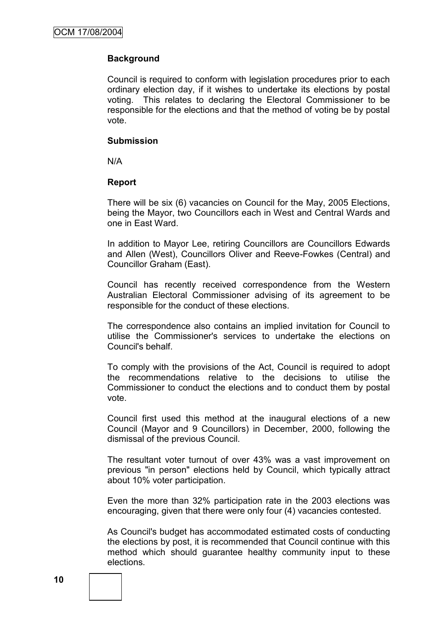#### **Background**

Council is required to conform with legislation procedures prior to each ordinary election day, if it wishes to undertake its elections by postal voting. This relates to declaring the Electoral Commissioner to be responsible for the elections and that the method of voting be by postal vote.

#### **Submission**

N/A

#### **Report**

There will be six (6) vacancies on Council for the May, 2005 Elections, being the Mayor, two Councillors each in West and Central Wards and one in East Ward.

In addition to Mayor Lee, retiring Councillors are Councillors Edwards and Allen (West), Councillors Oliver and Reeve-Fowkes (Central) and Councillor Graham (East).

Council has recently received correspondence from the Western Australian Electoral Commissioner advising of its agreement to be responsible for the conduct of these elections.

The correspondence also contains an implied invitation for Council to utilise the Commissioner's services to undertake the elections on Council's behalf.

To comply with the provisions of the Act, Council is required to adopt the recommendations relative to the decisions to utilise the Commissioner to conduct the elections and to conduct them by postal vote.

Council first used this method at the inaugural elections of a new Council (Mayor and 9 Councillors) in December, 2000, following the dismissal of the previous Council.

The resultant voter turnout of over 43% was a vast improvement on previous "in person" elections held by Council, which typically attract about 10% voter participation.

Even the more than 32% participation rate in the 2003 elections was encouraging, given that there were only four (4) vacancies contested.

As Council's budget has accommodated estimated costs of conducting the elections by post, it is recommended that Council continue with this method which should guarantee healthy community input to these elections.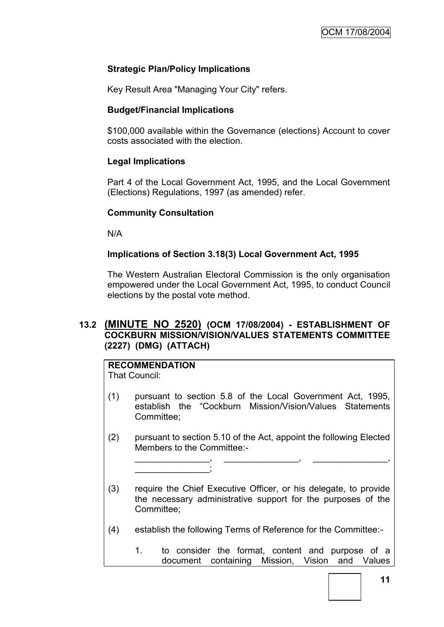#### **Strategic Plan/Policy Implications**

Key Result Area "Managing Your City" refers.

#### **Budget/Financial Implications**

\$100,000 available within the Governance (elections) Account to cover costs associated with the election.

#### **Legal Implications**

Part 4 of the Local Government Act, 1995, and the Local Government (Elections) Regulations, 1997 (as amended) refer.

#### **Community Consultation**

N/A

#### **Implications of Section 3.18(3) Local Government Act, 1995**

The Western Australian Electoral Commission is the only organisation empowered under the Local Government Act, 1995, to conduct Council elections by the postal vote method.

#### **13.2 (MINUTE NO 2520) (OCM 17/08/2004) - ESTABLISHMENT OF COCKBURN MISSION/VISION/VALUES STATEMENTS COMMITTEE (2227) (DMG) (ATTACH)**

## **RECOMMENDATION**

\_\_\_\_\_\_\_\_\_\_\_\_\_\_\_;

That Council:

- (1) pursuant to section 5.8 of the Local Government Act, 1995, establish the "Cockburn Mission/Vision/Values Statements Committee;
- (2) pursuant to section 5.10 of the Act, appoint the following Elected Members to the Committee:-

\_\_\_\_\_\_\_\_\_\_\_\_\_\_\_, \_\_\_\_\_\_\_\_\_\_\_\_\_\_\_, \_\_\_\_\_\_\_\_\_\_\_\_\_\_\_,

- (3) require the Chief Executive Officer, or his delegate, to provide the necessary administrative support for the purposes of the Committee;
- (4) establish the following Terms of Reference for the Committee:-
	- 1. to consider the format, content and purpose of a document containing Mission, Vision and Values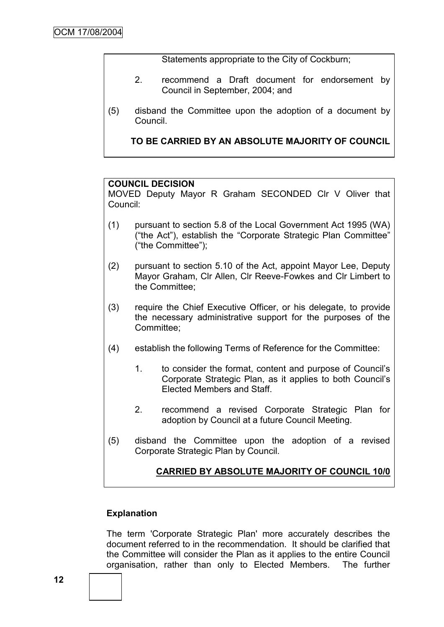Statements appropriate to the City of Cockburn;

- 2. recommend a Draft document for endorsement by Council in September, 2004; and
- (5) disband the Committee upon the adoption of a document by Council.

**TO BE CARRIED BY AN ABSOLUTE MAJORITY OF COUNCIL**

#### **COUNCIL DECISION**

MOVED Deputy Mayor R Graham SECONDED Clr V Oliver that Council:

- (1) pursuant to section 5.8 of the Local Government Act 1995 (WA) ("the Act"), establish the "Corporate Strategic Plan Committee" ("the Committee");
- (2) pursuant to section 5.10 of the Act, appoint Mayor Lee, Deputy Mayor Graham, Clr Allen, Clr Reeve-Fowkes and Clr Limbert to the Committee;
- (3) require the Chief Executive Officer, or his delegate, to provide the necessary administrative support for the purposes of the Committee;
- (4) establish the following Terms of Reference for the Committee:
	- 1. to consider the format, content and purpose of Council"s Corporate Strategic Plan, as it applies to both Council"s Elected Members and Staff.
	- 2. recommend a revised Corporate Strategic Plan for adoption by Council at a future Council Meeting.
- (5) disband the Committee upon the adoption of a revised Corporate Strategic Plan by Council.

### **CARRIED BY ABSOLUTE MAJORITY OF COUNCIL 10/0**

#### **Explanation**

The term 'Corporate Strategic Plan' more accurately describes the document referred to in the recommendation. It should be clarified that the Committee will consider the Plan as it applies to the entire Council organisation, rather than only to Elected Members. The further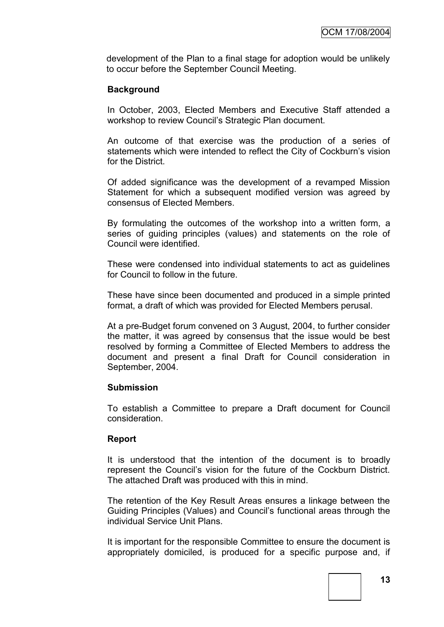development of the Plan to a final stage for adoption would be unlikely to occur before the September Council Meeting.

#### **Background**

In October, 2003, Elected Members and Executive Staff attended a workshop to review Council"s Strategic Plan document.

An outcome of that exercise was the production of a series of statements which were intended to reflect the City of Cockburn's vision for the District.

Of added significance was the development of a revamped Mission Statement for which a subsequent modified version was agreed by consensus of Elected Members.

By formulating the outcomes of the workshop into a written form, a series of guiding principles (values) and statements on the role of Council were identified.

These were condensed into individual statements to act as guidelines for Council to follow in the future.

These have since been documented and produced in a simple printed format, a draft of which was provided for Elected Members perusal.

At a pre-Budget forum convened on 3 August, 2004, to further consider the matter, it was agreed by consensus that the issue would be best resolved by forming a Committee of Elected Members to address the document and present a final Draft for Council consideration in September, 2004.

#### **Submission**

To establish a Committee to prepare a Draft document for Council consideration.

#### **Report**

It is understood that the intention of the document is to broadly represent the Council"s vision for the future of the Cockburn District. The attached Draft was produced with this in mind.

The retention of the Key Result Areas ensures a linkage between the Guiding Principles (Values) and Council"s functional areas through the individual Service Unit Plans.

It is important for the responsible Committee to ensure the document is appropriately domiciled, is produced for a specific purpose and, if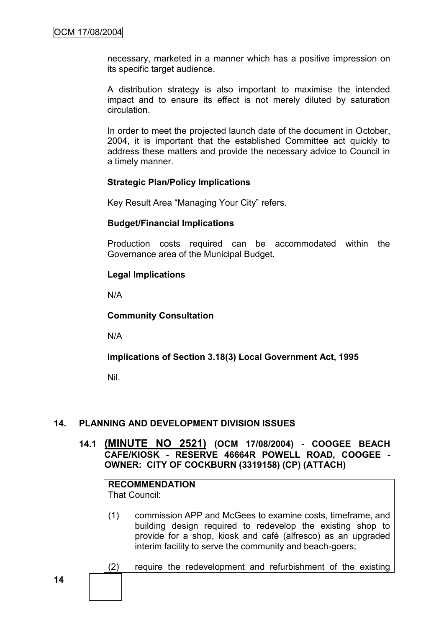necessary, marketed in a manner which has a positive impression on its specific target audience.

A distribution strategy is also important to maximise the intended impact and to ensure its effect is not merely diluted by saturation circulation.

In order to meet the projected launch date of the document in October, 2004, it is important that the established Committee act quickly to address these matters and provide the necessary advice to Council in a timely manner.

#### **Strategic Plan/Policy Implications**

Key Result Area "Managing Your City" refers.

#### **Budget/Financial Implications**

Production costs required can be accommodated within the Governance area of the Municipal Budget.

#### **Legal Implications**

N/A

**Community Consultation**

N/A

#### **Implications of Section 3.18(3) Local Government Act, 1995**

Nil.

### **14. PLANNING AND DEVELOPMENT DIVISION ISSUES**

**14.1 (MINUTE NO 2521) (OCM 17/08/2004) - COOGEE BEACH CAFE/KIOSK - RESERVE 46664R POWELL ROAD, COOGEE - OWNER: CITY OF COCKBURN (3319158) (CP) (ATTACH)**

## **RECOMMENDATION**

That Council:

- (1) commission APP and McGees to examine costs, timeframe, and building design required to redevelop the existing shop to provide for a shop, kiosk and café (alfresco) as an upgraded interim facility to serve the community and beach-goers;
- (2) require the redevelopment and refurbishment of the existing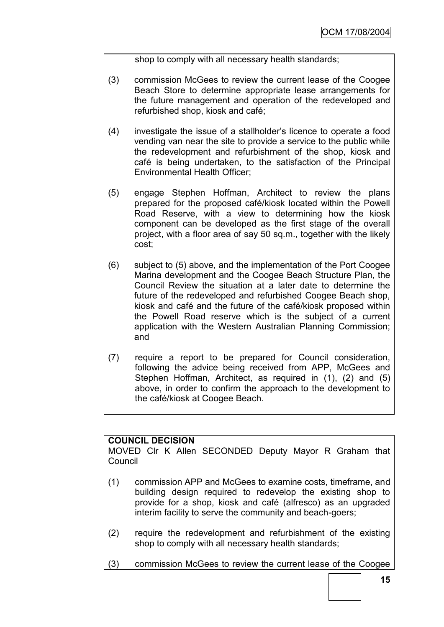shop to comply with all necessary health standards;

- (3) commission McGees to review the current lease of the Coogee Beach Store to determine appropriate lease arrangements for the future management and operation of the redeveloped and refurbished shop, kiosk and café;
- (4) investigate the issue of a stallholder"s licence to operate a food vending van near the site to provide a service to the public while the redevelopment and refurbishment of the shop, kiosk and café is being undertaken, to the satisfaction of the Principal Environmental Health Officer;
- (5) engage Stephen Hoffman, Architect to review the plans prepared for the proposed café/kiosk located within the Powell Road Reserve, with a view to determining how the kiosk component can be developed as the first stage of the overall project, with a floor area of say 50 sq.m., together with the likely cost;
- (6) subject to (5) above, and the implementation of the Port Coogee Marina development and the Coogee Beach Structure Plan, the Council Review the situation at a later date to determine the future of the redeveloped and refurbished Coogee Beach shop, kiosk and café and the future of the café/kiosk proposed within the Powell Road reserve which is the subject of a current application with the Western Australian Planning Commission; and
- (7) require a report to be prepared for Council consideration, following the advice being received from APP, McGees and Stephen Hoffman, Architect, as required in (1), (2) and (5) above, in order to confirm the approach to the development to the café/kiosk at Coogee Beach.

#### **COUNCIL DECISION**

MOVED Clr K Allen SECONDED Deputy Mayor R Graham that Council

- (1) commission APP and McGees to examine costs, timeframe, and building design required to redevelop the existing shop to provide for a shop, kiosk and café (alfresco) as an upgraded interim facility to serve the community and beach-goers;
- (2) require the redevelopment and refurbishment of the existing shop to comply with all necessary health standards;
- (3) commission McGees to review the current lease of the Coogee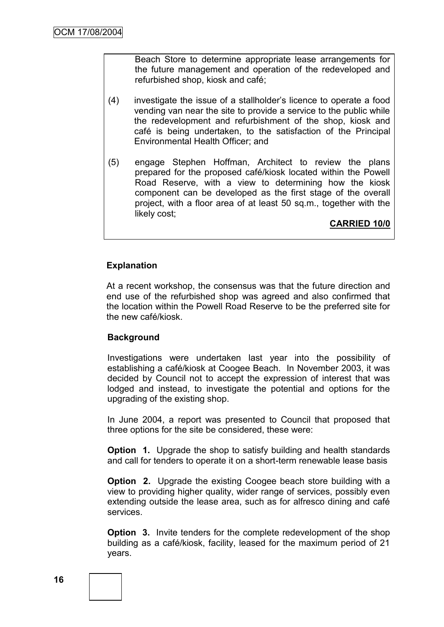Beach Store to determine appropriate lease arrangements for the future management and operation of the redeveloped and refurbished shop, kiosk and café;

- (4) investigate the issue of a stallholder"s licence to operate a food vending van near the site to provide a service to the public while the redevelopment and refurbishment of the shop, kiosk and café is being undertaken, to the satisfaction of the Principal Environmental Health Officer; and
- (5) engage Stephen Hoffman, Architect to review the plans prepared for the proposed café/kiosk located within the Powell Road Reserve, with a view to determining how the kiosk component can be developed as the first stage of the overall project, with a floor area of at least 50 sq.m., together with the likely cost;

**CARRIED 10/0**

#### **Explanation**

At a recent workshop, the consensus was that the future direction and end use of the refurbished shop was agreed and also confirmed that the location within the Powell Road Reserve to be the preferred site for the new café/kiosk.

#### **Background**

Investigations were undertaken last year into the possibility of establishing a café/kiosk at Coogee Beach. In November 2003, it was decided by Council not to accept the expression of interest that was lodged and instead, to investigate the potential and options for the upgrading of the existing shop.

In June 2004, a report was presented to Council that proposed that three options for the site be considered, these were:

**Option 1.** Upgrade the shop to satisfy building and health standards and call for tenders to operate it on a short-term renewable lease basis

**Option 2.** Upgrade the existing Coogee beach store building with a view to providing higher quality, wider range of services, possibly even extending outside the lease area, such as for alfresco dining and café services.

**Option 3.** Invite tenders for the complete redevelopment of the shop building as a café/kiosk, facility, leased for the maximum period of 21 years.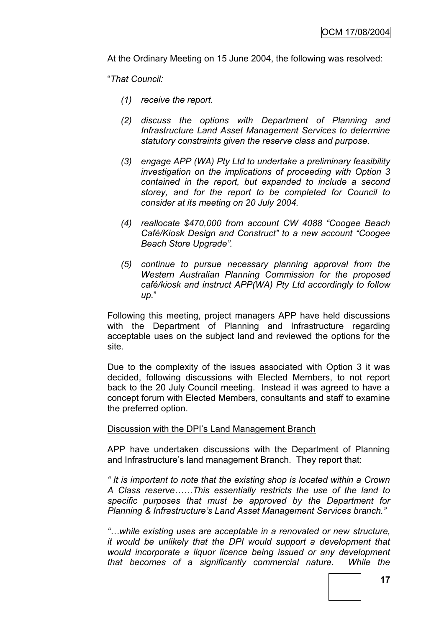At the Ordinary Meeting on 15 June 2004, the following was resolved:

"*That Council:*

- *(1) receive the report.*
- *(2) discuss the options with Department of Planning and Infrastructure Land Asset Management Services to determine statutory constraints given the reserve class and purpose.*
- *(3) engage APP (WA) Pty Ltd to undertake a preliminary feasibility investigation on the implications of proceeding with Option 3 contained in the report, but expanded to include a second storey, and for the report to be completed for Council to consider at its meeting on 20 July 2004.*
- *(4) reallocate \$470,000 from account CW 4088 "Coogee Beach Café/Kiosk Design and Construct" to a new account "Coogee Beach Store Upgrade".*
- *(5) continue to pursue necessary planning approval from the Western Australian Planning Commission for the proposed café/kiosk and instruct APP(WA) Pty Ltd accordingly to follow up.*"

Following this meeting, project managers APP have held discussions with the Department of Planning and Infrastructure regarding acceptable uses on the subject land and reviewed the options for the site.

Due to the complexity of the issues associated with Option 3 it was decided, following discussions with Elected Members, to not report back to the 20 July Council meeting. Instead it was agreed to have a concept forum with Elected Members, consultants and staff to examine the preferred option.

#### Discussion with the DPI"s Land Management Branch

APP have undertaken discussions with the Department of Planning and Infrastructure's land management Branch. They report that:

*" It is important to note that the existing shop is located within a Crown A Class reserve……This essentially restricts the use of the land to specific purposes that must be approved by the Department for Planning & Infrastructure"s Land Asset Management Services branch."*

*"…while existing uses are acceptable in a renovated or new structure, it would be unlikely that the DPI would support a development that would incorporate a liquor licence being issued or any development that becomes of a significantly commercial nature. While the*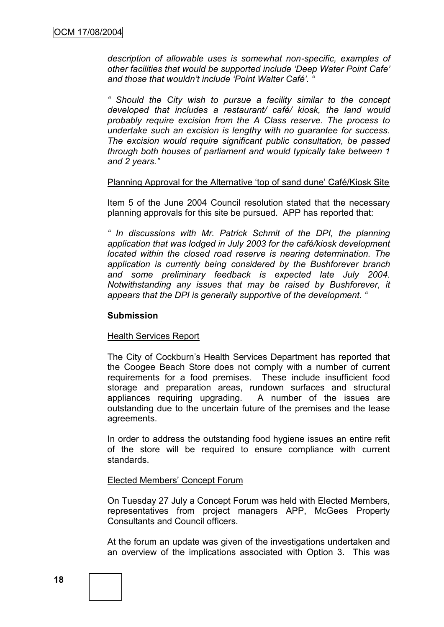*description of allowable uses is somewhat non-specific, examples of other facilities that would be supported include "Deep Water Point Cafe" and those that wouldn"t include "Point Walter Café". "*

*" Should the City wish to pursue a facility similar to the concept developed that includes a restaurant/ café/ kiosk, the land would probably require excision from the A Class reserve. The process to undertake such an excision is lengthy with no guarantee for success. The excision would require significant public consultation, be passed through both houses of parliament and would typically take between 1 and 2 years."*

#### Planning Approval for the Alternative "top of sand dune" Café/Kiosk Site

Item 5 of the June 2004 Council resolution stated that the necessary planning approvals for this site be pursued. APP has reported that:

*" In discussions with Mr. Patrick Schmit of the DPI, the planning application that was lodged in July 2003 for the café/kiosk development located within the closed road reserve is nearing determination. The application is currently being considered by the Bushforever branch and some preliminary feedback is expected late July 2004. Notwithstanding any issues that may be raised by Bushforever, it appears that the DPI is generally supportive of the development. "*

#### **Submission**

#### Health Services Report

The City of Cockburn"s Health Services Department has reported that the Coogee Beach Store does not comply with a number of current requirements for a food premises. These include insufficient food storage and preparation areas, rundown surfaces and structural appliances requiring upgrading. A number of the issues are outstanding due to the uncertain future of the premises and the lease agreements.

In order to address the outstanding food hygiene issues an entire refit of the store will be required to ensure compliance with current standards.

#### **Elected Members' Concept Forum**

On Tuesday 27 July a Concept Forum was held with Elected Members, representatives from project managers APP, McGees Property Consultants and Council officers.

At the forum an update was given of the investigations undertaken and an overview of the implications associated with Option 3. This was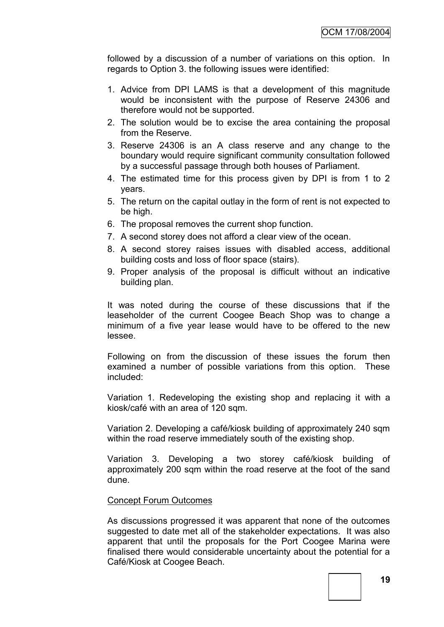followed by a discussion of a number of variations on this option. In regards to Option 3. the following issues were identified:

- 1. Advice from DPI LAMS is that a development of this magnitude would be inconsistent with the purpose of Reserve 24306 and therefore would not be supported.
- 2. The solution would be to excise the area containing the proposal from the Reserve.
- 3. Reserve 24306 is an A class reserve and any change to the boundary would require significant community consultation followed by a successful passage through both houses of Parliament.
- 4. The estimated time for this process given by DPI is from 1 to 2 years.
- 5. The return on the capital outlay in the form of rent is not expected to be high.
- 6. The proposal removes the current shop function.
- 7. A second storey does not afford a clear view of the ocean.
- 8. A second storey raises issues with disabled access, additional building costs and loss of floor space (stairs).
- 9. Proper analysis of the proposal is difficult without an indicative building plan.

It was noted during the course of these discussions that if the leaseholder of the current Coogee Beach Shop was to change a minimum of a five year lease would have to be offered to the new lessee.

Following on from the discussion of these issues the forum then examined a number of possible variations from this option. These included:

Variation 1. Redeveloping the existing shop and replacing it with a kiosk/café with an area of 120 sqm.

Variation 2. Developing a café/kiosk building of approximately 240 sqm within the road reserve immediately south of the existing shop.

Variation 3. Developing a two storey café/kiosk building of approximately 200 sqm within the road reserve at the foot of the sand dune.

#### Concept Forum Outcomes

As discussions progressed it was apparent that none of the outcomes suggested to date met all of the stakeholder expectations. It was also apparent that until the proposals for the Port Coogee Marina were finalised there would considerable uncertainty about the potential for a Café/Kiosk at Coogee Beach.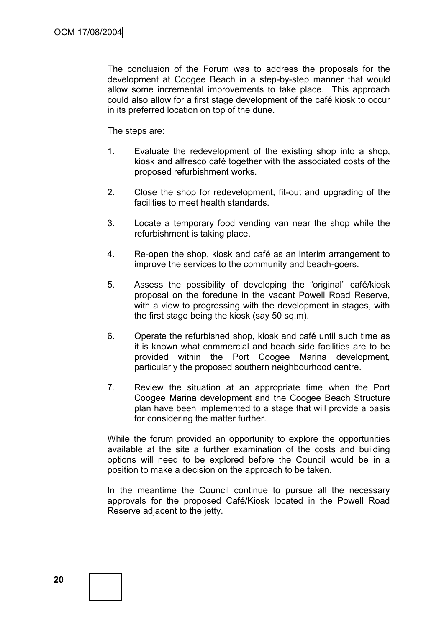The conclusion of the Forum was to address the proposals for the development at Coogee Beach in a step-by-step manner that would allow some incremental improvements to take place. This approach could also allow for a first stage development of the café kiosk to occur in its preferred location on top of the dune.

The steps are:

- 1. Evaluate the redevelopment of the existing shop into a shop, kiosk and alfresco café together with the associated costs of the proposed refurbishment works.
- 2. Close the shop for redevelopment, fit-out and upgrading of the facilities to meet health standards.
- 3. Locate a temporary food vending van near the shop while the refurbishment is taking place.
- 4. Re-open the shop, kiosk and café as an interim arrangement to improve the services to the community and beach-goers.
- 5. Assess the possibility of developing the "original" café/kiosk proposal on the foredune in the vacant Powell Road Reserve, with a view to progressing with the development in stages, with the first stage being the kiosk (say 50 sq.m).
- 6. Operate the refurbished shop, kiosk and café until such time as it is known what commercial and beach side facilities are to be provided within the Port Coogee Marina development, particularly the proposed southern neighbourhood centre.
- 7. Review the situation at an appropriate time when the Port Coogee Marina development and the Coogee Beach Structure plan have been implemented to a stage that will provide a basis for considering the matter further.

While the forum provided an opportunity to explore the opportunities available at the site a further examination of the costs and building options will need to be explored before the Council would be in a position to make a decision on the approach to be taken.

In the meantime the Council continue to pursue all the necessary approvals for the proposed Café/Kiosk located in the Powell Road Reserve adjacent to the jetty.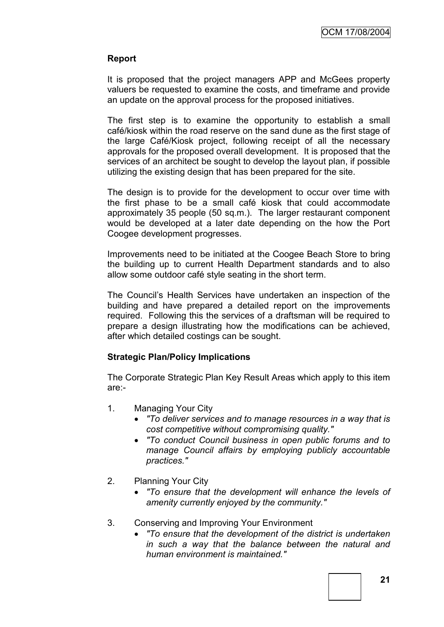#### **Report**

It is proposed that the project managers APP and McGees property valuers be requested to examine the costs, and timeframe and provide an update on the approval process for the proposed initiatives.

The first step is to examine the opportunity to establish a small café/kiosk within the road reserve on the sand dune as the first stage of the large Café/Kiosk project, following receipt of all the necessary approvals for the proposed overall development. It is proposed that the services of an architect be sought to develop the layout plan, if possible utilizing the existing design that has been prepared for the site.

The design is to provide for the development to occur over time with the first phase to be a small café kiosk that could accommodate approximately 35 people (50 sq.m.). The larger restaurant component would be developed at a later date depending on the how the Port Coogee development progresses.

Improvements need to be initiated at the Coogee Beach Store to bring the building up to current Health Department standards and to also allow some outdoor café style seating in the short term.

The Council"s Health Services have undertaken an inspection of the building and have prepared a detailed report on the improvements required. Following this the services of a draftsman will be required to prepare a design illustrating how the modifications can be achieved, after which detailed costings can be sought.

#### **Strategic Plan/Policy Implications**

The Corporate Strategic Plan Key Result Areas which apply to this item are:-

- 1. Managing Your City
	- *"To deliver services and to manage resources in a way that is cost competitive without compromising quality."*
	- *"To conduct Council business in open public forums and to manage Council affairs by employing publicly accountable practices."*
- 2. Planning Your City
	- *"To ensure that the development will enhance the levels of amenity currently enjoyed by the community."*
- 3. Conserving and Improving Your Environment
	- *"To ensure that the development of the district is undertaken in such a way that the balance between the natural and human environment is maintained."*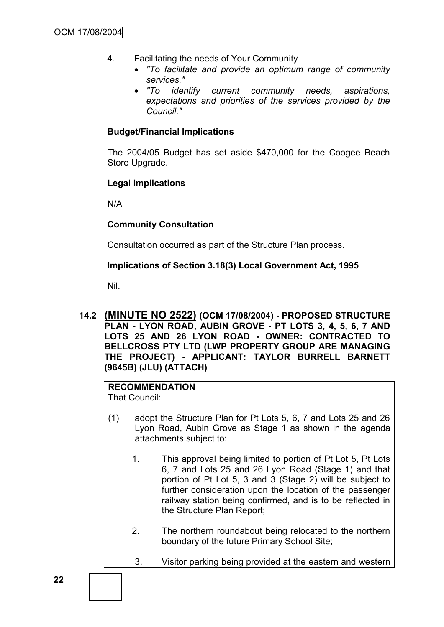- 4. Facilitating the needs of Your Community
	- *"To facilitate and provide an optimum range of community services."*
	- *"To identify current community needs, aspirations, expectations and priorities of the services provided by the Council."*

#### **Budget/Financial Implications**

The 2004/05 Budget has set aside \$470,000 for the Coogee Beach Store Upgrade.

#### **Legal Implications**

N/A

#### **Community Consultation**

Consultation occurred as part of the Structure Plan process.

#### **Implications of Section 3.18(3) Local Government Act, 1995**

Nil.

**14.2 (MINUTE NO 2522) (OCM 17/08/2004) - PROPOSED STRUCTURE PLAN - LYON ROAD, AUBIN GROVE - PT LOTS 3, 4, 5, 6, 7 AND LOTS 25 AND 26 LYON ROAD - OWNER: CONTRACTED TO BELLCROSS PTY LTD (LWP PROPERTY GROUP ARE MANAGING THE PROJECT) - APPLICANT: TAYLOR BURRELL BARNETT (9645B) (JLU) (ATTACH)**

#### **RECOMMENDATION** That Council:

- (1) adopt the Structure Plan for Pt Lots 5, 6, 7 and Lots 25 and 26 Lyon Road, Aubin Grove as Stage 1 as shown in the agenda attachments subject to:
	- 1. This approval being limited to portion of Pt Lot 5, Pt Lots 6, 7 and Lots 25 and 26 Lyon Road (Stage 1) and that portion of Pt Lot 5, 3 and 3 (Stage 2) will be subject to further consideration upon the location of the passenger railway station being confirmed, and is to be reflected in the Structure Plan Report;
	- 2. The northern roundabout being relocated to the northern boundary of the future Primary School Site;
	- 3. Visitor parking being provided at the eastern and western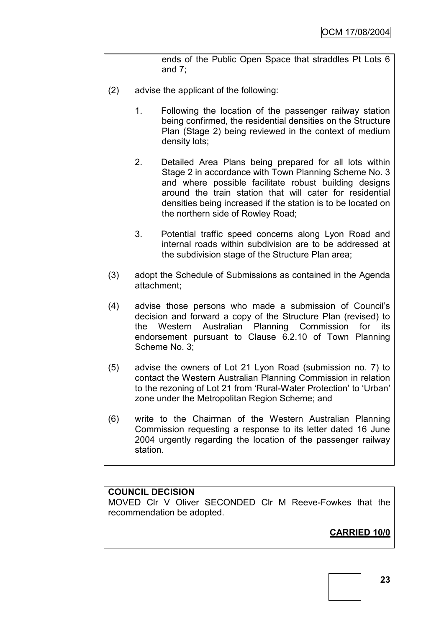ends of the Public Open Space that straddles Pt Lots 6 and 7;

- (2) advise the applicant of the following:
	- 1. Following the location of the passenger railway station being confirmed, the residential densities on the Structure Plan (Stage 2) being reviewed in the context of medium density lots;
	- 2. Detailed Area Plans being prepared for all lots within Stage 2 in accordance with Town Planning Scheme No. 3 and where possible facilitate robust building designs around the train station that will cater for residential densities being increased if the station is to be located on the northern side of Rowley Road;
	- 3. Potential traffic speed concerns along Lyon Road and internal roads within subdivision are to be addressed at the subdivision stage of the Structure Plan area;
- (3) adopt the Schedule of Submissions as contained in the Agenda attachment;
- (4) advise those persons who made a submission of Council"s decision and forward a copy of the Structure Plan (revised) to the Western Australian Planning Commission for its endorsement pursuant to Clause 6.2.10 of Town Planning Scheme No. 3;
- (5) advise the owners of Lot 21 Lyon Road (submission no. 7) to contact the Western Australian Planning Commission in relation to the rezoning of Lot 21 from 'Rural-Water Protection' to 'Urban' zone under the Metropolitan Region Scheme; and
- (6) write to the Chairman of the Western Australian Planning Commission requesting a response to its letter dated 16 June 2004 urgently regarding the location of the passenger railway station.

### **COUNCIL DECISION**

MOVED Clr V Oliver SECONDED Clr M Reeve-Fowkes that the recommendation be adopted.

## **CARRIED 10/0**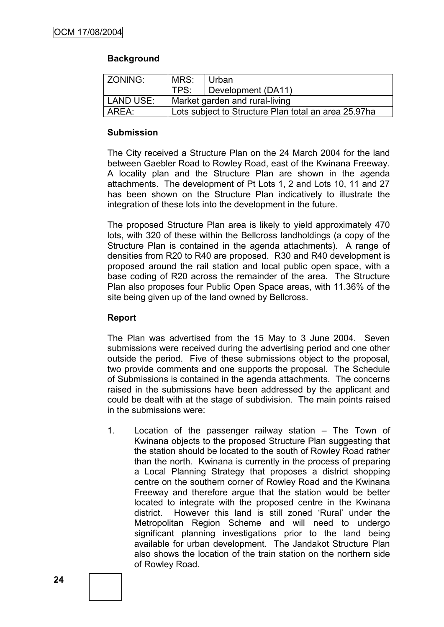#### **Background**

| ZONING:                                     | MRS:                                                 | Urban              |  |  |
|---------------------------------------------|------------------------------------------------------|--------------------|--|--|
|                                             | TPS:                                                 | Development (DA11) |  |  |
| LAND USE:<br>Market garden and rural-living |                                                      |                    |  |  |
| AREA:                                       | Lots subject to Structure Plan total an area 25.97ha |                    |  |  |

#### **Submission**

The City received a Structure Plan on the 24 March 2004 for the land between Gaebler Road to Rowley Road, east of the Kwinana Freeway. A locality plan and the Structure Plan are shown in the agenda attachments. The development of Pt Lots 1, 2 and Lots 10, 11 and 27 has been shown on the Structure Plan indicatively to illustrate the integration of these lots into the development in the future.

The proposed Structure Plan area is likely to yield approximately 470 lots, with 320 of these within the Bellcross landholdings (a copy of the Structure Plan is contained in the agenda attachments). A range of densities from R20 to R40 are proposed. R30 and R40 development is proposed around the rail station and local public open space, with a base coding of R20 across the remainder of the area. The Structure Plan also proposes four Public Open Space areas, with 11.36% of the site being given up of the land owned by Bellcross.

#### **Report**

The Plan was advertised from the 15 May to 3 June 2004. Seven submissions were received during the advertising period and one other outside the period. Five of these submissions object to the proposal, two provide comments and one supports the proposal. The Schedule of Submissions is contained in the agenda attachments. The concerns raised in the submissions have been addressed by the applicant and could be dealt with at the stage of subdivision. The main points raised in the submissions were:

1. Location of the passenger railway station – The Town of Kwinana objects to the proposed Structure Plan suggesting that the station should be located to the south of Rowley Road rather than the north. Kwinana is currently in the process of preparing a Local Planning Strategy that proposes a district shopping centre on the southern corner of Rowley Road and the Kwinana Freeway and therefore argue that the station would be better located to integrate with the proposed centre in the Kwinana district. However this land is still zoned "Rural" under the Metropolitan Region Scheme and will need to undergo significant planning investigations prior to the land being available for urban development. The Jandakot Structure Plan also shows the location of the train station on the northern side of Rowley Road.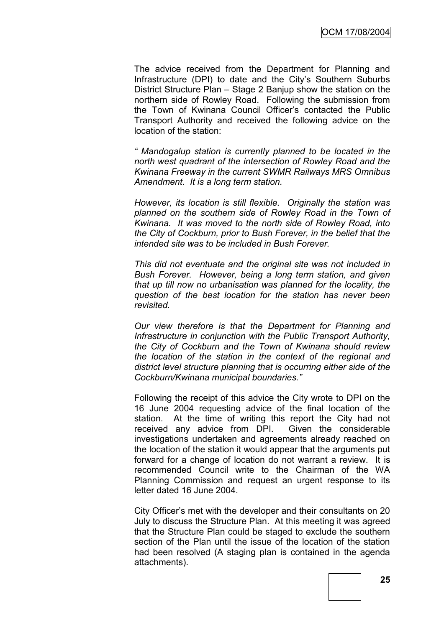The advice received from the Department for Planning and Infrastructure (DPI) to date and the City"s Southern Suburbs District Structure Plan – Stage 2 Banjup show the station on the northern side of Rowley Road. Following the submission from the Town of Kwinana Council Officer"s contacted the Public Transport Authority and received the following advice on the location of the station:

*" Mandogalup station is currently planned to be located in the north west quadrant of the intersection of Rowley Road and the Kwinana Freeway in the current SWMR Railways MRS Omnibus Amendment. It is a long term station.*

*However, its location is still flexible. Originally the station was planned on the southern side of Rowley Road in the Town of Kwinana. It was moved to the north side of Rowley Road, into the City of Cockburn, prior to Bush Forever, in the belief that the intended site was to be included in Bush Forever.*

*This did not eventuate and the original site was not included in Bush Forever. However, being a long term station, and given that up till now no urbanisation was planned for the locality, the question of the best location for the station has never been revisited.*

*Our view therefore is that the Department for Planning and Infrastructure in conjunction with the Public Transport Authority, the City of Cockburn and the Town of Kwinana should review the location of the station in the context of the regional and district level structure planning that is occurring either side of the Cockburn/Kwinana municipal boundaries."*

Following the receipt of this advice the City wrote to DPI on the 16 June 2004 requesting advice of the final location of the station. At the time of writing this report the City had not received any advice from DPI. Given the considerable investigations undertaken and agreements already reached on the location of the station it would appear that the arguments put forward for a change of location do not warrant a review. It is recommended Council write to the Chairman of the WA Planning Commission and request an urgent response to its letter dated 16 June 2004.

City Officer"s met with the developer and their consultants on 20 July to discuss the Structure Plan. At this meeting it was agreed that the Structure Plan could be staged to exclude the southern section of the Plan until the issue of the location of the station had been resolved (A staging plan is contained in the agenda attachments).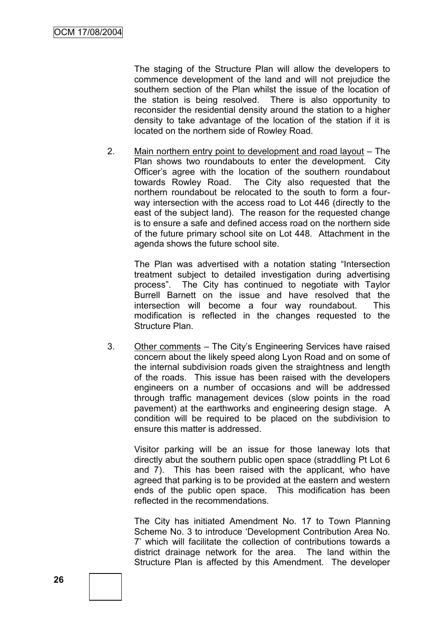The staging of the Structure Plan will allow the developers to commence development of the land and will not prejudice the southern section of the Plan whilst the issue of the location of the station is being resolved. There is also opportunity to reconsider the residential density around the station to a higher density to take advantage of the location of the station if it is located on the northern side of Rowley Road.

2. Main northern entry point to development and road layout – The Plan shows two roundabouts to enter the development. City Officer"s agree with the location of the southern roundabout towards Rowley Road. The City also requested that the northern roundabout be relocated to the south to form a fourway intersection with the access road to Lot 446 (directly to the east of the subject land). The reason for the requested change is to ensure a safe and defined access road on the northern side of the future primary school site on Lot 448. Attachment in the agenda shows the future school site.

The Plan was advertised with a notation stating "Intersection treatment subject to detailed investigation during advertising process". The City has continued to negotiate with Taylor Burrell Barnett on the issue and have resolved that the intersection will become a four way roundabout. This modification is reflected in the changes requested to the Structure Plan.

3. Other comments – The City"s Engineering Services have raised concern about the likely speed along Lyon Road and on some of the internal subdivision roads given the straightness and length of the roads. This issue has been raised with the developers engineers on a number of occasions and will be addressed through traffic management devices (slow points in the road pavement) at the earthworks and engineering design stage. A condition will be required to be placed on the subdivision to ensure this matter is addressed.

Visitor parking will be an issue for those laneway lots that directly abut the southern public open space (straddling Pt Lot 6 and 7). This has been raised with the applicant, who have agreed that parking is to be provided at the eastern and western ends of the public open space. This modification has been reflected in the recommendations.

The City has initiated Amendment No. 17 to Town Planning Scheme No. 3 to introduce "Development Contribution Area No. 7" which will facilitate the collection of contributions towards a district drainage network for the area. The land within the Structure Plan is affected by this Amendment. The developer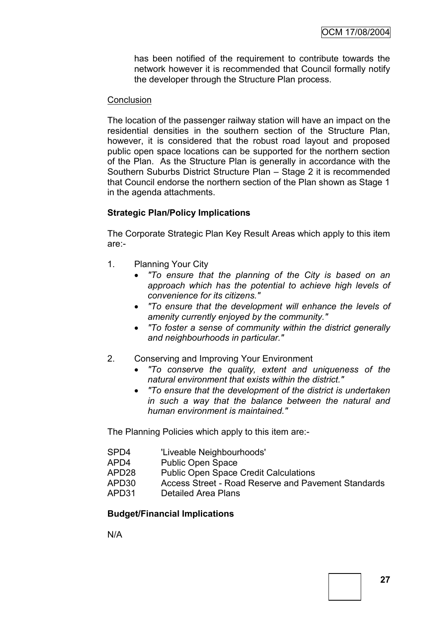has been notified of the requirement to contribute towards the network however it is recommended that Council formally notify the developer through the Structure Plan process.

#### **Conclusion**

The location of the passenger railway station will have an impact on the residential densities in the southern section of the Structure Plan, however, it is considered that the robust road layout and proposed public open space locations can be supported for the northern section of the Plan. As the Structure Plan is generally in accordance with the Southern Suburbs District Structure Plan – Stage 2 it is recommended that Council endorse the northern section of the Plan shown as Stage 1 in the agenda attachments.

#### **Strategic Plan/Policy Implications**

The Corporate Strategic Plan Key Result Areas which apply to this item are:-

- 1. Planning Your City
	- *"To ensure that the planning of the City is based on an approach which has the potential to achieve high levels of convenience for its citizens."*
	- *"To ensure that the development will enhance the levels of amenity currently enjoyed by the community."*
	- *"To foster a sense of community within the district generally and neighbourhoods in particular."*
- 2. Conserving and Improving Your Environment
	- *"To conserve the quality, extent and uniqueness of the natural environment that exists within the district."*
	- *"To ensure that the development of the district is undertaken in such a way that the balance between the natural and human environment is maintained."*

The Planning Policies which apply to this item are:-

| SPD4   | 'Liveable Neighbourhoods'                           |
|--------|-----------------------------------------------------|
| APD4   | <b>Public Open Space</b>                            |
| APD28  | <b>Public Open Space Credit Calculations</b>        |
| APD30. | Access Street - Road Reserve and Pavement Standards |
| APD31  | Detailed Area Plans                                 |

#### **Budget/Financial Implications**

N/A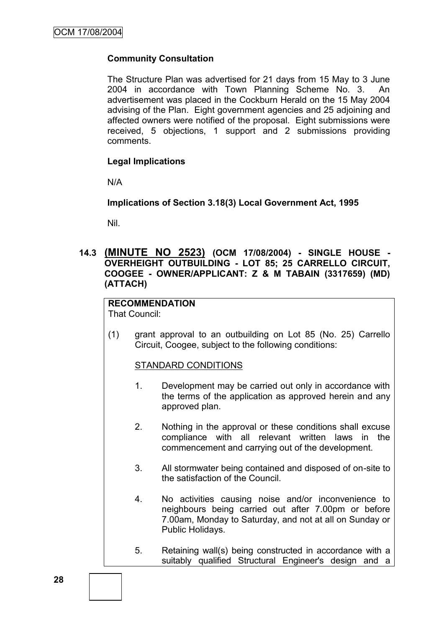#### **Community Consultation**

The Structure Plan was advertised for 21 days from 15 May to 3 June 2004 in accordance with Town Planning Scheme No. 3. An advertisement was placed in the Cockburn Herald on the 15 May 2004 advising of the Plan. Eight government agencies and 25 adjoining and affected owners were notified of the proposal. Eight submissions were received, 5 objections, 1 support and 2 submissions providing comments.

#### **Legal Implications**

N/A

#### **Implications of Section 3.18(3) Local Government Act, 1995**

Nil.

**14.3 (MINUTE NO 2523) (OCM 17/08/2004) - SINGLE HOUSE - OVERHEIGHT OUTBUILDING - LOT 85; 25 CARRELLO CIRCUIT, COOGEE - OWNER/APPLICANT: Z & M TABAIN (3317659) (MD) (ATTACH)**

# **RECOMMENDATION**

That Council:

(1) grant approval to an outbuilding on Lot 85 (No. 25) Carrello Circuit, Coogee, subject to the following conditions:

#### STANDARD CONDITIONS

- 1. Development may be carried out only in accordance with the terms of the application as approved herein and any approved plan.
- 2. Nothing in the approval or these conditions shall excuse compliance with all relevant written laws in the commencement and carrying out of the development.
- 3. All stormwater being contained and disposed of on-site to the satisfaction of the Council.
- 4. No activities causing noise and/or inconvenience to neighbours being carried out after 7.00pm or before 7.00am, Monday to Saturday, and not at all on Sunday or Public Holidays.
- 5. Retaining wall(s) being constructed in accordance with a suitably qualified Structural Engineer's design and a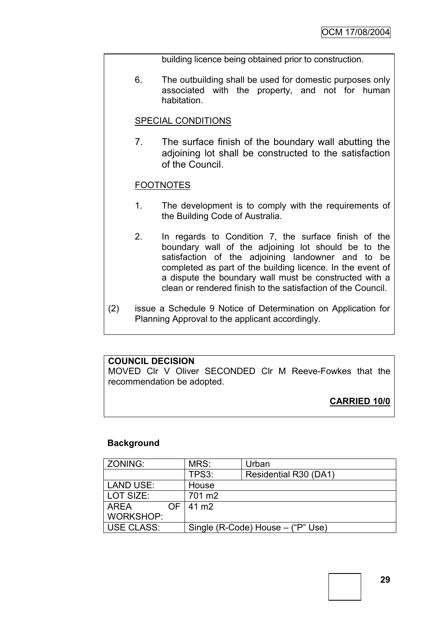building licence being obtained prior to construction.

6. The outbuilding shall be used for domestic purposes only associated with the property, and not for human habitation.

#### SPECIAL CONDITIONS

7. The surface finish of the boundary wall abutting the adjoining lot shall be constructed to the satisfaction of the Council.

#### FOOTNOTES

- 1. The development is to comply with the requirements of the Building Code of Australia.
- 2. In regards to Condition 7, the surface finish of the boundary wall of the adjoining lot should be to the satisfaction of the adjoining landowner and to be completed as part of the building licence. In the event of a dispute the boundary wall must be constructed with a clean or rendered finish to the satisfaction of the Council.
- (2) issue a Schedule 9 Notice of Determination on Application for Planning Approval to the applicant accordingly.

#### **COUNCIL DECISION**

MOVED Clr V Oliver SECONDED Clr M Reeve-Fowkes that the recommendation be adopted.

**CARRIED 10/0**

#### **Background**

| ZONING:      |     | MRS:                              | Urban                 |  |
|--------------|-----|-----------------------------------|-----------------------|--|
|              |     | TPS3:                             | Residential R30 (DA1) |  |
| LAND USE:    |     | House                             |                       |  |
| LOT SIZE:    |     | 701 m <sub>2</sub>                |                       |  |
| l AREA       | OF. | 41 m <sub>2</sub>                 |                       |  |
| WORKSHOP:    |     |                                   |                       |  |
| ∣ USE CLASS: |     | Single (R-Code) House – ("P" Use) |                       |  |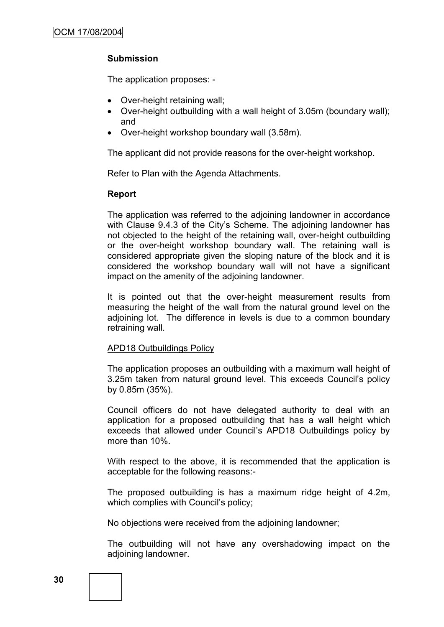### **Submission**

The application proposes: -

- Over-height retaining wall;
- Over-height outbuilding with a wall height of 3.05m (boundary wall); and
- Over-height workshop boundary wall (3.58m).

The applicant did not provide reasons for the over-height workshop.

Refer to Plan with the Agenda Attachments.

#### **Report**

The application was referred to the adjoining landowner in accordance with Clause 9.4.3 of the City's Scheme. The adioining landowner has not objected to the height of the retaining wall, over-height outbuilding or the over-height workshop boundary wall. The retaining wall is considered appropriate given the sloping nature of the block and it is considered the workshop boundary wall will not have a significant impact on the amenity of the adjoining landowner.

It is pointed out that the over-height measurement results from measuring the height of the wall from the natural ground level on the adjoining lot. The difference in levels is due to a common boundary retraining wall.

#### APD18 Outbuildings Policy

The application proposes an outbuilding with a maximum wall height of 3.25m taken from natural ground level. This exceeds Council"s policy by 0.85m (35%).

Council officers do not have delegated authority to deal with an application for a proposed outbuilding that has a wall height which exceeds that allowed under Council's APD18 Outbuildings policy by more than 10%.

With respect to the above, it is recommended that the application is acceptable for the following reasons:-

The proposed outbuilding is has a maximum ridge height of 4.2m, which complies with Council's policy;

No objections were received from the adjoining landowner;

The outbuilding will not have any overshadowing impact on the adjoining landowner.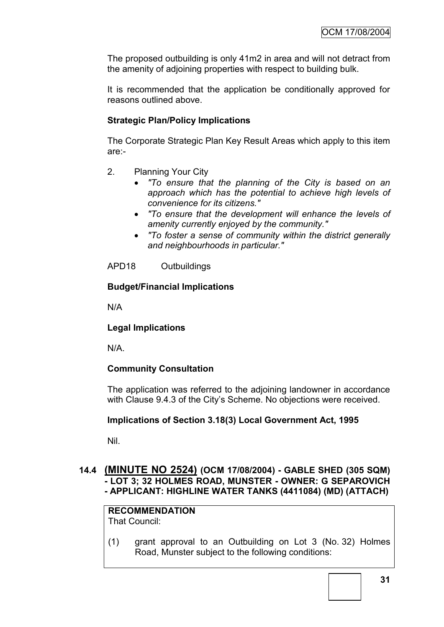The proposed outbuilding is only 41m2 in area and will not detract from the amenity of adjoining properties with respect to building bulk.

It is recommended that the application be conditionally approved for reasons outlined above.

### **Strategic Plan/Policy Implications**

The Corporate Strategic Plan Key Result Areas which apply to this item are:-

- 2. Planning Your City
	- *"To ensure that the planning of the City is based on an approach which has the potential to achieve high levels of convenience for its citizens."*
	- *"To ensure that the development will enhance the levels of amenity currently enjoyed by the community."*
	- *"To foster a sense of community within the district generally and neighbourhoods in particular."*

APD18 Outbuildings

#### **Budget/Financial Implications**

N/A

#### **Legal Implications**

N/A.

#### **Community Consultation**

The application was referred to the adjoining landowner in accordance with Clause 9.4.3 of the City's Scheme. No objections were received.

#### **Implications of Section 3.18(3) Local Government Act, 1995**

Nil.

#### **14.4 (MINUTE NO 2524) (OCM 17/08/2004) - GABLE SHED (305 SQM) - LOT 3; 32 HOLMES ROAD, MUNSTER - OWNER: G SEPAROVICH - APPLICANT: HIGHLINE WATER TANKS (4411084) (MD) (ATTACH)**

#### **RECOMMENDATION** That Council:

(1) grant approval to an Outbuilding on Lot 3 (No. 32) Holmes Road, Munster subject to the following conditions: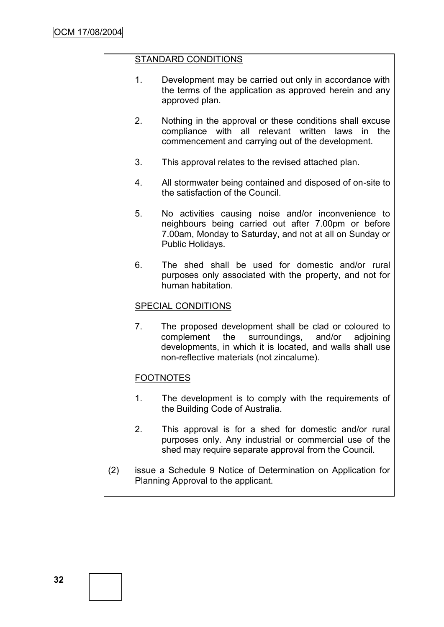#### STANDARD CONDITIONS

- 1. Development may be carried out only in accordance with the terms of the application as approved herein and any approved plan.
- 2. Nothing in the approval or these conditions shall excuse compliance with all relevant written laws in the commencement and carrying out of the development.
- 3. This approval relates to the revised attached plan.
- 4. All stormwater being contained and disposed of on-site to the satisfaction of the Council.
- 5. No activities causing noise and/or inconvenience to neighbours being carried out after 7.00pm or before 7.00am, Monday to Saturday, and not at all on Sunday or Public Holidays.
- 6. The shed shall be used for domestic and/or rural purposes only associated with the property, and not for human habitation.

#### SPECIAL CONDITIONS

7. The proposed development shall be clad or coloured to complement the surroundings, and/or adjoining developments, in which it is located, and walls shall use non-reflective materials (not zincalume).

### FOOTNOTES

- 1. The development is to comply with the requirements of the Building Code of Australia.
- 2. This approval is for a shed for domestic and/or rural purposes only. Any industrial or commercial use of the shed may require separate approval from the Council.
- (2) issue a Schedule 9 Notice of Determination on Application for Planning Approval to the applicant.

**32**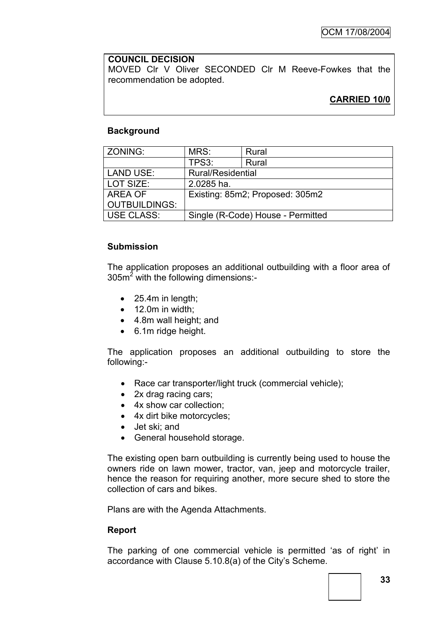#### **COUNCIL DECISION**

MOVED Clr V Oliver SECONDED Clr M Reeve-Fowkes that the recommendation be adopted.

## **CARRIED 10/0**

## **Background**

| ZONING:              | MRS:                              | Rural |  |
|----------------------|-----------------------------------|-------|--|
|                      | TPS3:                             | Rural |  |
| <b>LAND USE:</b>     | <b>Rural/Residential</b>          |       |  |
| LOT SIZE:            | 2.0285 ha.                        |       |  |
| AREA OF              | Existing: 85m2; Proposed: 305m2   |       |  |
| <b>OUTBUILDINGS:</b> |                                   |       |  |
| USE CLASS:           | Single (R-Code) House - Permitted |       |  |

#### **Submission**

The application proposes an additional outbuilding with a floor area of  $305m<sup>2</sup>$  with the following dimensions:-

- 25.4m in length:
- $\bullet$  12.0m in width;
- 4.8m wall height; and
- 6.1m ridge height.

The application proposes an additional outbuilding to store the following:-

- Race car transporter/light truck (commercial vehicle);
- 2x drag racing cars;
- 4x show car collection:
- 4x dirt bike motorcycles;
- Jet ski; and
- General household storage.

The existing open barn outbuilding is currently being used to house the owners ride on lawn mower, tractor, van, jeep and motorcycle trailer, hence the reason for requiring another, more secure shed to store the collection of cars and bikes.

Plans are with the Agenda Attachments.

#### **Report**

The parking of one commercial vehicle is permitted "as of right" in accordance with Clause 5.10.8(a) of the City"s Scheme.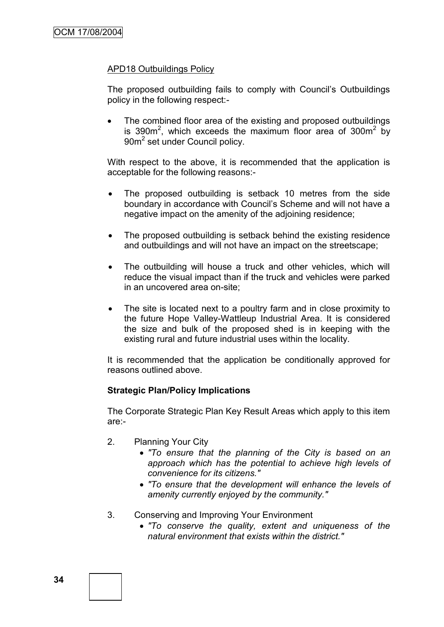## APD18 Outbuildings Policy

The proposed outbuilding fails to comply with Council"s Outbuildings policy in the following respect:-

• The combined floor area of the existing and proposed outbuildings is 390 $m^2$ , which exceeds the maximum floor area of 300 $m^2$  by 90m<sup>2</sup> set under Council policy.

With respect to the above, it is recommended that the application is acceptable for the following reasons:-

- The proposed outbuilding is setback 10 metres from the side boundary in accordance with Council's Scheme and will not have a negative impact on the amenity of the adjoining residence;
- The proposed outbuilding is setback behind the existing residence and outbuildings and will not have an impact on the streetscape;
- The outbuilding will house a truck and other vehicles, which will reduce the visual impact than if the truck and vehicles were parked in an uncovered area on-site;
- The site is located next to a poultry farm and in close proximity to the future Hope Valley-Wattleup Industrial Area. It is considered the size and bulk of the proposed shed is in keeping with the existing rural and future industrial uses within the locality.

It is recommended that the application be conditionally approved for reasons outlined above.

#### **Strategic Plan/Policy Implications**

The Corporate Strategic Plan Key Result Areas which apply to this item are:-

- 2. Planning Your City
	- *"To ensure that the planning of the City is based on an approach which has the potential to achieve high levels of convenience for its citizens."*
	- *"To ensure that the development will enhance the levels of amenity currently enjoyed by the community."*
- 3. Conserving and Improving Your Environment
	- *"To conserve the quality, extent and uniqueness of the natural environment that exists within the district."*

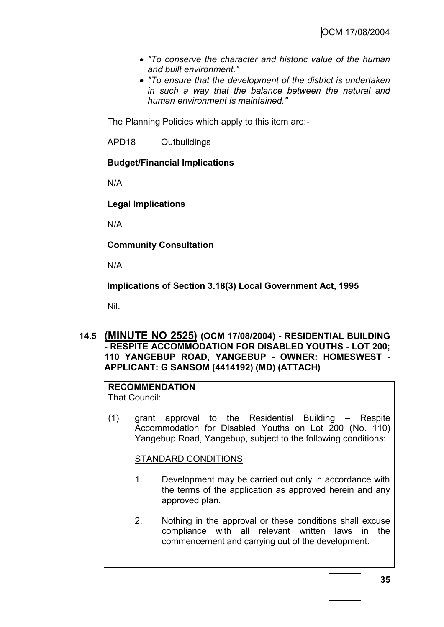- *"To conserve the character and historic value of the human and built environment."*
- *"To ensure that the development of the district is undertaken in such a way that the balance between the natural and human environment is maintained."*

The Planning Policies which apply to this item are:-

APD18 Outbuildings

## **Budget/Financial Implications**

N/A

## **Legal Implications**

N/A

**Community Consultation**

N/A

**Implications of Section 3.18(3) Local Government Act, 1995**

Nil.

## **14.5 (MINUTE NO 2525) (OCM 17/08/2004) - RESIDENTIAL BUILDING - RESPITE ACCOMMODATION FOR DISABLED YOUTHS - LOT 200; 110 YANGEBUP ROAD, YANGEBUP - OWNER: HOMESWEST - APPLICANT: G SANSOM (4414192) (MD) (ATTACH)**

# **RECOMMENDATION**

That Council:

(1) grant approval to the Residential Building – Respite Accommodation for Disabled Youths on Lot 200 (No. 110) Yangebup Road, Yangebup, subject to the following conditions:

STANDARD CONDITIONS

- 1. Development may be carried out only in accordance with the terms of the application as approved herein and any approved plan.
- 2. Nothing in the approval or these conditions shall excuse compliance with all relevant written laws in the commencement and carrying out of the development.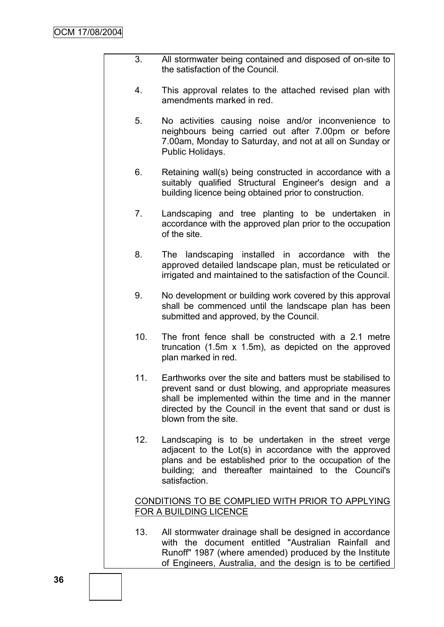- 3. All stormwater being contained and disposed of on-site to the satisfaction of the Council.
- 4. This approval relates to the attached revised plan with amendments marked in red.
- 5. No activities causing noise and/or inconvenience to neighbours being carried out after 7.00pm or before 7.00am, Monday to Saturday, and not at all on Sunday or Public Holidays.
- 6. Retaining wall(s) being constructed in accordance with a suitably qualified Structural Engineer's design and a building licence being obtained prior to construction.
- 7. Landscaping and tree planting to be undertaken in accordance with the approved plan prior to the occupation of the site.
- 8. The landscaping installed in accordance with the approved detailed landscape plan, must be reticulated or irrigated and maintained to the satisfaction of the Council.
- 9. No development or building work covered by this approval shall be commenced until the landscape plan has been submitted and approved, by the Council.
- 10. The front fence shall be constructed with a 2.1 metre truncation (1.5m x 1.5m), as depicted on the approved plan marked in red.
- 11. Earthworks over the site and batters must be stabilised to prevent sand or dust blowing, and appropriate measures shall be implemented within the time and in the manner directed by the Council in the event that sand or dust is blown from the site.
- 12. Landscaping is to be undertaken in the street verge adjacent to the Lot(s) in accordance with the approved plans and be established prior to the occupation of the building; and thereafter maintained to the Council's satisfaction.

## CONDITIONS TO BE COMPLIED WITH PRIOR TO APPLYING FOR A BUILDING LICENCE

13. All stormwater drainage shall be designed in accordance with the document entitled "Australian Rainfall and Runoff" 1987 (where amended) produced by the Institute of Engineers, Australia, and the design is to be certified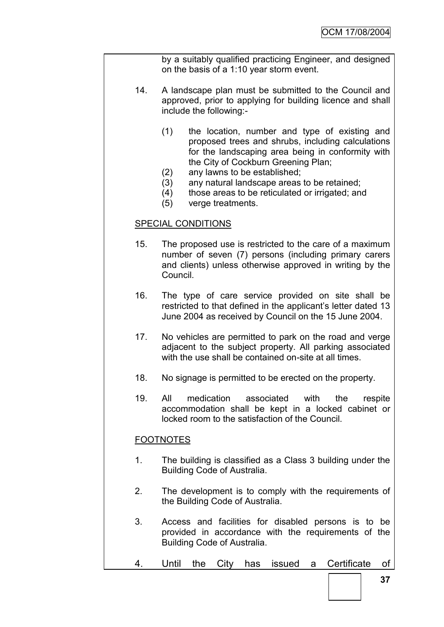by a suitably qualified practicing Engineer, and designed on the basis of a 1:10 year storm event.

- 14. A landscape plan must be submitted to the Council and approved, prior to applying for building licence and shall include the following:-
	- (1) the location, number and type of existing and proposed trees and shrubs, including calculations for the landscaping area being in conformity with the City of Cockburn Greening Plan;
	- (2) any lawns to be established;
	- (3) any natural landscape areas to be retained;
	- (4) those areas to be reticulated or irrigated; and
	- (5) verge treatments.

#### SPECIAL CONDITIONS

- 15. The proposed use is restricted to the care of a maximum number of seven (7) persons (including primary carers and clients) unless otherwise approved in writing by the Council.
- 16. The type of care service provided on site shall be restricted to that defined in the applicant's letter dated 13 June 2004 as received by Council on the 15 June 2004.
- 17. No vehicles are permitted to park on the road and verge adjacent to the subject property. All parking associated with the use shall be contained on-site at all times.
- 18. No signage is permitted to be erected on the property.
- 19. All medication associated with the respite accommodation shall be kept in a locked cabinet or locked room to the satisfaction of the Council.

#### **FOOTNOTES**

- 1. The building is classified as a Class 3 building under the Building Code of Australia.
- 2. The development is to comply with the requirements of the Building Code of Australia.
- 3. Access and facilities for disabled persons is to be provided in accordance with the requirements of the Building Code of Australia.
- 4. Until the City has issued a Certificate of

**37**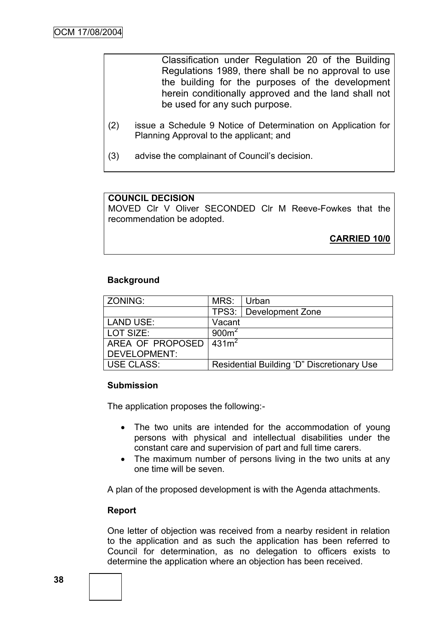Classification under Regulation 20 of the Building Regulations 1989, there shall be no approval to use the building for the purposes of the development herein conditionally approved and the land shall not be used for any such purpose.

- (2) issue a Schedule 9 Notice of Determination on Application for Planning Approval to the applicant; and
- (3) advise the complainant of Council"s decision.

#### **COUNCIL DECISION**

MOVED Clr V Oliver SECONDED Clr M Reeve-Fowkes that the recommendation be adopted.

**CARRIED 10/0**

#### **Background**

| ZONING:             | MRS:              | Urban                                      |
|---------------------|-------------------|--------------------------------------------|
|                     |                   | TPS3:   Development Zone                   |
| <b>LAND USE:</b>    | Vacant            |                                            |
| LOT SIZE:           | 900 <sup>m²</sup> |                                            |
| AREA OF PROPOSED    | $\sqrt{431m^2}$   |                                            |
| <b>DEVELOPMENT:</b> |                   |                                            |
| <b>USE CLASS:</b>   |                   | Residential Building 'D" Discretionary Use |

#### **Submission**

The application proposes the following:-

- The two units are intended for the accommodation of young persons with physical and intellectual disabilities under the constant care and supervision of part and full time carers.
- The maximum number of persons living in the two units at any one time will be seven.

A plan of the proposed development is with the Agenda attachments.

#### **Report**

One letter of objection was received from a nearby resident in relation to the application and as such the application has been referred to Council for determination, as no delegation to officers exists to determine the application where an objection has been received.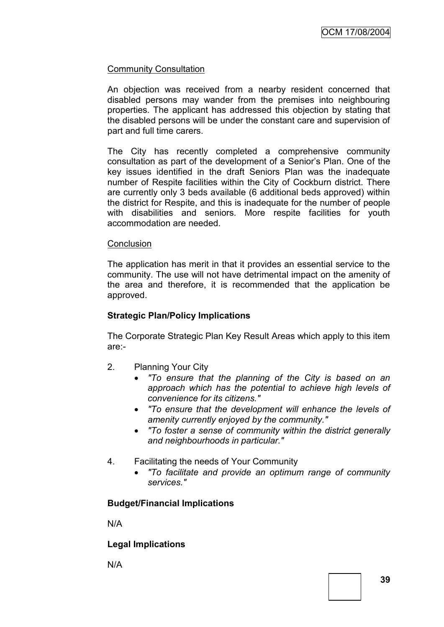## Community Consultation

An objection was received from a nearby resident concerned that disabled persons may wander from the premises into neighbouring properties. The applicant has addressed this objection by stating that the disabled persons will be under the constant care and supervision of part and full time carers.

The City has recently completed a comprehensive community consultation as part of the development of a Senior"s Plan. One of the key issues identified in the draft Seniors Plan was the inadequate number of Respite facilities within the City of Cockburn district. There are currently only 3 beds available (6 additional beds approved) within the district for Respite, and this is inadequate for the number of people with disabilities and seniors. More respite facilities for youth accommodation are needed.

#### **Conclusion**

The application has merit in that it provides an essential service to the community. The use will not have detrimental impact on the amenity of the area and therefore, it is recommended that the application be approved.

#### **Strategic Plan/Policy Implications**

The Corporate Strategic Plan Key Result Areas which apply to this item are:-

- 2. Planning Your City
	- *"To ensure that the planning of the City is based on an approach which has the potential to achieve high levels of convenience for its citizens."*
	- *"To ensure that the development will enhance the levels of amenity currently enjoyed by the community."*
	- *"To foster a sense of community within the district generally and neighbourhoods in particular."*
- 4. Facilitating the needs of Your Community
	- *"To facilitate and provide an optimum range of community services."*

#### **Budget/Financial Implications**

N/A

#### **Legal Implications**

N/A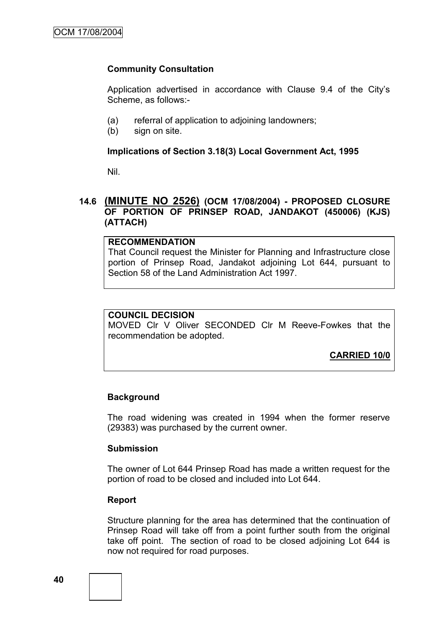## **Community Consultation**

Application advertised in accordance with Clause 9.4 of the City"s Scheme, as follows:-

- (a) referral of application to adjoining landowners;
- (b) sign on site.

#### **Implications of Section 3.18(3) Local Government Act, 1995**

Nil.

## **14.6 (MINUTE NO 2526) (OCM 17/08/2004) - PROPOSED CLOSURE OF PORTION OF PRINSEP ROAD, JANDAKOT (450006) (KJS) (ATTACH)**

## **RECOMMENDATION**

That Council request the Minister for Planning and Infrastructure close portion of Prinsep Road, Jandakot adjoining Lot 644, pursuant to Section 58 of the Land Administration Act 1997.

#### **COUNCIL DECISION**

MOVED Clr V Oliver SECONDED Clr M Reeve-Fowkes that the recommendation be adopted.

**CARRIED 10/0**

#### **Background**

The road widening was created in 1994 when the former reserve (29383) was purchased by the current owner.

#### **Submission**

The owner of Lot 644 Prinsep Road has made a written request for the portion of road to be closed and included into Lot 644.

#### **Report**

Structure planning for the area has determined that the continuation of Prinsep Road will take off from a point further south from the original take off point. The section of road to be closed adjoining Lot 644 is now not required for road purposes.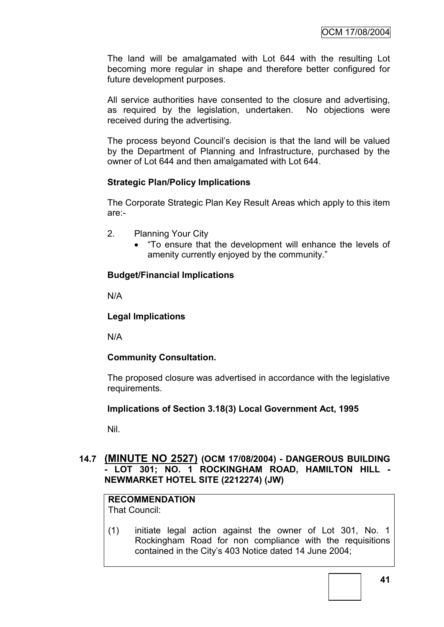The land will be amalgamated with Lot 644 with the resulting Lot becoming more regular in shape and therefore better configured for future development purposes.

All service authorities have consented to the closure and advertising, as required by the legislation, undertaken. No objections were received during the advertising.

The process beyond Council"s decision is that the land will be valued by the Department of Planning and Infrastructure, purchased by the owner of Lot 644 and then amalgamated with Lot 644.

## **Strategic Plan/Policy Implications**

The Corporate Strategic Plan Key Result Areas which apply to this item are:-

- 2. Planning Your City
	- "To ensure that the development will enhance the levels of amenity currently enjoyed by the community."

## **Budget/Financial Implications**

N/A

## **Legal Implications**

N/A

## **Community Consultation.**

The proposed closure was advertised in accordance with the legislative requirements.

#### **Implications of Section 3.18(3) Local Government Act, 1995**

Nil.

## **14.7 (MINUTE NO 2527) (OCM 17/08/2004) - DANGEROUS BUILDING - LOT 301; NO. 1 ROCKINGHAM ROAD, HAMILTON HILL - NEWMARKET HOTEL SITE (2212274) (JW)**

## **RECOMMENDATION**

That Council:

(1) initiate legal action against the owner of Lot 301, No. 1 Rockingham Road for non compliance with the requisitions contained in the City"s 403 Notice dated 14 June 2004;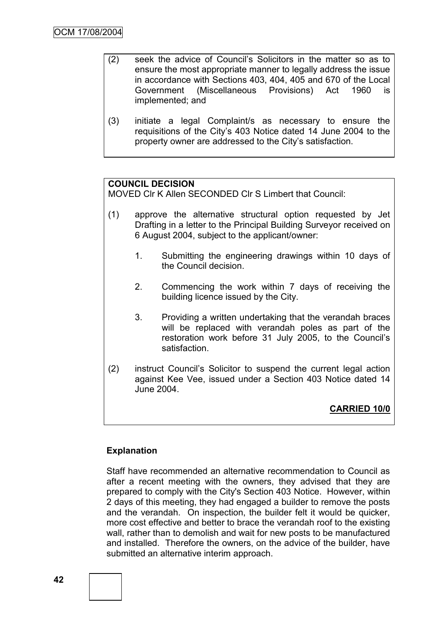- (2) seek the advice of Council"s Solicitors in the matter so as to ensure the most appropriate manner to legally address the issue in accordance with Sections 403, 404, 405 and 670 of the Local Government (Miscellaneous Provisions) Act 1960 is implemented; and
- (3) initiate a legal Complaint/s as necessary to ensure the requisitions of the City"s 403 Notice dated 14 June 2004 to the property owner are addressed to the City"s satisfaction.

## **COUNCIL DECISION**

MOVED Clr K Allen SECONDED Clr S Limbert that Council:

- (1) approve the alternative structural option requested by Jet Drafting in a letter to the Principal Building Surveyor received on 6 August 2004, subject to the applicant/owner:
	- 1. Submitting the engineering drawings within 10 days of the Council decision.
	- 2. Commencing the work within 7 days of receiving the building licence issued by the City.
	- 3. Providing a written undertaking that the verandah braces will be replaced with verandah poles as part of the restoration work before 31 July 2005, to the Council"s satisfaction.
- (2) instruct Council"s Solicitor to suspend the current legal action against Kee Vee, issued under a Section 403 Notice dated 14 June 2004.

**CARRIED 10/0**

#### **Explanation**

Staff have recommended an alternative recommendation to Council as after a recent meeting with the owners, they advised that they are prepared to comply with the City's Section 403 Notice. However, within 2 days of this meeting, they had engaged a builder to remove the posts and the verandah. On inspection, the builder felt it would be quicker, more cost effective and better to brace the verandah roof to the existing wall, rather than to demolish and wait for new posts to be manufactured and installed. Therefore the owners, on the advice of the builder, have submitted an alternative interim approach.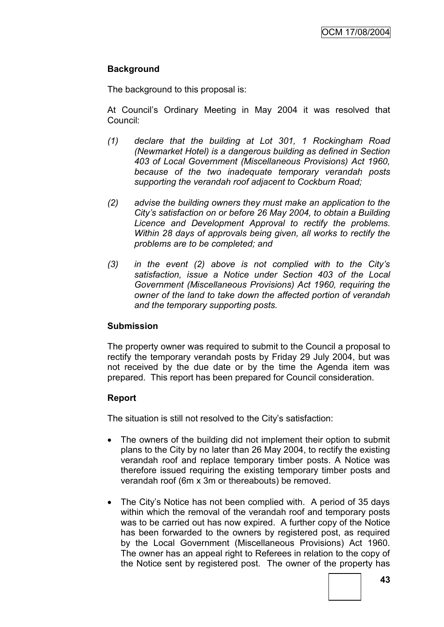## **Background**

The background to this proposal is:

At Council"s Ordinary Meeting in May 2004 it was resolved that Council:

- *(1) declare that the building at Lot 301, 1 Rockingham Road (Newmarket Hotel) is a dangerous building as defined in Section 403 of Local Government (Miscellaneous Provisions) Act 1960, because of the two inadequate temporary verandah posts supporting the verandah roof adjacent to Cockburn Road;*
- *(2) advise the building owners they must make an application to the City"s satisfaction on or before 26 May 2004, to obtain a Building Licence and Development Approval to rectify the problems. Within 28 days of approvals being given, all works to rectify the problems are to be completed; and*
- *(3) in the event (2) above is not complied with to the City"s satisfaction, issue a Notice under Section 403 of the Local Government (Miscellaneous Provisions) Act 1960, requiring the owner of the land to take down the affected portion of verandah and the temporary supporting posts.*

## **Submission**

The property owner was required to submit to the Council a proposal to rectify the temporary verandah posts by Friday 29 July 2004, but was not received by the due date or by the time the Agenda item was prepared. This report has been prepared for Council consideration.

## **Report**

The situation is still not resolved to the City"s satisfaction:

- The owners of the building did not implement their option to submit plans to the City by no later than 26 May 2004, to rectify the existing verandah roof and replace temporary timber posts. A Notice was therefore issued requiring the existing temporary timber posts and verandah roof (6m x 3m or thereabouts) be removed.
- The City's Notice has not been complied with. A period of 35 days within which the removal of the verandah roof and temporary posts was to be carried out has now expired. A further copy of the Notice has been forwarded to the owners by registered post, as required by the Local Government (Miscellaneous Provisions) Act 1960. The owner has an appeal right to Referees in relation to the copy of the Notice sent by registered post. The owner of the property has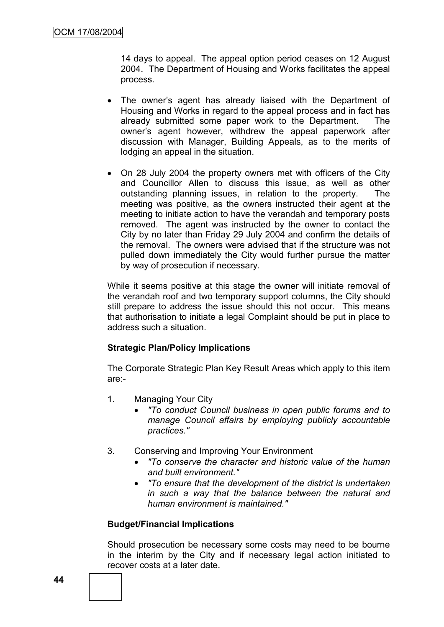14 days to appeal. The appeal option period ceases on 12 August 2004. The Department of Housing and Works facilitates the appeal process.

- The owner"s agent has already liaised with the Department of Housing and Works in regard to the appeal process and in fact has already submitted some paper work to the Department. The owner"s agent however, withdrew the appeal paperwork after discussion with Manager, Building Appeals, as to the merits of lodging an appeal in the situation.
- On 28 July 2004 the property owners met with officers of the City and Councillor Allen to discuss this issue, as well as other outstanding planning issues, in relation to the property. The meeting was positive, as the owners instructed their agent at the meeting to initiate action to have the verandah and temporary posts removed. The agent was instructed by the owner to contact the City by no later than Friday 29 July 2004 and confirm the details of the removal. The owners were advised that if the structure was not pulled down immediately the City would further pursue the matter by way of prosecution if necessary.

While it seems positive at this stage the owner will initiate removal of the verandah roof and two temporary support columns, the City should still prepare to address the issue should this not occur. This means that authorisation to initiate a legal Complaint should be put in place to address such a situation.

#### **Strategic Plan/Policy Implications**

The Corporate Strategic Plan Key Result Areas which apply to this item are:-

- 1. Managing Your City
	- *"To conduct Council business in open public forums and to manage Council affairs by employing publicly accountable practices."*
- 3. Conserving and Improving Your Environment
	- *"To conserve the character and historic value of the human and built environment."*
	- *"To ensure that the development of the district is undertaken in such a way that the balance between the natural and human environment is maintained."*

#### **Budget/Financial Implications**

Should prosecution be necessary some costs may need to be bourne in the interim by the City and if necessary legal action initiated to recover costs at a later date.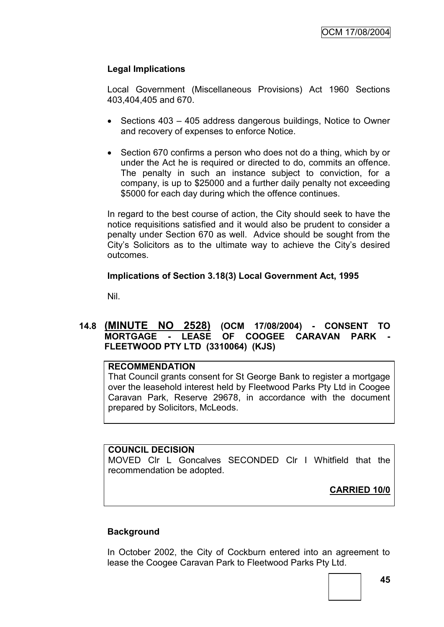## **Legal Implications**

Local Government (Miscellaneous Provisions) Act 1960 Sections 403,404,405 and 670.

- Sections 403 405 address dangerous buildings, Notice to Owner and recovery of expenses to enforce Notice.
- Section 670 confirms a person who does not do a thing, which by or under the Act he is required or directed to do, commits an offence. The penalty in such an instance subject to conviction, for a company, is up to \$25000 and a further daily penalty not exceeding \$5000 for each day during which the offence continues.

In regard to the best course of action, the City should seek to have the notice requisitions satisfied and it would also be prudent to consider a penalty under Section 670 as well. Advice should be sought from the City"s Solicitors as to the ultimate way to achieve the City"s desired outcomes.

## **Implications of Section 3.18(3) Local Government Act, 1995**

Nil.

## **14.8 (MINUTE NO 2528) (OCM 17/08/2004) - CONSENT TO MORTGAGE - LEASE OF COOGEE CARAVAN PARK - FLEETWOOD PTY LTD (3310064) (KJS)**

#### **RECOMMENDATION**

That Council grants consent for St George Bank to register a mortgage over the leasehold interest held by Fleetwood Parks Pty Ltd in Coogee Caravan Park, Reserve 29678, in accordance with the document prepared by Solicitors, McLeods.

#### **COUNCIL DECISION**

MOVED Clr L Goncalves SECONDED Clr I Whitfield that the recommendation be adopted.

**CARRIED 10/0**

#### **Background**

In October 2002, the City of Cockburn entered into an agreement to lease the Coogee Caravan Park to Fleetwood Parks Pty Ltd.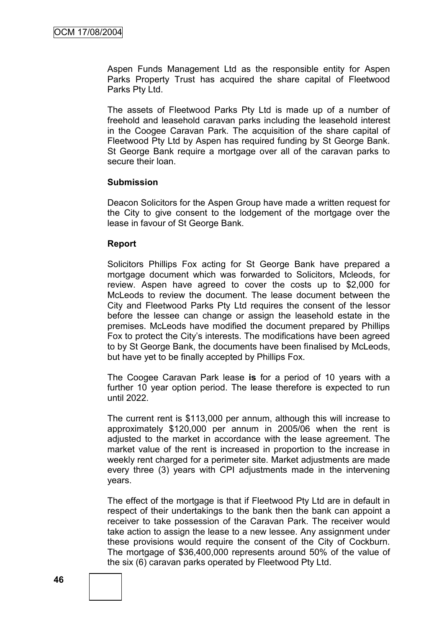Aspen Funds Management Ltd as the responsible entity for Aspen Parks Property Trust has acquired the share capital of Fleetwood Parks Pty Ltd.

The assets of Fleetwood Parks Pty Ltd is made up of a number of freehold and leasehold caravan parks including the leasehold interest in the Coogee Caravan Park. The acquisition of the share capital of Fleetwood Pty Ltd by Aspen has required funding by St George Bank. St George Bank require a mortgage over all of the caravan parks to secure their loan.

#### **Submission**

Deacon Solicitors for the Aspen Group have made a written request for the City to give consent to the lodgement of the mortgage over the lease in favour of St George Bank.

#### **Report**

Solicitors Phillips Fox acting for St George Bank have prepared a mortgage document which was forwarded to Solicitors, Mcleods, for review. Aspen have agreed to cover the costs up to \$2,000 for McLeods to review the document. The lease document between the City and Fleetwood Parks Pty Ltd requires the consent of the lessor before the lessee can change or assign the leasehold estate in the premises. McLeods have modified the document prepared by Phillips Fox to protect the City"s interests. The modifications have been agreed to by St George Bank, the documents have been finalised by McLeods, but have yet to be finally accepted by Phillips Fox.

The Coogee Caravan Park lease **is** for a period of 10 years with a further 10 year option period. The lease therefore is expected to run until 2022.

The current rent is \$113,000 per annum, although this will increase to approximately \$120,000 per annum in 2005/06 when the rent is adjusted to the market in accordance with the lease agreement. The market value of the rent is increased in proportion to the increase in weekly rent charged for a perimeter site. Market adjustments are made every three (3) years with CPI adjustments made in the intervening years.

The effect of the mortgage is that if Fleetwood Pty Ltd are in default in respect of their undertakings to the bank then the bank can appoint a receiver to take possession of the Caravan Park. The receiver would take action to assign the lease to a new lessee. Any assignment under these provisions would require the consent of the City of Cockburn. The mortgage of \$36,400,000 represents around 50% of the value of the six (6) caravan parks operated by Fleetwood Pty Ltd.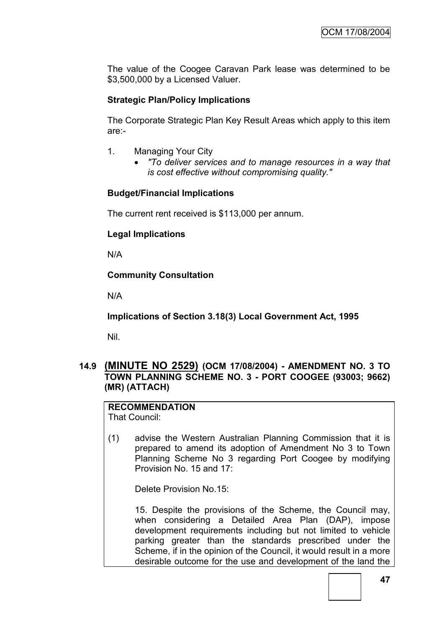The value of the Coogee Caravan Park lease was determined to be \$3,500,000 by a Licensed Valuer.

## **Strategic Plan/Policy Implications**

The Corporate Strategic Plan Key Result Areas which apply to this item are:-

- 1. Managing Your City
	- *"To deliver services and to manage resources in a way that is cost effective without compromising quality."*

#### **Budget/Financial Implications**

The current rent received is \$113,000 per annum.

#### **Legal Implications**

N/A

#### **Community Consultation**

N/A

**Implications of Section 3.18(3) Local Government Act, 1995**

Nil.

#### **14.9 (MINUTE NO 2529) (OCM 17/08/2004) - AMENDMENT NO. 3 TO TOWN PLANNING SCHEME NO. 3 - PORT COOGEE (93003; 9662) (MR) (ATTACH)**

**RECOMMENDATION** That Council:

(1) advise the Western Australian Planning Commission that it is prepared to amend its adoption of Amendment No 3 to Town Planning Scheme No 3 regarding Port Coogee by modifying Provision No. 15 and 17:

Delete Provision No.15:

15. Despite the provisions of the Scheme, the Council may, when considering a Detailed Area Plan (DAP), impose development requirements including but not limited to vehicle parking greater than the standards prescribed under the Scheme, if in the opinion of the Council, it would result in a more desirable outcome for the use and development of the land the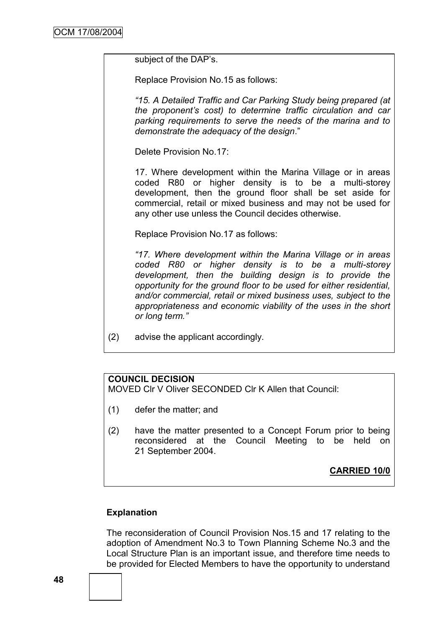subject of the DAP's.

Replace Provision No.15 as follows:

*"15. A Detailed Traffic and Car Parking Study being prepared (at the proponent"s cost) to determine traffic circulation and car parking requirements to serve the needs of the marina and to demonstrate the adequacy of the design*."

Delete Provision No.17:

17. Where development within the Marina Village or in areas coded R80 or higher density is to be a multi-storey development, then the ground floor shall be set aside for commercial, retail or mixed business and may not be used for any other use unless the Council decides otherwise.

Replace Provision No.17 as follows:

*"17. Where development within the Marina Village or in areas coded R80 or higher density is to be a multi-storey development, then the building design is to provide the opportunity for the ground floor to be used for either residential, and/or commercial, retail or mixed business uses, subject to the appropriateness and economic viability of the uses in the short or long term."*

(2) advise the applicant accordingly.

## **COUNCIL DECISION**

MOVED Clr V Oliver SECONDED Clr K Allen that Council:

- (1) defer the matter; and
- (2) have the matter presented to a Concept Forum prior to being reconsidered at the Council Meeting to be held on 21 September 2004.

**CARRIED 10/0**

#### **Explanation**

The reconsideration of Council Provision Nos.15 and 17 relating to the adoption of Amendment No.3 to Town Planning Scheme No.3 and the Local Structure Plan is an important issue, and therefore time needs to be provided for Elected Members to have the opportunity to understand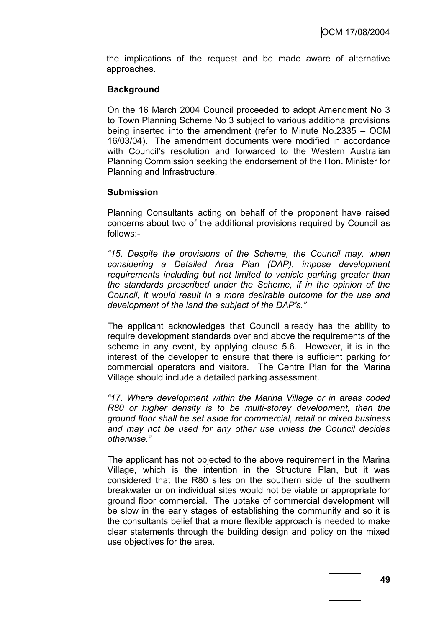the implications of the request and be made aware of alternative approaches.

## **Background**

On the 16 March 2004 Council proceeded to adopt Amendment No 3 to Town Planning Scheme No 3 subject to various additional provisions being inserted into the amendment (refer to Minute No.2335 – OCM 16/03/04). The amendment documents were modified in accordance with Council's resolution and forwarded to the Western Australian Planning Commission seeking the endorsement of the Hon. Minister for Planning and Infrastructure.

#### **Submission**

Planning Consultants acting on behalf of the proponent have raised concerns about two of the additional provisions required by Council as follows:-

*"15. Despite the provisions of the Scheme, the Council may, when considering a Detailed Area Plan (DAP), impose development requirements including but not limited to vehicle parking greater than the standards prescribed under the Scheme, if in the opinion of the Council, it would result in a more desirable outcome for the use and development of the land the subject of the DAP"s."*

The applicant acknowledges that Council already has the ability to require development standards over and above the requirements of the scheme in any event, by applying clause 5.6. However, it is in the interest of the developer to ensure that there is sufficient parking for commercial operators and visitors. The Centre Plan for the Marina Village should include a detailed parking assessment.

*"17. Where development within the Marina Village or in areas coded R80 or higher density is to be multi-storey development, then the ground floor shall be set aside for commercial, retail or mixed business and may not be used for any other use unless the Council decides otherwise."*

The applicant has not objected to the above requirement in the Marina Village, which is the intention in the Structure Plan, but it was considered that the R80 sites on the southern side of the southern breakwater or on individual sites would not be viable or appropriate for ground floor commercial. The uptake of commercial development will be slow in the early stages of establishing the community and so it is the consultants belief that a more flexible approach is needed to make clear statements through the building design and policy on the mixed use objectives for the area.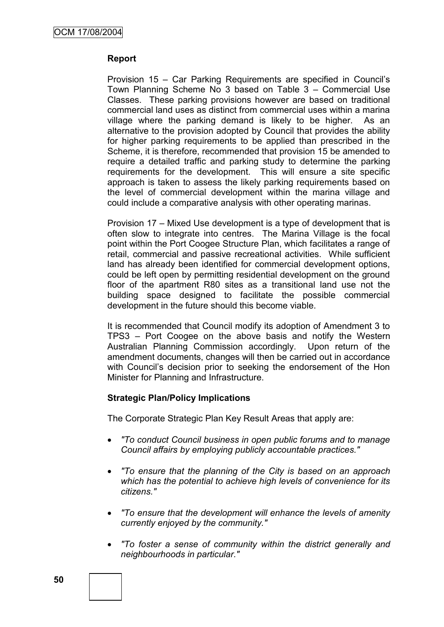#### **Report**

Provision 15 – Car Parking Requirements are specified in Council"s Town Planning Scheme No 3 based on Table 3 – Commercial Use Classes. These parking provisions however are based on traditional commercial land uses as distinct from commercial uses within a marina village where the parking demand is likely to be higher. As an alternative to the provision adopted by Council that provides the ability for higher parking requirements to be applied than prescribed in the Scheme, it is therefore, recommended that provision 15 be amended to require a detailed traffic and parking study to determine the parking requirements for the development. This will ensure a site specific approach is taken to assess the likely parking requirements based on the level of commercial development within the marina village and could include a comparative analysis with other operating marinas.

Provision 17 – Mixed Use development is a type of development that is often slow to integrate into centres. The Marina Village is the focal point within the Port Coogee Structure Plan, which facilitates a range of retail, commercial and passive recreational activities. While sufficient land has already been identified for commercial development options, could be left open by permitting residential development on the ground floor of the apartment R80 sites as a transitional land use not the building space designed to facilitate the possible commercial development in the future should this become viable.

It is recommended that Council modify its adoption of Amendment 3 to TPS3 – Port Coogee on the above basis and notify the Western Australian Planning Commission accordingly. Upon return of the amendment documents, changes will then be carried out in accordance with Council's decision prior to seeking the endorsement of the Hon Minister for Planning and Infrastructure.

#### **Strategic Plan/Policy Implications**

The Corporate Strategic Plan Key Result Areas that apply are:

- *"To conduct Council business in open public forums and to manage Council affairs by employing publicly accountable practices."*
- *"To ensure that the planning of the City is based on an approach which has the potential to achieve high levels of convenience for its citizens."*
- *"To ensure that the development will enhance the levels of amenity currently enjoyed by the community."*
- *"To foster a sense of community within the district generally and neighbourhoods in particular."*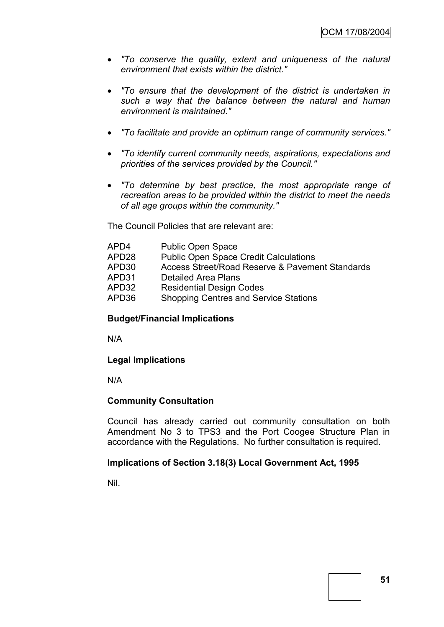- *"To conserve the quality, extent and uniqueness of the natural environment that exists within the district."*
- *"To ensure that the development of the district is undertaken in such a way that the balance between the natural and human environment is maintained."*
- *"To facilitate and provide an optimum range of community services."*
- *"To identify current community needs, aspirations, expectations and priorities of the services provided by the Council."*
- *"To determine by best practice, the most appropriate range of recreation areas to be provided within the district to meet the needs of all age groups within the community."*

The Council Policies that are relevant are:

| APD4  | <b>Public Open Space</b>                        |
|-------|-------------------------------------------------|
| APD28 | <b>Public Open Space Credit Calculations</b>    |
| APD30 | Access Street/Road Reserve & Pavement Standards |
| APD31 | <b>Detailed Area Plans</b>                      |
| APD32 | <b>Residential Design Codes</b>                 |
| APD36 | <b>Shopping Centres and Service Stations</b>    |
|       |                                                 |

#### **Budget/Financial Implications**

N/A

#### **Legal Implications**

N/A

#### **Community Consultation**

Council has already carried out community consultation on both Amendment No 3 to TPS3 and the Port Coogee Structure Plan in accordance with the Regulations. No further consultation is required.

#### **Implications of Section 3.18(3) Local Government Act, 1995**

Nil.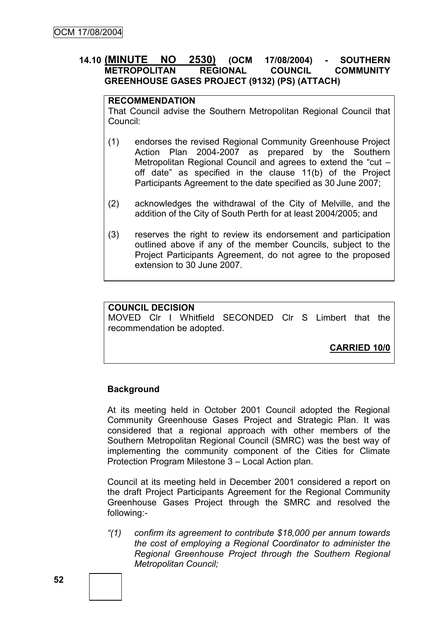## **14.10 (MINUTE NO 2530) (OCM 17/08/2004) - SOUTHERN METROPOLITAN REGIONAL COUNCIL COMMUNITY GREENHOUSE GASES PROJECT (9132) (PS) (ATTACH)**

#### **RECOMMENDATION**

That Council advise the Southern Metropolitan Regional Council that Council:

- (1) endorses the revised Regional Community Greenhouse Project Action Plan 2004-2007 as prepared by the Southern Metropolitan Regional Council and agrees to extend the "cut – off date" as specified in the clause 11(b) of the Project Participants Agreement to the date specified as 30 June 2007;
- (2) acknowledges the withdrawal of the City of Melville, and the addition of the City of South Perth for at least 2004/2005; and
- (3) reserves the right to review its endorsement and participation outlined above if any of the member Councils, subject to the Project Participants Agreement, do not agree to the proposed extension to 30 June 2007.

#### **COUNCIL DECISION**

MOVED Clr I Whitfield SECONDED Clr S Limbert that the recommendation be adopted.

**CARRIED 10/0**

#### **Background**

At its meeting held in October 2001 Council adopted the Regional Community Greenhouse Gases Project and Strategic Plan. It was considered that a regional approach with other members of the Southern Metropolitan Regional Council (SMRC) was the best way of implementing the community component of the Cities for Climate Protection Program Milestone 3 – Local Action plan.

Council at its meeting held in December 2001 considered a report on the draft Project Participants Agreement for the Regional Community Greenhouse Gases Project through the SMRC and resolved the following:-

*"(1) confirm its agreement to contribute \$18,000 per annum towards the cost of employing a Regional Coordinator to administer the Regional Greenhouse Project through the Southern Regional Metropolitan Council;*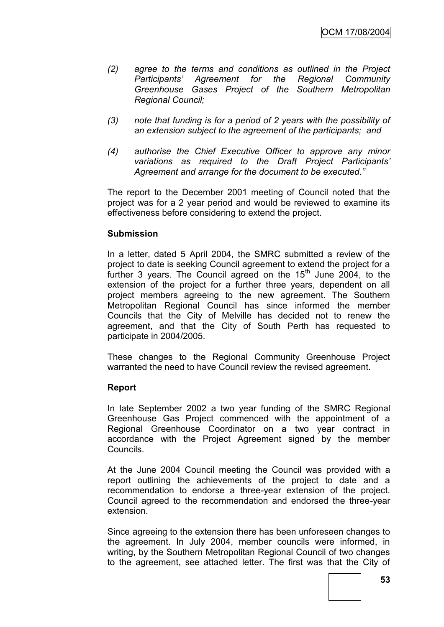- *(2) agree to the terms and conditions as outlined in the Project Participants" Agreement for the Regional Community Greenhouse Gases Project of the Southern Metropolitan Regional Council;*
- *(3) note that funding is for a period of 2 years with the possibility of an extension subject to the agreement of the participants; and*
- *(4) authorise the Chief Executive Officer to approve any minor variations as required to the Draft Project Participants" Agreement and arrange for the document to be executed."*

The report to the December 2001 meeting of Council noted that the project was for a 2 year period and would be reviewed to examine its effectiveness before considering to extend the project.

#### **Submission**

In a letter, dated 5 April 2004, the SMRC submitted a review of the project to date is seeking Council agreement to extend the project for a further 3 years. The Council agreed on the  $15<sup>th</sup>$  June 2004, to the extension of the project for a further three years, dependent on all project members agreeing to the new agreement. The Southern Metropolitan Regional Council has since informed the member Councils that the City of Melville has decided not to renew the agreement, and that the City of South Perth has requested to participate in 2004/2005.

These changes to the Regional Community Greenhouse Project warranted the need to have Council review the revised agreement.

#### **Report**

In late September 2002 a two year funding of the SMRC Regional Greenhouse Gas Project commenced with the appointment of a Regional Greenhouse Coordinator on a two year contract in accordance with the Project Agreement signed by the member Councils.

At the June 2004 Council meeting the Council was provided with a report outlining the achievements of the project to date and a recommendation to endorse a three-year extension of the project. Council agreed to the recommendation and endorsed the three-year extension.

Since agreeing to the extension there has been unforeseen changes to the agreement. In July 2004, member councils were informed, in writing, by the Southern Metropolitan Regional Council of two changes to the agreement, see attached letter. The first was that the City of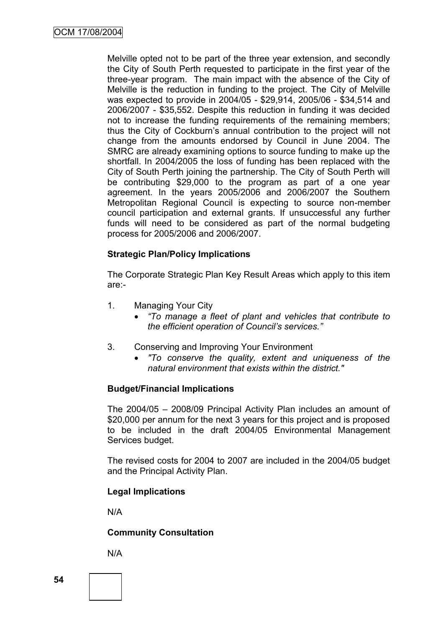Melville opted not to be part of the three year extension, and secondly the City of South Perth requested to participate in the first year of the three-year program. The main impact with the absence of the City of Melville is the reduction in funding to the project. The City of Melville was expected to provide in 2004/05 - \$29,914, 2005/06 - \$34,514 and 2006/2007 - \$35,552. Despite this reduction in funding it was decided not to increase the funding requirements of the remaining members; thus the City of Cockburn"s annual contribution to the project will not change from the amounts endorsed by Council in June 2004. The SMRC are already examining options to source funding to make up the shortfall. In 2004/2005 the loss of funding has been replaced with the City of South Perth joining the partnership. The City of South Perth will be contributing \$29,000 to the program as part of a one year agreement. In the years 2005/2006 and 2006/2007 the Southern Metropolitan Regional Council is expecting to source non-member council participation and external grants. If unsuccessful any further funds will need to be considered as part of the normal budgeting process for 2005/2006 and 2006/2007.

#### **Strategic Plan/Policy Implications**

The Corporate Strategic Plan Key Result Areas which apply to this item are:-

- 1. Managing Your City
	- *"To manage a fleet of plant and vehicles that contribute to the efficient operation of Council"s services."*
- 3. Conserving and Improving Your Environment
	- *"To conserve the quality, extent and uniqueness of the natural environment that exists within the district."*

#### **Budget/Financial Implications**

The 2004/05 – 2008/09 Principal Activity Plan includes an amount of \$20,000 per annum for the next 3 years for this project and is proposed to be included in the draft 2004/05 Environmental Management Services budget.

The revised costs for 2004 to 2007 are included in the 2004/05 budget and the Principal Activity Plan.

#### **Legal Implications**

N/A

#### **Community Consultation**

N/A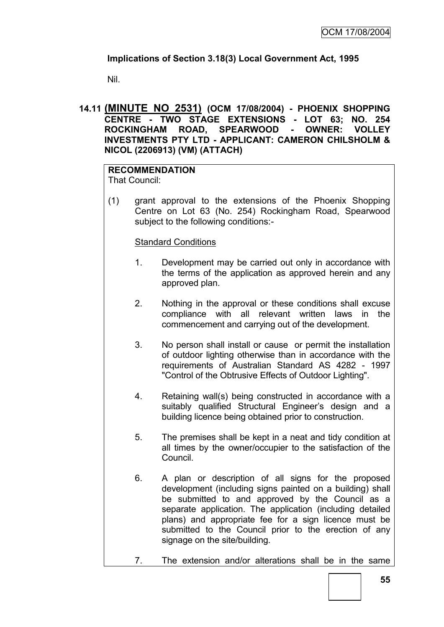## **Implications of Section 3.18(3) Local Government Act, 1995**

Nil.

## **14.11 (MINUTE NO 2531) (OCM 17/08/2004) - PHOENIX SHOPPING CENTRE - TWO STAGE EXTENSIONS - LOT 63; NO. 254 ROCKINGHAM ROAD, SPEARWOOD - OWNER: VOLLEY INVESTMENTS PTY LTD - APPLICANT: CAMERON CHILSHOLM & NICOL (2206913) (VM) (ATTACH)**

## **RECOMMENDATION**

That Council:

(1) grant approval to the extensions of the Phoenix Shopping Centre on Lot 63 (No. 254) Rockingham Road, Spearwood subject to the following conditions:-

## Standard Conditions

- 1. Development may be carried out only in accordance with the terms of the application as approved herein and any approved plan.
- 2. Nothing in the approval or these conditions shall excuse compliance with all relevant written laws in the commencement and carrying out of the development.
- 3. No person shall install or cause or permit the installation of outdoor lighting otherwise than in accordance with the requirements of Australian Standard AS 4282 - 1997 "Control of the Obtrusive Effects of Outdoor Lighting".
- 4. Retaining wall(s) being constructed in accordance with a suitably qualified Structural Engineer's design and a building licence being obtained prior to construction.
- 5. The premises shall be kept in a neat and tidy condition at all times by the owner/occupier to the satisfaction of the Council.
- 6. A plan or description of all signs for the proposed development (including signs painted on a building) shall be submitted to and approved by the Council as a separate application. The application (including detailed plans) and appropriate fee for a sign licence must be submitted to the Council prior to the erection of any signage on the site/building.
- 7. The extension and/or alterations shall be in the same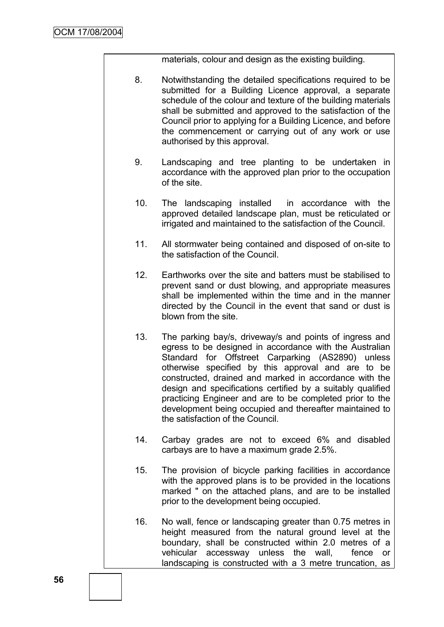materials, colour and design as the existing building.

- 8. Notwithstanding the detailed specifications required to be submitted for a Building Licence approval, a separate schedule of the colour and texture of the building materials shall be submitted and approved to the satisfaction of the Council prior to applying for a Building Licence, and before the commencement or carrying out of any work or use authorised by this approval.
- 9. Landscaping and tree planting to be undertaken in accordance with the approved plan prior to the occupation of the site.
- 10. The landscaping installed in accordance with the approved detailed landscape plan, must be reticulated or irrigated and maintained to the satisfaction of the Council.
- 11. All stormwater being contained and disposed of on-site to the satisfaction of the Council.
- 12. Earthworks over the site and batters must be stabilised to prevent sand or dust blowing, and appropriate measures shall be implemented within the time and in the manner directed by the Council in the event that sand or dust is blown from the site.
- 13. The parking bay/s, driveway/s and points of ingress and egress to be designed in accordance with the Australian Standard for Offstreet Carparking (AS2890) unless otherwise specified by this approval and are to be constructed, drained and marked in accordance with the design and specifications certified by a suitably qualified practicing Engineer and are to be completed prior to the development being occupied and thereafter maintained to the satisfaction of the Council.
- 14. Carbay grades are not to exceed 6% and disabled carbays are to have a maximum grade 2.5%.
- 15. The provision of bicycle parking facilities in accordance with the approved plans is to be provided in the locations marked " on the attached plans, and are to be installed prior to the development being occupied.
- 16. No wall, fence or landscaping greater than 0.75 metres in height measured from the natural ground level at the boundary, shall be constructed within 2.0 metres of a vehicular accessway unless the wall, fence or landscaping is constructed with a 3 metre truncation, as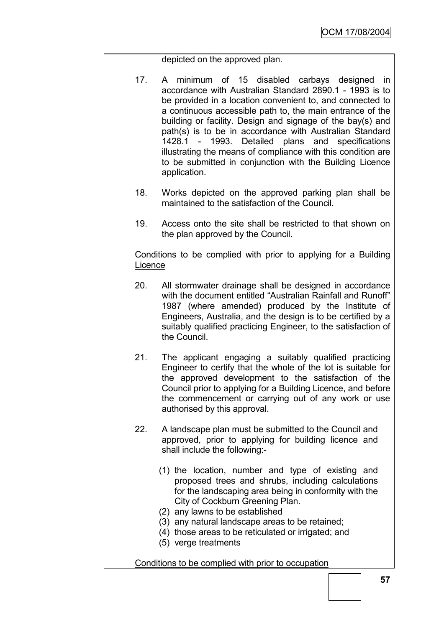depicted on the approved plan.

- 17. A minimum of 15 disabled carbays designed in accordance with Australian Standard 2890.1 - 1993 is to be provided in a location convenient to, and connected to a continuous accessible path to, the main entrance of the building or facility. Design and signage of the bay(s) and path(s) is to be in accordance with Australian Standard 1428.1 - 1993. Detailed plans and specifications illustrating the means of compliance with this condition are to be submitted in conjunction with the Building Licence application.
- 18. Works depicted on the approved parking plan shall be maintained to the satisfaction of the Council.
- 19. Access onto the site shall be restricted to that shown on the plan approved by the Council.

#### Conditions to be complied with prior to applying for a Building **Licence**

- 20. All stormwater drainage shall be designed in accordance with the document entitled "Australian Rainfall and Runoff" 1987 (where amended) produced by the Institute of Engineers, Australia, and the design is to be certified by a suitably qualified practicing Engineer, to the satisfaction of the Council.
- 21. The applicant engaging a suitably qualified practicing Engineer to certify that the whole of the lot is suitable for the approved development to the satisfaction of the Council prior to applying for a Building Licence, and before the commencement or carrying out of any work or use authorised by this approval.
- 22. A landscape plan must be submitted to the Council and approved, prior to applying for building licence and shall include the following:-
	- (1) the location, number and type of existing and proposed trees and shrubs, including calculations for the landscaping area being in conformity with the City of Cockburn Greening Plan.
	- (2) any lawns to be established
	- (3) any natural landscape areas to be retained;
	- (4) those areas to be reticulated or irrigated; and
	- (5) verge treatments

Conditions to be complied with prior to occupation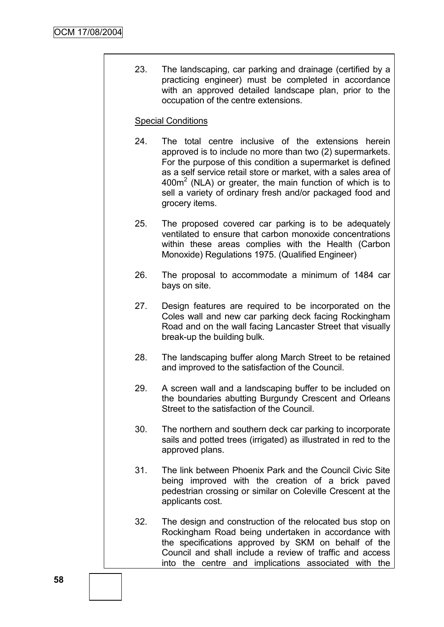23. The landscaping, car parking and drainage (certified by a practicing engineer) must be completed in accordance with an approved detailed landscape plan, prior to the occupation of the centre extensions.

#### Special Conditions

- 24. The total centre inclusive of the extensions herein approved is to include no more than two (2) supermarkets. For the purpose of this condition a supermarket is defined as a self service retail store or market, with a sales area of  $400m<sup>2</sup>$  (NLA) or greater, the main function of which is to sell a variety of ordinary fresh and/or packaged food and grocery items.
- 25. The proposed covered car parking is to be adequately ventilated to ensure that carbon monoxide concentrations within these areas complies with the Health (Carbon Monoxide) Regulations 1975. (Qualified Engineer)
- 26. The proposal to accommodate a minimum of 1484 car bays on site.
- 27. Design features are required to be incorporated on the Coles wall and new car parking deck facing Rockingham Road and on the wall facing Lancaster Street that visually break-up the building bulk.
- 28. The landscaping buffer along March Street to be retained and improved to the satisfaction of the Council.
- 29. A screen wall and a landscaping buffer to be included on the boundaries abutting Burgundy Crescent and Orleans Street to the satisfaction of the Council.
- 30. The northern and southern deck car parking to incorporate sails and potted trees (irrigated) as illustrated in red to the approved plans.
- 31. The link between Phoenix Park and the Council Civic Site being improved with the creation of a brick paved pedestrian crossing or similar on Coleville Crescent at the applicants cost.
- 32. The design and construction of the relocated bus stop on Rockingham Road being undertaken in accordance with the specifications approved by SKM on behalf of the Council and shall include a review of traffic and access into the centre and implications associated with the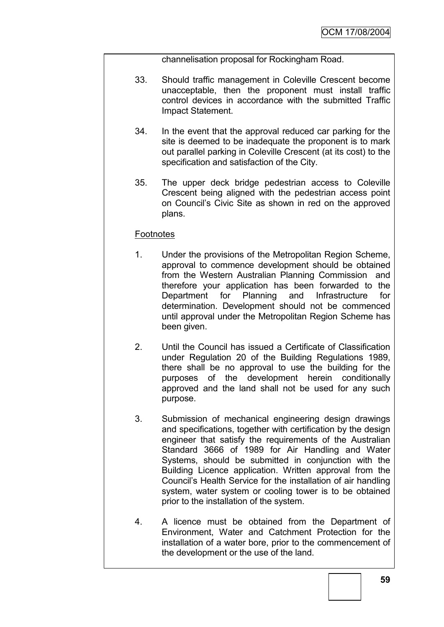channelisation proposal for Rockingham Road.

- 33. Should traffic management in Coleville Crescent become unacceptable, then the proponent must install traffic control devices in accordance with the submitted Traffic Impact Statement.
- 34. In the event that the approval reduced car parking for the site is deemed to be inadequate the proponent is to mark out parallel parking in Coleville Crescent (at its cost) to the specification and satisfaction of the City.
- 35. The upper deck bridge pedestrian access to Coleville Crescent being aligned with the pedestrian access point on Council"s Civic Site as shown in red on the approved plans.

## **Footnotes**

- 1. Under the provisions of the Metropolitan Region Scheme, approval to commence development should be obtained from the Western Australian Planning Commission and therefore your application has been forwarded to the Department for Planning and Infrastructure for determination. Development should not be commenced until approval under the Metropolitan Region Scheme has been given.
- 2. Until the Council has issued a Certificate of Classification under Regulation 20 of the Building Regulations 1989, there shall be no approval to use the building for the purposes of the development herein conditionally approved and the land shall not be used for any such purpose.
- 3. Submission of mechanical engineering design drawings and specifications, together with certification by the design engineer that satisfy the requirements of the Australian Standard 3666 of 1989 for Air Handling and Water Systems, should be submitted in conjunction with the Building Licence application. Written approval from the Council"s Health Service for the installation of air handling system, water system or cooling tower is to be obtained prior to the installation of the system.
- 4. A licence must be obtained from the Department of Environment, Water and Catchment Protection for the installation of a water bore, prior to the commencement of the development or the use of the land.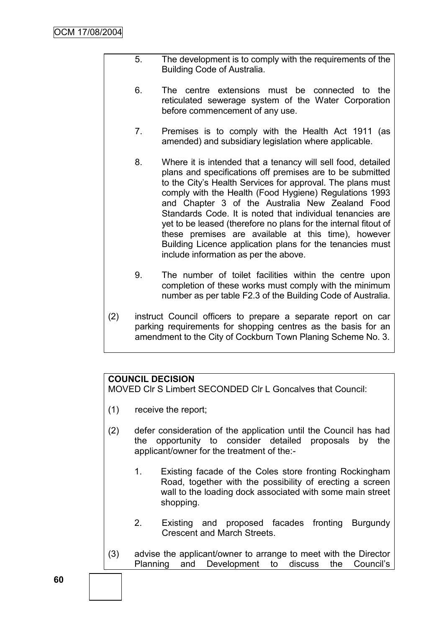- 5. The development is to comply with the requirements of the Building Code of Australia.
- 6. The centre extensions must be connected to the reticulated sewerage system of the Water Corporation before commencement of any use.
- 7. Premises is to comply with the Health Act 1911 (as amended) and subsidiary legislation where applicable.
- 8. Where it is intended that a tenancy will sell food, detailed plans and specifications off premises are to be submitted to the City"s Health Services for approval. The plans must comply with the Health (Food Hygiene) Regulations 1993 and Chapter 3 of the Australia New Zealand Food Standards Code. It is noted that individual tenancies are yet to be leased (therefore no plans for the internal fitout of these premises are available at this time), however Building Licence application plans for the tenancies must include information as per the above.
- 9. The number of toilet facilities within the centre upon completion of these works must comply with the minimum number as per table F2.3 of the Building Code of Australia.
- (2) instruct Council officers to prepare a separate report on car parking requirements for shopping centres as the basis for an amendment to the City of Cockburn Town Planing Scheme No. 3.

## **COUNCIL DECISION**

MOVED Clr S Limbert SECONDED Clr L Goncalves that Council:

- (1) receive the report;
- (2) defer consideration of the application until the Council has had the opportunity to consider detailed proposals by the applicant/owner for the treatment of the:-
	- 1. Existing facade of the Coles store fronting Rockingham Road, together with the possibility of erecting a screen wall to the loading dock associated with some main street shopping.
	- 2. Existing and proposed facades fronting Burgundy Crescent and March Streets.
- (3) advise the applicant/owner to arrange to meet with the Director Planning and Development to discuss the Council"s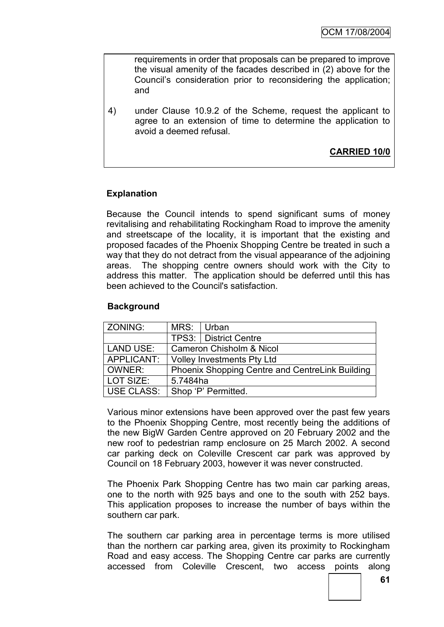requirements in order that proposals can be prepared to improve the visual amenity of the facades described in (2) above for the Council"s consideration prior to reconsidering the application; and

4) under Clause 10.9.2 of the Scheme, request the applicant to agree to an extension of time to determine the application to avoid a deemed refusal.

**CARRIED 10/0**

## **Explanation**

Because the Council intends to spend significant sums of money revitalising and rehabilitating Rockingham Road to improve the amenity and streetscape of the locality, it is important that the existing and proposed facades of the Phoenix Shopping Centre be treated in such a way that they do not detract from the visual appearance of the adjoining areas. The shopping centre owners should work with the City to address this matter. The application should be deferred until this has been achieved to the Council's satisfaction.

#### **Background**

| ZONING:           | MRS:                                            | Urban                   |
|-------------------|-------------------------------------------------|-------------------------|
|                   |                                                 | TPS3:   District Centre |
| <b>LAND USE:</b>  | <b>Cameron Chisholm &amp; Nicol</b>             |                         |
| APPLICANT:        | <b>Volley Investments Pty Ltd</b>               |                         |
| OWNER:            | Phoenix Shopping Centre and CentreLink Building |                         |
| LOT SIZE:         | 5.7484ha                                        |                         |
| <b>USE CLASS:</b> |                                                 | Shop 'P' Permitted.     |

Various minor extensions have been approved over the past few years to the Phoenix Shopping Centre, most recently being the additions of the new BigW Garden Centre approved on 20 February 2002 and the new roof to pedestrian ramp enclosure on 25 March 2002. A second car parking deck on Coleville Crescent car park was approved by Council on 18 February 2003, however it was never constructed.

The Phoenix Park Shopping Centre has two main car parking areas, one to the north with 925 bays and one to the south with 252 bays. This application proposes to increase the number of bays within the southern car park.

The southern car parking area in percentage terms is more utilised than the northern car parking area, given its proximity to Rockingham Road and easy access. The Shopping Centre car parks are currently accessed from Coleville Crescent, two access points along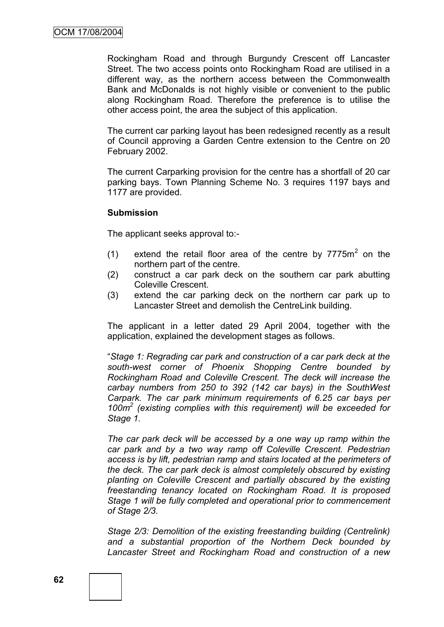Rockingham Road and through Burgundy Crescent off Lancaster Street. The two access points onto Rockingham Road are utilised in a different way, as the northern access between the Commonwealth Bank and McDonalds is not highly visible or convenient to the public along Rockingham Road. Therefore the preference is to utilise the other access point, the area the subject of this application.

The current car parking layout has been redesigned recently as a result of Council approving a Garden Centre extension to the Centre on 20 February 2002.

The current Carparking provision for the centre has a shortfall of 20 car parking bays. Town Planning Scheme No. 3 requires 1197 bays and 1177 are provided.

#### **Submission**

The applicant seeks approval to:-

- (1) extend the retail floor area of the centre by  $7775m^2$  on the northern part of the centre.
- (2) construct a car park deck on the southern car park abutting Coleville Crescent.
- (3) extend the car parking deck on the northern car park up to Lancaster Street and demolish the CentreLink building.

The applicant in a letter dated 29 April 2004, together with the application, explained the development stages as follows.

"*Stage 1: Regrading car park and construction of a car park deck at the south-west corner of Phoenix Shopping Centre bounded by Rockingham Road and Coleville Crescent. The deck will increase the carbay numbers from 250 to 392 (142 car bays) in the SouthWest Carpark. The car park minimum requirements of 6.25 car bays per 100m<sup>2</sup> (existing complies with this requirement) will be exceeded for Stage 1.*

*The car park deck will be accessed by a one way up ramp within the car park and by a two way ramp off Coleville Crescent. Pedestrian access is by lift, pedestrian ramp and stairs located at the perimeters of the deck. The car park deck is almost completely obscured by existing planting on Coleville Crescent and partially obscured by the existing freestanding tenancy located on Rockingham Road. It is proposed Stage 1 will be fully completed and operational prior to commencement of Stage 2/3.*

*Stage 2/3: Demolition of the existing freestanding building (Centrelink) and a substantial proportion of the Northern Deck bounded by Lancaster Street and Rockingham Road and construction of a new*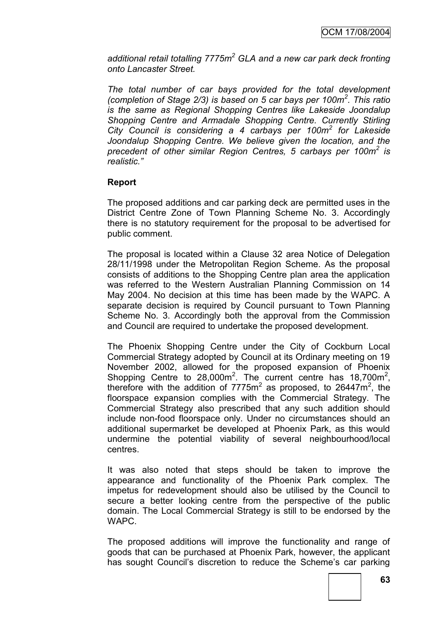*additional retail totalling 7775m<sup>2</sup> GLA and a new car park deck fronting onto Lancaster Street.*

*The total number of car bays provided for the total development (completion of Stage 2/3) is based on 5 car bays per 100m<sup>2</sup> . This ratio is the same as Regional Shopping Centres like Lakeside Joondalup Shopping Centre and Armadale Shopping Centre. Currently Stirling City Council is considering a 4 carbays per 100m<sup>2</sup> for Lakeside Joondalup Shopping Centre. We believe given the location, and the precedent of other similar Region Centres, 5 carbays per 100m<sup>2</sup> is realistic."*

## **Report**

The proposed additions and car parking deck are permitted uses in the District Centre Zone of Town Planning Scheme No. 3. Accordingly there is no statutory requirement for the proposal to be advertised for public comment.

The proposal is located within a Clause 32 area Notice of Delegation 28/11/1998 under the Metropolitan Region Scheme. As the proposal consists of additions to the Shopping Centre plan area the application was referred to the Western Australian Planning Commission on 14 May 2004. No decision at this time has been made by the WAPC. A separate decision is required by Council pursuant to Town Planning Scheme No. 3. Accordingly both the approval from the Commission and Council are required to undertake the proposed development.

The Phoenix Shopping Centre under the City of Cockburn Local Commercial Strategy adopted by Council at its Ordinary meeting on 19 November 2002, allowed for the proposed expansion of Phoenix Shopping Centre to  $28,000m^2$ . The current centre has  $18,700m^2$ , therefore with the addition of  $7775m^2$  as proposed, to 26447 $m^2$ , the floorspace expansion complies with the Commercial Strategy. The Commercial Strategy also prescribed that any such addition should include non-food floorspace only. Under no circumstances should an additional supermarket be developed at Phoenix Park, as this would undermine the potential viability of several neighbourhood/local centres.

It was also noted that steps should be taken to improve the appearance and functionality of the Phoenix Park complex. The impetus for redevelopment should also be utilised by the Council to secure a better looking centre from the perspective of the public domain. The Local Commercial Strategy is still to be endorsed by the WAPC.

The proposed additions will improve the functionality and range of goods that can be purchased at Phoenix Park, however, the applicant has sought Council's discretion to reduce the Scheme's car parking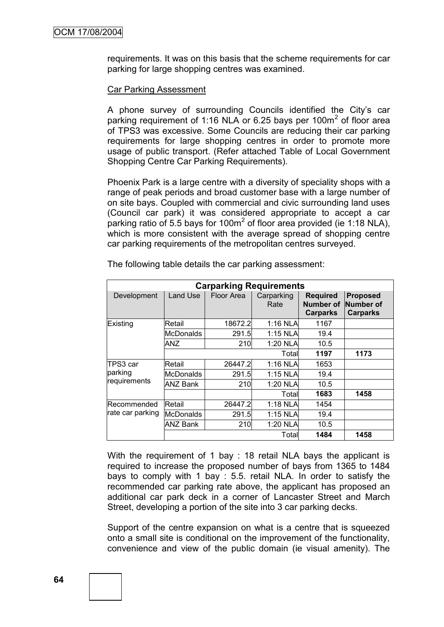requirements. It was on this basis that the scheme requirements for car parking for large shopping centres was examined.

#### Car Parking Assessment

A phone survey of surrounding Councils identified the City"s car parking requirement of 1:16 NLA or 6.25 bays per 100 $m<sup>2</sup>$  of floor area of TPS3 was excessive. Some Councils are reducing their car parking requirements for large shopping centres in order to promote more usage of public transport. (Refer attached Table of Local Government Shopping Centre Car Parking Requirements).

Phoenix Park is a large centre with a diversity of speciality shops with a range of peak periods and broad customer base with a large number of on site bays. Coupled with commercial and civic surrounding land uses (Council car park) it was considered appropriate to accept a car parking ratio of 5.5 bays for 100 $m^2$  of floor area provided (ie 1:18 NLA), which is more consistent with the average spread of shopping centre car parking requirements of the metropolitan centres surveyed.

| <b>Carparking Requirements</b>       |            |            |                    |                                                 |                                                 |
|--------------------------------------|------------|------------|--------------------|-------------------------------------------------|-------------------------------------------------|
| Development                          | Land Use   | Floor Area | Carparking<br>Rate | <b>Required</b><br>Number of<br><b>Carparks</b> | <b>Proposed</b><br>Number of<br><b>Carparks</b> |
| Existing                             | Retail     | 18672.2    | 1:16 NLA           | 1167                                            |                                                 |
|                                      | McDonalds  | 291.5      | $1:15$ NLA         | 19.4                                            |                                                 |
|                                      | ANZ        | 210        | 1:20 NLA           | 10.5                                            |                                                 |
|                                      |            |            | Total              | 1197                                            | 1173                                            |
| ITPS3 car<br>parking<br>requirements | Retail     | 26447.2    | 1:16 NLAI          | 1653                                            |                                                 |
|                                      | lMcDonalds | 291.5      | $1:15$ NLA         | 19.4                                            |                                                 |
|                                      | ANZ Bank   | 210        | 1:20 NLA           | 10.5                                            |                                                 |
|                                      |            |            | Total              | 1683                                            | 1458                                            |
| lRecommended<br>rate car parking     | Retail     | 26447.2    | 1:18 NLA           | 1454                                            |                                                 |
|                                      | lMcDonalds | 291.5      | 1:15 NLA           | 19.4                                            |                                                 |
|                                      | ANZ Bank   | 210        | 1:20 NLA           | 10.5                                            |                                                 |
|                                      |            |            | Totall             | 1484                                            | 1458                                            |

The following table details the car parking assessment:

With the requirement of 1 bay : 18 retail NLA bays the applicant is required to increase the proposed number of bays from 1365 to 1484 bays to comply with 1 bay : 5.5. retail NLA. In order to satisfy the recommended car parking rate above, the applicant has proposed an additional car park deck in a corner of Lancaster Street and March Street, developing a portion of the site into 3 car parking decks.

Support of the centre expansion on what is a centre that is squeezed onto a small site is conditional on the improvement of the functionality, convenience and view of the public domain (ie visual amenity). The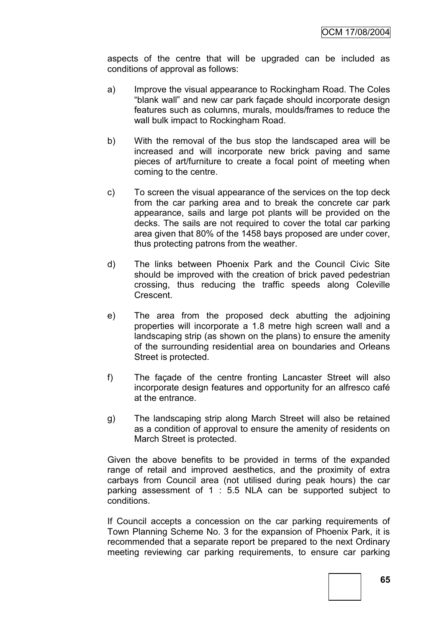aspects of the centre that will be upgraded can be included as conditions of approval as follows:

- a) Improve the visual appearance to Rockingham Road. The Coles "blank wall" and new car park façade should incorporate design features such as columns, murals, moulds/frames to reduce the wall bulk impact to Rockingham Road.
- b) With the removal of the bus stop the landscaped area will be increased and will incorporate new brick paving and same pieces of art/furniture to create a focal point of meeting when coming to the centre.
- c) To screen the visual appearance of the services on the top deck from the car parking area and to break the concrete car park appearance, sails and large pot plants will be provided on the decks. The sails are not required to cover the total car parking area given that 80% of the 1458 bays proposed are under cover, thus protecting patrons from the weather.
- d) The links between Phoenix Park and the Council Civic Site should be improved with the creation of brick paved pedestrian crossing, thus reducing the traffic speeds along Coleville Crescent.
- e) The area from the proposed deck abutting the adjoining properties will incorporate a 1.8 metre high screen wall and a landscaping strip (as shown on the plans) to ensure the amenity of the surrounding residential area on boundaries and Orleans Street is protected.
- f) The façade of the centre fronting Lancaster Street will also incorporate design features and opportunity for an alfresco café at the entrance.
- g) The landscaping strip along March Street will also be retained as a condition of approval to ensure the amenity of residents on March Street is protected.

Given the above benefits to be provided in terms of the expanded range of retail and improved aesthetics, and the proximity of extra carbays from Council area (not utilised during peak hours) the car parking assessment of 1 : 5.5 NLA can be supported subject to conditions.

If Council accepts a concession on the car parking requirements of Town Planning Scheme No. 3 for the expansion of Phoenix Park, it is recommended that a separate report be prepared to the next Ordinary meeting reviewing car parking requirements, to ensure car parking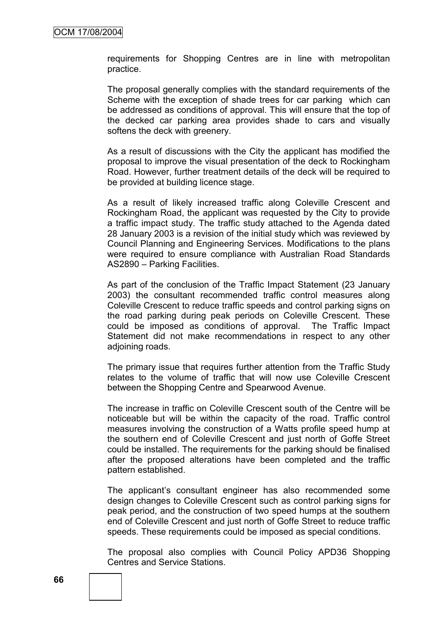requirements for Shopping Centres are in line with metropolitan practice.

The proposal generally complies with the standard requirements of the Scheme with the exception of shade trees for car parking which can be addressed as conditions of approval. This will ensure that the top of the decked car parking area provides shade to cars and visually softens the deck with greenery.

As a result of discussions with the City the applicant has modified the proposal to improve the visual presentation of the deck to Rockingham Road. However, further treatment details of the deck will be required to be provided at building licence stage.

As a result of likely increased traffic along Coleville Crescent and Rockingham Road, the applicant was requested by the City to provide a traffic impact study. The traffic study attached to the Agenda dated 28 January 2003 is a revision of the initial study which was reviewed by Council Planning and Engineering Services. Modifications to the plans were required to ensure compliance with Australian Road Standards AS2890 – Parking Facilities.

As part of the conclusion of the Traffic Impact Statement (23 January 2003) the consultant recommended traffic control measures along Coleville Crescent to reduce traffic speeds and control parking signs on the road parking during peak periods on Coleville Crescent. These could be imposed as conditions of approval. The Traffic Impact Statement did not make recommendations in respect to any other adioining roads.

The primary issue that requires further attention from the Traffic Study relates to the volume of traffic that will now use Coleville Crescent between the Shopping Centre and Spearwood Avenue.

The increase in traffic on Coleville Crescent south of the Centre will be noticeable but will be within the capacity of the road. Traffic control measures involving the construction of a Watts profile speed hump at the southern end of Coleville Crescent and just north of Goffe Street could be installed. The requirements for the parking should be finalised after the proposed alterations have been completed and the traffic pattern established.

The applicant"s consultant engineer has also recommended some design changes to Coleville Crescent such as control parking signs for peak period, and the construction of two speed humps at the southern end of Coleville Crescent and just north of Goffe Street to reduce traffic speeds. These requirements could be imposed as special conditions.

The proposal also complies with Council Policy APD36 Shopping Centres and Service Stations.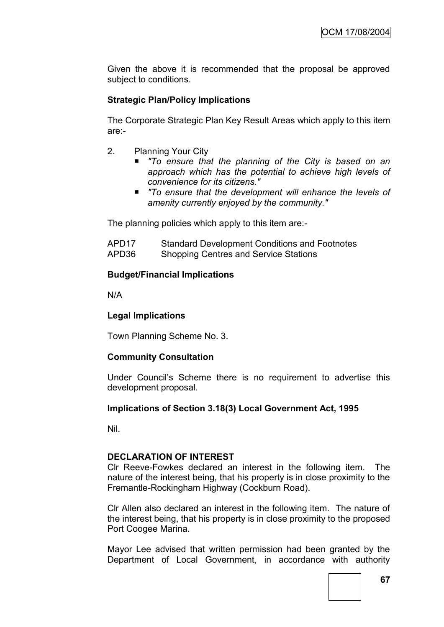Given the above it is recommended that the proposal be approved subject to conditions.

## **Strategic Plan/Policy Implications**

The Corporate Strategic Plan Key Result Areas which apply to this item are:-

- 2. Planning Your City
	- *"To ensure that the planning of the City is based on an approach which has the potential to achieve high levels of convenience for its citizens."*
	- *"To ensure that the development will enhance the levels of amenity currently enjoyed by the community."*

The planning policies which apply to this item are:-

| APD17 | <b>Standard Development Conditions and Footnotes</b> |
|-------|------------------------------------------------------|
| APD36 | <b>Shopping Centres and Service Stations</b>         |

#### **Budget/Financial Implications**

N/A

#### **Legal Implications**

Town Planning Scheme No. 3.

#### **Community Consultation**

Under Council"s Scheme there is no requirement to advertise this development proposal.

#### **Implications of Section 3.18(3) Local Government Act, 1995**

Nil.

#### **DECLARATION OF INTEREST**

Clr Reeve-Fowkes declared an interest in the following item. The nature of the interest being, that his property is in close proximity to the Fremantle-Rockingham Highway (Cockburn Road).

Clr Allen also declared an interest in the following item. The nature of the interest being, that his property is in close proximity to the proposed Port Coogee Marina.

Mayor Lee advised that written permission had been granted by the Department of Local Government, in accordance with authority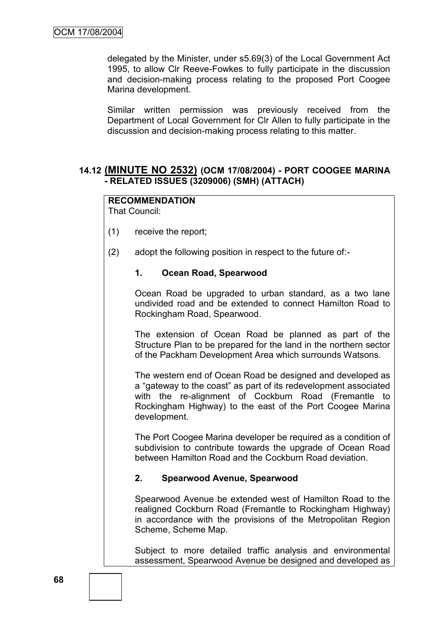delegated by the Minister, under s5.69(3) of the Local Government Act 1995, to allow Clr Reeve-Fowkes to fully participate in the discussion and decision-making process relating to the proposed Port Coogee Marina development.

Similar written permission was previously received from the Department of Local Government for Clr Allen to fully participate in the discussion and decision-making process relating to this matter.

## **14.12 (MINUTE NO 2532) (OCM 17/08/2004) - PORT COOGEE MARINA - RELATED ISSUES (3209006) (SMH) (ATTACH)**

# **RECOMMENDATION**

That Council:

- (1) receive the report;
- (2) adopt the following position in respect to the future of:-

## **1. Ocean Road, Spearwood**

Ocean Road be upgraded to urban standard, as a two lane undivided road and be extended to connect Hamilton Road to Rockingham Road, Spearwood.

The extension of Ocean Road be planned as part of the Structure Plan to be prepared for the land in the northern sector of the Packham Development Area which surrounds Watsons.

The western end of Ocean Road be designed and developed as a "gateway to the coast" as part of its redevelopment associated with the re-alignment of Cockburn Road (Fremantle to Rockingham Highway) to the east of the Port Coogee Marina development.

The Port Coogee Marina developer be required as a condition of subdivision to contribute towards the upgrade of Ocean Road between Hamilton Road and the Cockburn Road deviation.

#### **2. Spearwood Avenue, Spearwood**

Spearwood Avenue be extended west of Hamilton Road to the realigned Cockburn Road (Fremantle to Rockingham Highway) in accordance with the provisions of the Metropolitan Region Scheme, Scheme Map.

Subject to more detailed traffic analysis and environmental assessment, Spearwood Avenue be designed and developed as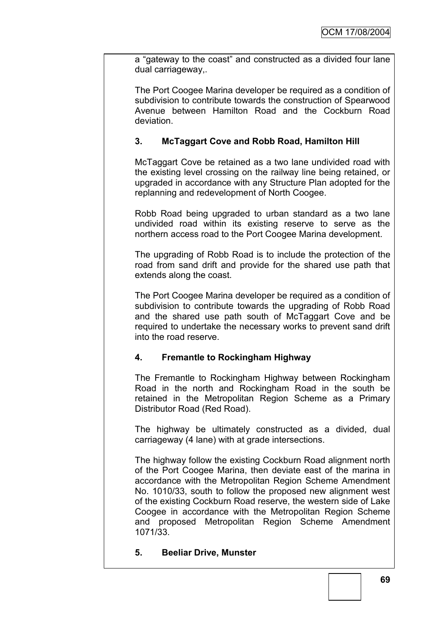a "gateway to the coast" and constructed as a divided four lane dual carriageway,.

The Port Coogee Marina developer be required as a condition of subdivision to contribute towards the construction of Spearwood Avenue between Hamilton Road and the Cockburn Road deviation.

# **3. McTaggart Cove and Robb Road, Hamilton Hill**

McTaggart Cove be retained as a two lane undivided road with the existing level crossing on the railway line being retained, or upgraded in accordance with any Structure Plan adopted for the replanning and redevelopment of North Coogee.

Robb Road being upgraded to urban standard as a two lane undivided road within its existing reserve to serve as the northern access road to the Port Coogee Marina development.

The upgrading of Robb Road is to include the protection of the road from sand drift and provide for the shared use path that extends along the coast.

The Port Coogee Marina developer be required as a condition of subdivision to contribute towards the upgrading of Robb Road and the shared use path south of McTaggart Cove and be required to undertake the necessary works to prevent sand drift into the road reserve.

# **4. Fremantle to Rockingham Highway**

The Fremantle to Rockingham Highway between Rockingham Road in the north and Rockingham Road in the south be retained in the Metropolitan Region Scheme as a Primary Distributor Road (Red Road).

The highway be ultimately constructed as a divided, dual carriageway (4 lane) with at grade intersections.

The highway follow the existing Cockburn Road alignment north of the Port Coogee Marina, then deviate east of the marina in accordance with the Metropolitan Region Scheme Amendment No. 1010/33, south to follow the proposed new alignment west of the existing Cockburn Road reserve, the western side of Lake Coogee in accordance with the Metropolitan Region Scheme and proposed Metropolitan Region Scheme Amendment 1071/33.

#### **5. Beeliar Drive, Munster**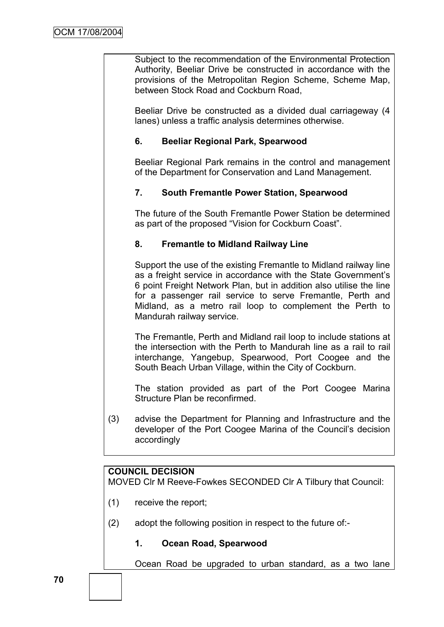Subject to the recommendation of the Environmental Protection Authority, Beeliar Drive be constructed in accordance with the provisions of the Metropolitan Region Scheme, Scheme Map, between Stock Road and Cockburn Road,

Beeliar Drive be constructed as a divided dual carriageway (4 lanes) unless a traffic analysis determines otherwise.

#### **6. Beeliar Regional Park, Spearwood**

Beeliar Regional Park remains in the control and management of the Department for Conservation and Land Management.

#### **7. South Fremantle Power Station, Spearwood**

The future of the South Fremantle Power Station be determined as part of the proposed "Vision for Cockburn Coast".

#### **8. Fremantle to Midland Railway Line**

Support the use of the existing Fremantle to Midland railway line as a freight service in accordance with the State Government's 6 point Freight Network Plan, but in addition also utilise the line for a passenger rail service to serve Fremantle, Perth and Midland, as a metro rail loop to complement the Perth to Mandurah railway service.

The Fremantle, Perth and Midland rail loop to include stations at the intersection with the Perth to Mandurah line as a rail to rail interchange, Yangebup, Spearwood, Port Coogee and the South Beach Urban Village, within the City of Cockburn.

The station provided as part of the Port Coogee Marina Structure Plan be reconfirmed.

(3) advise the Department for Planning and Infrastructure and the developer of the Port Coogee Marina of the Council's decision accordingly

#### **COUNCIL DECISION**

MOVED Clr M Reeve-Fowkes SECONDED Clr A Tilbury that Council:

- (1) receive the report;
- (2) adopt the following position in respect to the future of:-

# **1. Ocean Road, Spearwood**

Ocean Road be upgraded to urban standard, as a two lane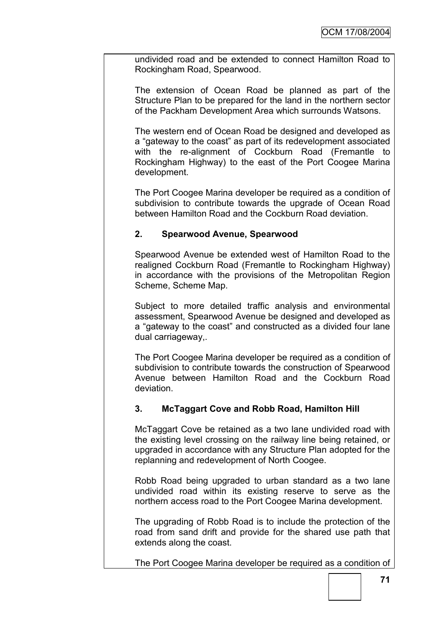undivided road and be extended to connect Hamilton Road to Rockingham Road, Spearwood.

The extension of Ocean Road be planned as part of the Structure Plan to be prepared for the land in the northern sector of the Packham Development Area which surrounds Watsons.

The western end of Ocean Road be designed and developed as a "gateway to the coast" as part of its redevelopment associated with the re-alignment of Cockburn Road (Fremantle to Rockingham Highway) to the east of the Port Coogee Marina development.

The Port Coogee Marina developer be required as a condition of subdivision to contribute towards the upgrade of Ocean Road between Hamilton Road and the Cockburn Road deviation.

# **2. Spearwood Avenue, Spearwood**

Spearwood Avenue be extended west of Hamilton Road to the realigned Cockburn Road (Fremantle to Rockingham Highway) in accordance with the provisions of the Metropolitan Region Scheme, Scheme Map.

Subject to more detailed traffic analysis and environmental assessment, Spearwood Avenue be designed and developed as a "gateway to the coast" and constructed as a divided four lane dual carriageway,.

The Port Coogee Marina developer be required as a condition of subdivision to contribute towards the construction of Spearwood Avenue between Hamilton Road and the Cockburn Road deviation.

# **3. McTaggart Cove and Robb Road, Hamilton Hill**

McTaggart Cove be retained as a two lane undivided road with the existing level crossing on the railway line being retained, or upgraded in accordance with any Structure Plan adopted for the replanning and redevelopment of North Coogee.

Robb Road being upgraded to urban standard as a two lane undivided road within its existing reserve to serve as the northern access road to the Port Coogee Marina development.

The upgrading of Robb Road is to include the protection of the road from sand drift and provide for the shared use path that extends along the coast.

The Port Coogee Marina developer be required as a condition of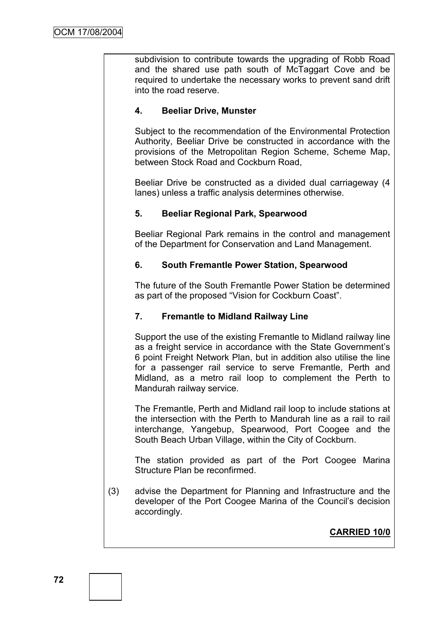subdivision to contribute towards the upgrading of Robb Road and the shared use path south of McTaggart Cove and be required to undertake the necessary works to prevent sand drift into the road reserve.

# **4. Beeliar Drive, Munster**

Subject to the recommendation of the Environmental Protection Authority, Beeliar Drive be constructed in accordance with the provisions of the Metropolitan Region Scheme, Scheme Map, between Stock Road and Cockburn Road,

Beeliar Drive be constructed as a divided dual carriageway (4 lanes) unless a traffic analysis determines otherwise.

# **5. Beeliar Regional Park, Spearwood**

Beeliar Regional Park remains in the control and management of the Department for Conservation and Land Management.

#### **6. South Fremantle Power Station, Spearwood**

The future of the South Fremantle Power Station be determined as part of the proposed "Vision for Cockburn Coast".

# **7. Fremantle to Midland Railway Line**

Support the use of the existing Fremantle to Midland railway line as a freight service in accordance with the State Government"s 6 point Freight Network Plan, but in addition also utilise the line for a passenger rail service to serve Fremantle, Perth and Midland, as a metro rail loop to complement the Perth to Mandurah railway service.

The Fremantle, Perth and Midland rail loop to include stations at the intersection with the Perth to Mandurah line as a rail to rail interchange, Yangebup, Spearwood, Port Coogee and the South Beach Urban Village, within the City of Cockburn.

The station provided as part of the Port Coogee Marina Structure Plan be reconfirmed.

(3) advise the Department for Planning and Infrastructure and the developer of the Port Coogee Marina of the Council"s decision accordingly.

**CARRIED 10/0**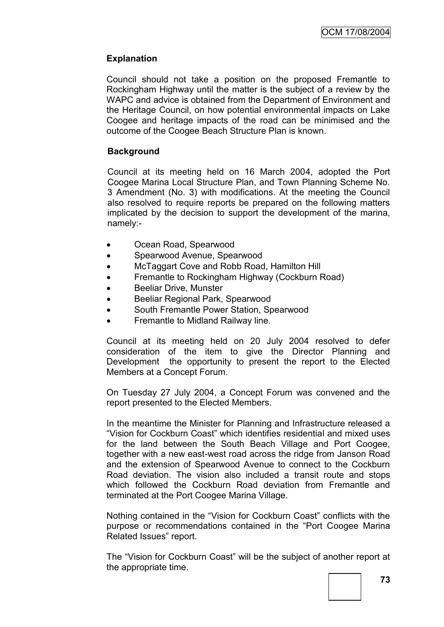## **Explanation**

Council should not take a position on the proposed Fremantle to Rockingham Highway until the matter is the subject of a review by the WAPC and advice is obtained from the Department of Environment and the Heritage Council, on how potential environmental impacts on Lake Coogee and heritage impacts of the road can be minimised and the outcome of the Coogee Beach Structure Plan is known.

#### **Background**

Council at its meeting held on 16 March 2004, adopted the Port Coogee Marina Local Structure Plan, and Town Planning Scheme No. 3 Amendment (No. 3) with modifications. At the meeting the Council also resolved to require reports be prepared on the following matters implicated by the decision to support the development of the marina, namely:-

- Ocean Road, Spearwood
- Spearwood Avenue, Spearwood
- McTaggart Cove and Robb Road, Hamilton Hill
- Fremantle to Rockingham Highway (Cockburn Road)
- Beeliar Drive, Munster
- Beeliar Regional Park, Spearwood
- South Fremantle Power Station, Spearwood
- Fremantle to Midland Railway line.

Council at its meeting held on 20 July 2004 resolved to defer consideration of the item to give the Director Planning and Development the opportunity to present the report to the Elected Members at a Concept Forum.

On Tuesday 27 July 2004, a Concept Forum was convened and the report presented to the Elected Members.

In the meantime the Minister for Planning and Infrastructure released a "Vision for Cockburn Coast" which identifies residential and mixed uses for the land between the South Beach Village and Port Coogee, together with a new east-west road across the ridge from Janson Road and the extension of Spearwood Avenue to connect to the Cockburn Road deviation. The vision also included a transit route and stops which followed the Cockburn Road deviation from Fremantle and terminated at the Port Coogee Marina Village.

Nothing contained in the "Vision for Cockburn Coast" conflicts with the purpose or recommendations contained in the "Port Coogee Marina Related Issues" report.

The "Vision for Cockburn Coast" will be the subject of another report at the appropriate time.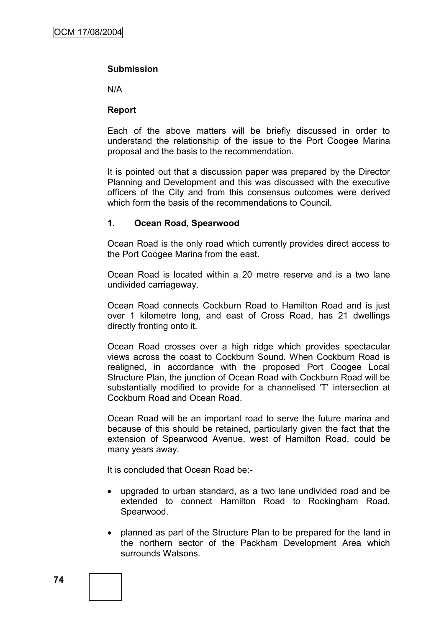#### **Submission**

N/A

#### **Report**

Each of the above matters will be briefly discussed in order to understand the relationship of the issue to the Port Coogee Marina proposal and the basis to the recommendation.

It is pointed out that a discussion paper was prepared by the Director Planning and Development and this was discussed with the executive officers of the City and from this consensus outcomes were derived which form the basis of the recommendations to Council.

#### **1. Ocean Road, Spearwood**

Ocean Road is the only road which currently provides direct access to the Port Coogee Marina from the east.

Ocean Road is located within a 20 metre reserve and is a two lane undivided carriageway.

Ocean Road connects Cockburn Road to Hamilton Road and is just over 1 kilometre long, and east of Cross Road, has 21 dwellings directly fronting onto it.

Ocean Road crosses over a high ridge which provides spectacular views across the coast to Cockburn Sound. When Cockburn Road is realigned, in accordance with the proposed Port Coogee Local Structure Plan, the junction of Ocean Road with Cockburn Road will be substantially modified to provide for a channelised 'T' intersection at Cockburn Road and Ocean Road.

Ocean Road will be an important road to serve the future marina and because of this should be retained, particularly given the fact that the extension of Spearwood Avenue, west of Hamilton Road, could be many years away.

It is concluded that Ocean Road be:-

- upgraded to urban standard, as a two lane undivided road and be extended to connect Hamilton Road to Rockingham Road, Spearwood.
- planned as part of the Structure Plan to be prepared for the land in the northern sector of the Packham Development Area which surrounds Watsons.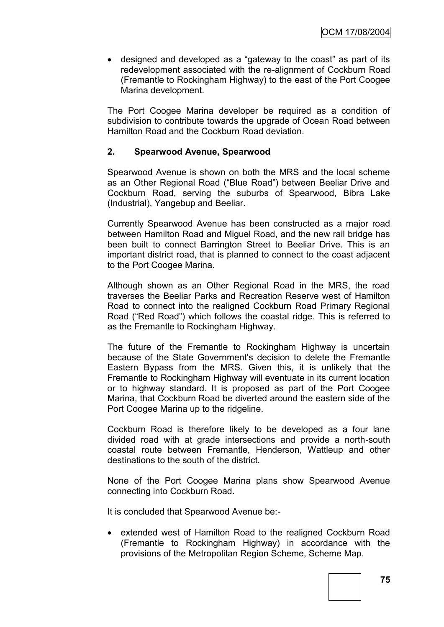designed and developed as a "gateway to the coast" as part of its redevelopment associated with the re-alignment of Cockburn Road (Fremantle to Rockingham Highway) to the east of the Port Coogee Marina development.

The Port Coogee Marina developer be required as a condition of subdivision to contribute towards the upgrade of Ocean Road between Hamilton Road and the Cockburn Road deviation.

#### **2. Spearwood Avenue, Spearwood**

Spearwood Avenue is shown on both the MRS and the local scheme as an Other Regional Road ("Blue Road") between Beeliar Drive and Cockburn Road, serving the suburbs of Spearwood, Bibra Lake (Industrial), Yangebup and Beeliar.

Currently Spearwood Avenue has been constructed as a major road between Hamilton Road and Miguel Road, and the new rail bridge has been built to connect Barrington Street to Beeliar Drive. This is an important district road, that is planned to connect to the coast adjacent to the Port Coogee Marina.

Although shown as an Other Regional Road in the MRS, the road traverses the Beeliar Parks and Recreation Reserve west of Hamilton Road to connect into the realigned Cockburn Road Primary Regional Road ("Red Road") which follows the coastal ridge. This is referred to as the Fremantle to Rockingham Highway.

The future of the Fremantle to Rockingham Highway is uncertain because of the State Government's decision to delete the Fremantle Eastern Bypass from the MRS. Given this, it is unlikely that the Fremantle to Rockingham Highway will eventuate in its current location or to highway standard. It is proposed as part of the Port Coogee Marina, that Cockburn Road be diverted around the eastern side of the Port Coogee Marina up to the ridgeline.

Cockburn Road is therefore likely to be developed as a four lane divided road with at grade intersections and provide a north-south coastal route between Fremantle, Henderson, Wattleup and other destinations to the south of the district.

None of the Port Coogee Marina plans show Spearwood Avenue connecting into Cockburn Road.

It is concluded that Spearwood Avenue be:-

• extended west of Hamilton Road to the realigned Cockburn Road (Fremantle to Rockingham Highway) in accordance with the provisions of the Metropolitan Region Scheme, Scheme Map.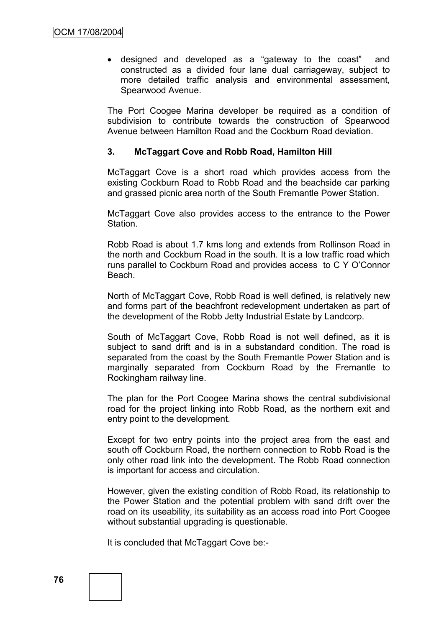designed and developed as a "gateway to the coast" and constructed as a divided four lane dual carriageway, subject to more detailed traffic analysis and environmental assessment, Spearwood Avenue.

The Port Coogee Marina developer be required as a condition of subdivision to contribute towards the construction of Spearwood Avenue between Hamilton Road and the Cockburn Road deviation.

#### **3. McTaggart Cove and Robb Road, Hamilton Hill**

McTaggart Cove is a short road which provides access from the existing Cockburn Road to Robb Road and the beachside car parking and grassed picnic area north of the South Fremantle Power Station.

McTaggart Cove also provides access to the entrance to the Power Station.

Robb Road is about 1.7 kms long and extends from Rollinson Road in the north and Cockburn Road in the south. It is a low traffic road which runs parallel to Cockburn Road and provides access to C Y O"Connor Beach.

North of McTaggart Cove, Robb Road is well defined, is relatively new and forms part of the beachfront redevelopment undertaken as part of the development of the Robb Jetty Industrial Estate by Landcorp.

South of McTaggart Cove, Robb Road is not well defined, as it is subject to sand drift and is in a substandard condition. The road is separated from the coast by the South Fremantle Power Station and is marginally separated from Cockburn Road by the Fremantle to Rockingham railway line.

The plan for the Port Coogee Marina shows the central subdivisional road for the project linking into Robb Road, as the northern exit and entry point to the development.

Except for two entry points into the project area from the east and south off Cockburn Road, the northern connection to Robb Road is the only other road link into the development. The Robb Road connection is important for access and circulation.

However, given the existing condition of Robb Road, its relationship to the Power Station and the potential problem with sand drift over the road on its useability, its suitability as an access road into Port Coogee without substantial upgrading is questionable.

It is concluded that McTaggart Cove be:-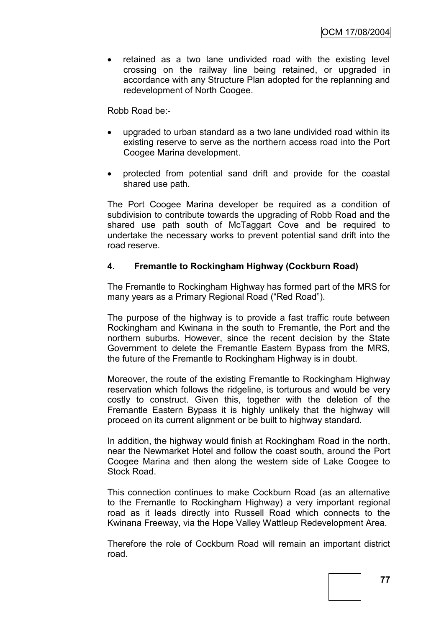retained as a two lane undivided road with the existing level crossing on the railway line being retained, or upgraded in accordance with any Structure Plan adopted for the replanning and redevelopment of North Coogee.

Robb Road be:-

- upgraded to urban standard as a two lane undivided road within its existing reserve to serve as the northern access road into the Port Coogee Marina development.
- protected from potential sand drift and provide for the coastal shared use path.

The Port Coogee Marina developer be required as a condition of subdivision to contribute towards the upgrading of Robb Road and the shared use path south of McTaggart Cove and be required to undertake the necessary works to prevent potential sand drift into the road reserve.

#### **4. Fremantle to Rockingham Highway (Cockburn Road)**

The Fremantle to Rockingham Highway has formed part of the MRS for many years as a Primary Regional Road ("Red Road").

The purpose of the highway is to provide a fast traffic route between Rockingham and Kwinana in the south to Fremantle, the Port and the northern suburbs. However, since the recent decision by the State Government to delete the Fremantle Eastern Bypass from the MRS, the future of the Fremantle to Rockingham Highway is in doubt.

Moreover, the route of the existing Fremantle to Rockingham Highway reservation which follows the ridgeline, is torturous and would be very costly to construct. Given this, together with the deletion of the Fremantle Eastern Bypass it is highly unlikely that the highway will proceed on its current alignment or be built to highway standard.

In addition, the highway would finish at Rockingham Road in the north, near the Newmarket Hotel and follow the coast south, around the Port Coogee Marina and then along the western side of Lake Coogee to Stock Road.

This connection continues to make Cockburn Road (as an alternative to the Fremantle to Rockingham Highway) a very important regional road as it leads directly into Russell Road which connects to the Kwinana Freeway, via the Hope Valley Wattleup Redevelopment Area.

Therefore the role of Cockburn Road will remain an important district road.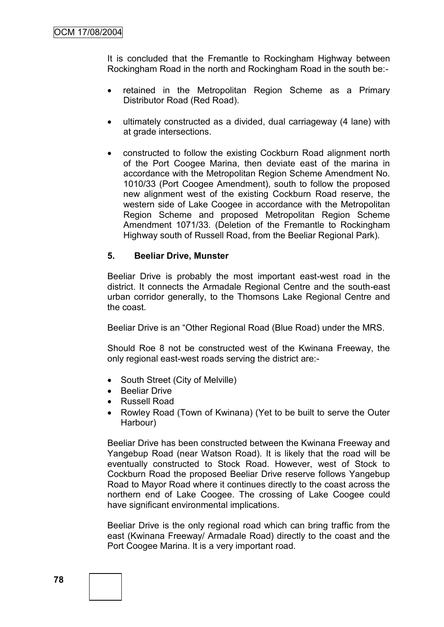It is concluded that the Fremantle to Rockingham Highway between Rockingham Road in the north and Rockingham Road in the south be:-

- retained in the Metropolitan Region Scheme as a Primary Distributor Road (Red Road).
- ultimately constructed as a divided, dual carriageway (4 lane) with at grade intersections.
- constructed to follow the existing Cockburn Road alignment north of the Port Coogee Marina, then deviate east of the marina in accordance with the Metropolitan Region Scheme Amendment No. 1010/33 (Port Coogee Amendment), south to follow the proposed new alignment west of the existing Cockburn Road reserve, the western side of Lake Coogee in accordance with the Metropolitan Region Scheme and proposed Metropolitan Region Scheme Amendment 1071/33. (Deletion of the Fremantle to Rockingham Highway south of Russell Road, from the Beeliar Regional Park).

#### **5. Beeliar Drive, Munster**

Beeliar Drive is probably the most important east-west road in the district. It connects the Armadale Regional Centre and the south-east urban corridor generally, to the Thomsons Lake Regional Centre and the coast.

Beeliar Drive is an "Other Regional Road (Blue Road) under the MRS.

Should Roe 8 not be constructed west of the Kwinana Freeway, the only regional east-west roads serving the district are:-

- South Street (City of Melville)
- Beeliar Drive
- Russell Road
- Rowley Road (Town of Kwinana) (Yet to be built to serve the Outer Harbour)

Beeliar Drive has been constructed between the Kwinana Freeway and Yangebup Road (near Watson Road). It is likely that the road will be eventually constructed to Stock Road. However, west of Stock to Cockburn Road the proposed Beeliar Drive reserve follows Yangebup Road to Mayor Road where it continues directly to the coast across the northern end of Lake Coogee. The crossing of Lake Coogee could have significant environmental implications.

Beeliar Drive is the only regional road which can bring traffic from the east (Kwinana Freeway/ Armadale Road) directly to the coast and the Port Coogee Marina. It is a very important road.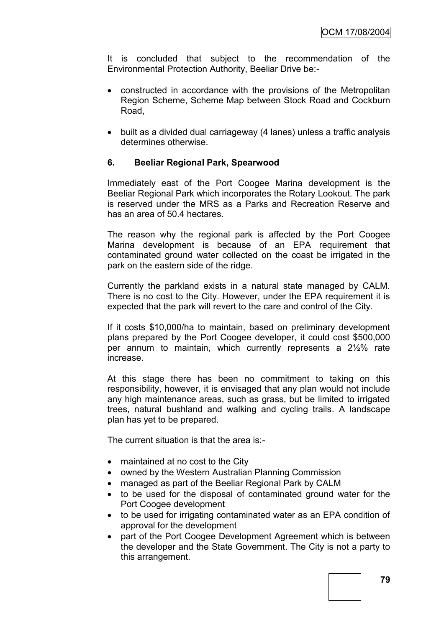It is concluded that subject to the recommendation of the Environmental Protection Authority, Beeliar Drive be:-

- constructed in accordance with the provisions of the Metropolitan Region Scheme, Scheme Map between Stock Road and Cockburn Road,
- built as a divided dual carriageway (4 lanes) unless a traffic analysis determines otherwise.

#### **6. Beeliar Regional Park, Spearwood**

Immediately east of the Port Coogee Marina development is the Beeliar Regional Park which incorporates the Rotary Lookout. The park is reserved under the MRS as a Parks and Recreation Reserve and has an area of 50.4 hectares.

The reason why the regional park is affected by the Port Coogee Marina development is because of an EPA requirement that contaminated ground water collected on the coast be irrigated in the park on the eastern side of the ridge.

Currently the parkland exists in a natural state managed by CALM. There is no cost to the City. However, under the EPA requirement it is expected that the park will revert to the care and control of the City.

If it costs \$10,000/ha to maintain, based on preliminary development plans prepared by the Port Coogee developer, it could cost \$500,000 per annum to maintain, which currently represents a 2½% rate increase.

At this stage there has been no commitment to taking on this responsibility, however, it is envisaged that any plan would not include any high maintenance areas, such as grass, but be limited to irrigated trees, natural bushland and walking and cycling trails. A landscape plan has yet to be prepared.

The current situation is that the area is:-

- maintained at no cost to the City
- owned by the Western Australian Planning Commission
- managed as part of the Beeliar Regional Park by CALM
- to be used for the disposal of contaminated ground water for the Port Coogee development
- to be used for irrigating contaminated water as an EPA condition of approval for the development
- part of the Port Coogee Development Agreement which is between the developer and the State Government. The City is not a party to this arrangement.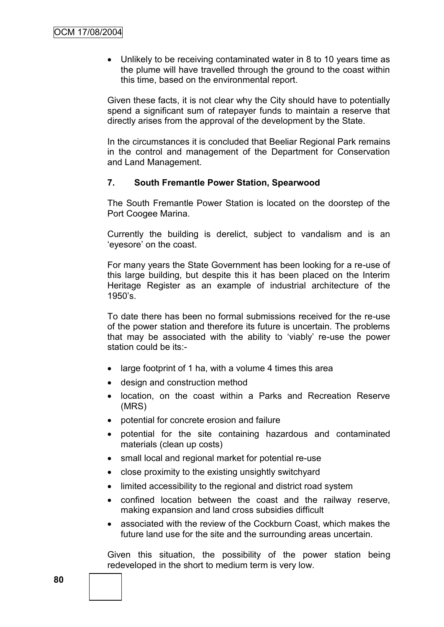• Unlikely to be receiving contaminated water in 8 to 10 years time as the plume will have travelled through the ground to the coast within this time, based on the environmental report.

Given these facts, it is not clear why the City should have to potentially spend a significant sum of ratepayer funds to maintain a reserve that directly arises from the approval of the development by the State.

In the circumstances it is concluded that Beeliar Regional Park remains in the control and management of the Department for Conservation and Land Management.

#### **7. South Fremantle Power Station, Spearwood**

The South Fremantle Power Station is located on the doorstep of the Port Coogee Marina.

Currently the building is derelict, subject to vandalism and is an "eyesore" on the coast.

For many years the State Government has been looking for a re-use of this large building, but despite this it has been placed on the Interim Heritage Register as an example of industrial architecture of the  $1950's.$ 

To date there has been no formal submissions received for the re-use of the power station and therefore its future is uncertain. The problems that may be associated with the ability to "viably" re-use the power station could be its:-

- large footprint of 1 ha, with a volume 4 times this area
- design and construction method
- location, on the coast within a Parks and Recreation Reserve (MRS)
- potential for concrete erosion and failure
- potential for the site containing hazardous and contaminated materials (clean up costs)
- small local and regional market for potential re-use
- close proximity to the existing unsightly switchyard
- limited accessibility to the regional and district road system
- confined location between the coast and the railway reserve, making expansion and land cross subsidies difficult
- associated with the review of the Cockburn Coast, which makes the future land use for the site and the surrounding areas uncertain.

Given this situation, the possibility of the power station being redeveloped in the short to medium term is very low.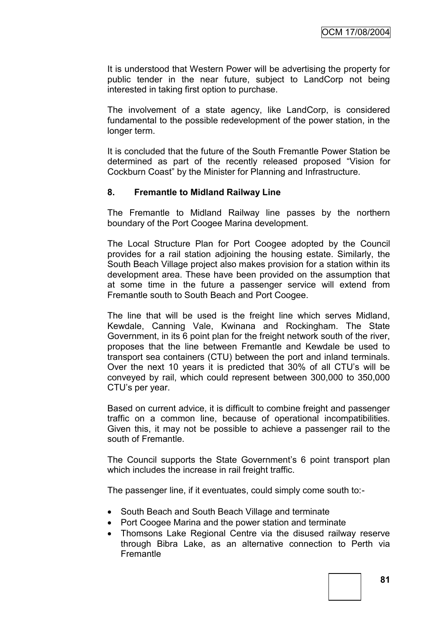It is understood that Western Power will be advertising the property for public tender in the near future, subject to LandCorp not being interested in taking first option to purchase.

The involvement of a state agency, like LandCorp, is considered fundamental to the possible redevelopment of the power station, in the longer term.

It is concluded that the future of the South Fremantle Power Station be determined as part of the recently released proposed "Vision for Cockburn Coast" by the Minister for Planning and Infrastructure.

#### **8. Fremantle to Midland Railway Line**

The Fremantle to Midland Railway line passes by the northern boundary of the Port Coogee Marina development.

The Local Structure Plan for Port Coogee adopted by the Council provides for a rail station adjoining the housing estate. Similarly, the South Beach Village project also makes provision for a station within its development area. These have been provided on the assumption that at some time in the future a passenger service will extend from Fremantle south to South Beach and Port Coogee.

The line that will be used is the freight line which serves Midland, Kewdale, Canning Vale, Kwinana and Rockingham. The State Government, in its 6 point plan for the freight network south of the river, proposes that the line between Fremantle and Kewdale be used to transport sea containers (CTU) between the port and inland terminals. Over the next 10 years it is predicted that 30% of all CTU"s will be conveyed by rail, which could represent between 300,000 to 350,000 CTU"s per year.

Based on current advice, it is difficult to combine freight and passenger traffic on a common line, because of operational incompatibilities. Given this, it may not be possible to achieve a passenger rail to the south of Fremantle.

The Council supports the State Government's 6 point transport plan which includes the increase in rail freight traffic.

The passenger line, if it eventuates, could simply come south to:-

- South Beach and South Beach Village and terminate
- Port Coogee Marina and the power station and terminate
- Thomsons Lake Regional Centre via the disused railway reserve through Bibra Lake, as an alternative connection to Perth via Fremantle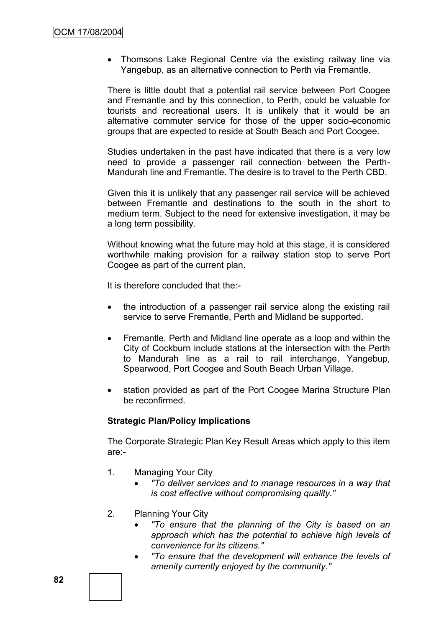• Thomsons Lake Regional Centre via the existing railway line via Yangebup, as an alternative connection to Perth via Fremantle.

There is little doubt that a potential rail service between Port Coogee and Fremantle and by this connection, to Perth, could be valuable for tourists and recreational users. It is unlikely that it would be an alternative commuter service for those of the upper socio-economic groups that are expected to reside at South Beach and Port Coogee.

Studies undertaken in the past have indicated that there is a very low need to provide a passenger rail connection between the Perth-Mandurah line and Fremantle. The desire is to travel to the Perth CBD.

Given this it is unlikely that any passenger rail service will be achieved between Fremantle and destinations to the south in the short to medium term. Subject to the need for extensive investigation, it may be a long term possibility.

Without knowing what the future may hold at this stage, it is considered worthwhile making provision for a railway station stop to serve Port Coogee as part of the current plan.

It is therefore concluded that the:-

- the introduction of a passenger rail service along the existing rail service to serve Fremantle, Perth and Midland be supported.
- Fremantle, Perth and Midland line operate as a loop and within the City of Cockburn include stations at the intersection with the Perth to Mandurah line as a rail to rail interchange, Yangebup, Spearwood, Port Coogee and South Beach Urban Village.
- station provided as part of the Port Coogee Marina Structure Plan be reconfirmed.

#### **Strategic Plan/Policy Implications**

The Corporate Strategic Plan Key Result Areas which apply to this item are:-

- 1. Managing Your City
	- *"To deliver services and to manage resources in a way that is cost effective without compromising quality."*
- 2. Planning Your City
	- *"To ensure that the planning of the City is based on an approach which has the potential to achieve high levels of convenience for its citizens."*
	- *"To ensure that the development will enhance the levels of amenity currently enjoyed by the community."*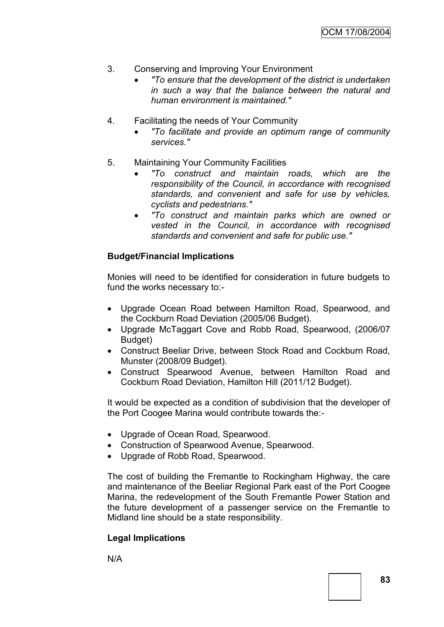- 3. Conserving and Improving Your Environment
	- *"To ensure that the development of the district is undertaken in such a way that the balance between the natural and human environment is maintained."*
- 4. Facilitating the needs of Your Community
	- *"To facilitate and provide an optimum range of community services."*
- 5. Maintaining Your Community Facilities
	- *"To construct and maintain roads, which are the responsibility of the Council, in accordance with recognised standards, and convenient and safe for use by vehicles, cyclists and pedestrians."*
	- *"To construct and maintain parks which are owned or vested in the Council, in accordance with recognised standards and convenient and safe for public use."*

#### **Budget/Financial Implications**

Monies will need to be identified for consideration in future budgets to fund the works necessary to:-

- Upgrade Ocean Road between Hamilton Road, Spearwood, and the Cockburn Road Deviation (2005/06 Budget).
- Upgrade McTaggart Cove and Robb Road, Spearwood, (2006/07 Budget)
- Construct Beeliar Drive, between Stock Road and Cockburn Road, Munster (2008/09 Budget).
- Construct Spearwood Avenue, between Hamilton Road and Cockburn Road Deviation, Hamilton Hill (2011/12 Budget).

It would be expected as a condition of subdivision that the developer of the Port Coogee Marina would contribute towards the:-

- Upgrade of Ocean Road, Spearwood.
- Construction of Spearwood Avenue, Spearwood.
- Upgrade of Robb Road, Spearwood.

The cost of building the Fremantle to Rockingham Highway, the care and maintenance of the Beeliar Regional Park east of the Port Coogee Marina, the redevelopment of the South Fremantle Power Station and the future development of a passenger service on the Fremantle to Midland line should be a state responsibility.

#### **Legal Implications**

N/A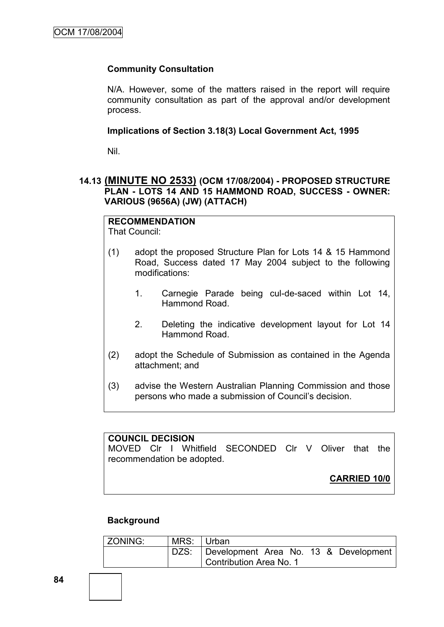#### **Community Consultation**

N/A. However, some of the matters raised in the report will require community consultation as part of the approval and/or development process.

**Implications of Section 3.18(3) Local Government Act, 1995**

Nil.

# **14.13 (MINUTE NO 2533) (OCM 17/08/2004) - PROPOSED STRUCTURE PLAN - LOTS 14 AND 15 HAMMOND ROAD, SUCCESS - OWNER: VARIOUS (9656A) (JW) (ATTACH)**

#### **RECOMMENDATION** That Council:

- (1) adopt the proposed Structure Plan for Lots 14 & 15 Hammond Road, Success dated 17 May 2004 subject to the following modifications:
	- 1. Carnegie Parade being cul-de-saced within Lot 14, Hammond Road.
	- 2. Deleting the indicative development layout for Lot 14 Hammond Road.
- (2) adopt the Schedule of Submission as contained in the Agenda attachment; and
- (3) advise the Western Australian Planning Commission and those persons who made a submission of Council"s decision.

#### **COUNCIL DECISION**

MOVED Clr I Whitfield SECONDED Clr V Oliver that the recommendation be adopted.

**CARRIED 10/0**

#### **Background**

| ZONING: | MRS: Urban |                                            |
|---------|------------|--------------------------------------------|
|         |            | DZS: Development Area No. 13 & Development |
|         |            | Contribution Area No. 1                    |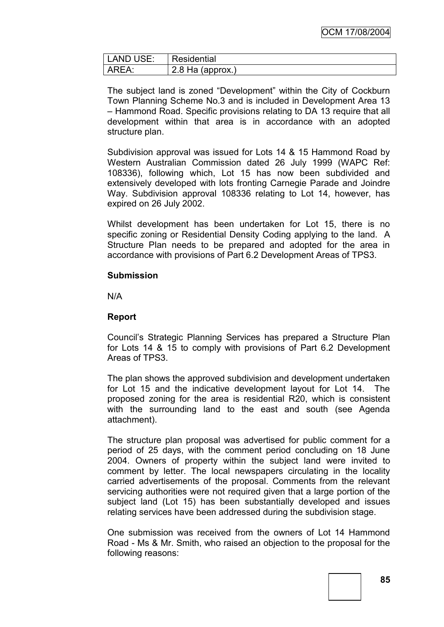| LAND USE: | Residential        |  |
|-----------|--------------------|--|
| AREA:     | $2.8$ Ha (approx.) |  |

The subject land is zoned "Development" within the City of Cockburn Town Planning Scheme No.3 and is included in Development Area 13 – Hammond Road. Specific provisions relating to DA 13 require that all development within that area is in accordance with an adopted structure plan.

Subdivision approval was issued for Lots 14 & 15 Hammond Road by Western Australian Commission dated 26 July 1999 (WAPC Ref: 108336), following which, Lot 15 has now been subdivided and extensively developed with lots fronting Carnegie Parade and Joindre Way. Subdivision approval 108336 relating to Lot 14, however, has expired on 26 July 2002.

Whilst development has been undertaken for Lot 15, there is no specific zoning or Residential Density Coding applying to the land. A Structure Plan needs to be prepared and adopted for the area in accordance with provisions of Part 6.2 Development Areas of TPS3.

#### **Submission**

N/A

#### **Report**

Council"s Strategic Planning Services has prepared a Structure Plan for Lots 14 & 15 to comply with provisions of Part 6.2 Development Areas of TPS3.

The plan shows the approved subdivision and development undertaken for Lot 15 and the indicative development layout for Lot 14. The proposed zoning for the area is residential R20, which is consistent with the surrounding land to the east and south (see Agenda attachment).

The structure plan proposal was advertised for public comment for a period of 25 days, with the comment period concluding on 18 June 2004. Owners of property within the subject land were invited to comment by letter. The local newspapers circulating in the locality carried advertisements of the proposal. Comments from the relevant servicing authorities were not required given that a large portion of the subject land (Lot 15) has been substantially developed and issues relating services have been addressed during the subdivision stage.

One submission was received from the owners of Lot 14 Hammond Road - Ms & Mr. Smith, who raised an objection to the proposal for the following reasons: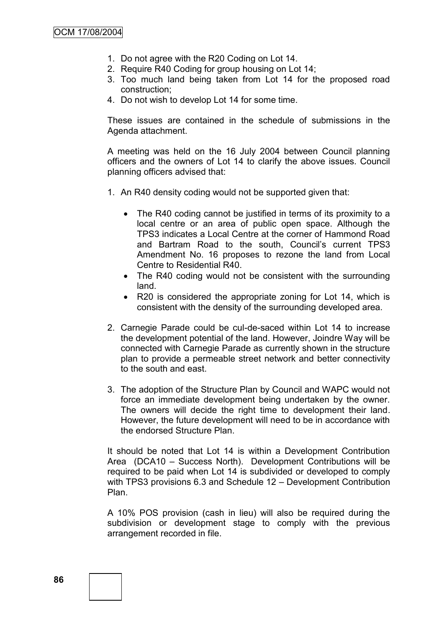- 1. Do not agree with the R20 Coding on Lot 14.
- 2. Require R40 Coding for group housing on Lot 14;
- 3. Too much land being taken from Lot 14 for the proposed road construction;
- 4. Do not wish to develop Lot 14 for some time.

These issues are contained in the schedule of submissions in the Agenda attachment.

A meeting was held on the 16 July 2004 between Council planning officers and the owners of Lot 14 to clarify the above issues. Council planning officers advised that:

- 1. An R40 density coding would not be supported given that:
	- The R40 coding cannot be justified in terms of its proximity to a local centre or an area of public open space. Although the TPS3 indicates a Local Centre at the corner of Hammond Road and Bartram Road to the south, Council"s current TPS3 Amendment No. 16 proposes to rezone the land from Local Centre to Residential R40.
	- The R40 coding would not be consistent with the surrounding land.
	- R20 is considered the appropriate zoning for Lot 14, which is consistent with the density of the surrounding developed area.
- 2. Carnegie Parade could be cul-de-saced within Lot 14 to increase the development potential of the land. However, Joindre Way will be connected with Carnegie Parade as currently shown in the structure plan to provide a permeable street network and better connectivity to the south and east.
- 3. The adoption of the Structure Plan by Council and WAPC would not force an immediate development being undertaken by the owner. The owners will decide the right time to development their land. However, the future development will need to be in accordance with the endorsed Structure Plan.

It should be noted that Lot 14 is within a Development Contribution Area (DCA10 – Success North). Development Contributions will be required to be paid when Lot 14 is subdivided or developed to comply with TPS3 provisions 6.3 and Schedule 12 – Development Contribution Plan.

A 10% POS provision (cash in lieu) will also be required during the subdivision or development stage to comply with the previous arrangement recorded in file.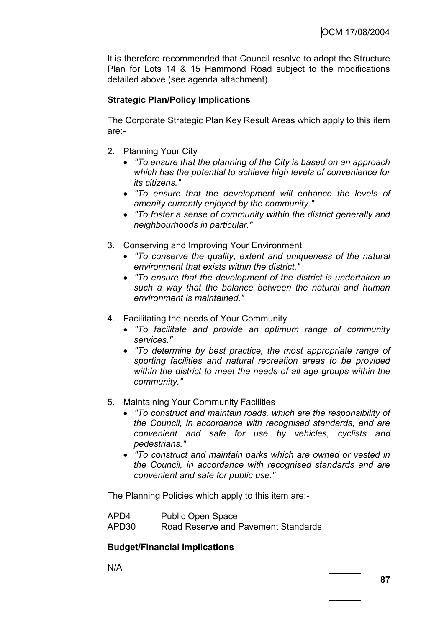It is therefore recommended that Council resolve to adopt the Structure Plan for Lots 14 & 15 Hammond Road subject to the modifications detailed above (see agenda attachment).

# **Strategic Plan/Policy Implications**

The Corporate Strategic Plan Key Result Areas which apply to this item are:-

- 2. Planning Your City
	- *"To ensure that the planning of the City is based on an approach which has the potential to achieve high levels of convenience for its citizens."*
	- *"To ensure that the development will enhance the levels of amenity currently enjoyed by the community."*
	- *"To foster a sense of community within the district generally and neighbourhoods in particular."*
- 3. Conserving and Improving Your Environment
	- *"To conserve the quality, extent and uniqueness of the natural environment that exists within the district."*
	- *"To ensure that the development of the district is undertaken in such a way that the balance between the natural and human environment is maintained."*
- 4. Facilitating the needs of Your Community
	- *"To facilitate and provide an optimum range of community services."*
	- *"To determine by best practice, the most appropriate range of sporting facilities and natural recreation areas to be provided within the district to meet the needs of all age groups within the community."*
- 5. Maintaining Your Community Facilities
	- *"To construct and maintain roads, which are the responsibility of the Council, in accordance with recognised standards, and are convenient and safe for use by vehicles, cyclists and pedestrians."*
	- *"To construct and maintain parks which are owned or vested in the Council, in accordance with recognised standards and are convenient and safe for public use."*

The Planning Policies which apply to this item are:-

| APD4              | Public Open Space                   |
|-------------------|-------------------------------------|
| APD <sub>30</sub> | Road Reserve and Pavement Standards |

#### **Budget/Financial Implications**

N/A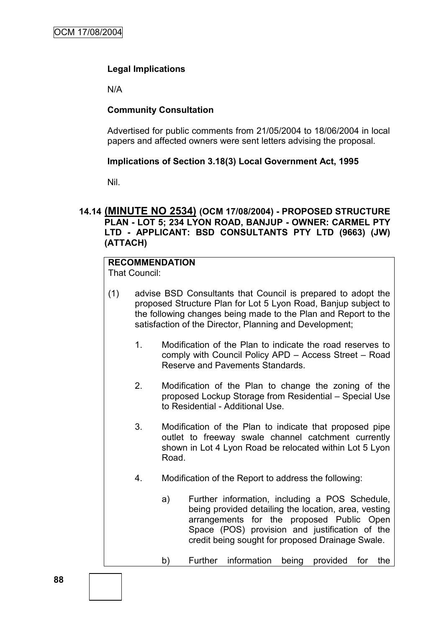# **Legal Implications**

N/A

#### **Community Consultation**

Advertised for public comments from 21/05/2004 to 18/06/2004 in local papers and affected owners were sent letters advising the proposal.

#### **Implications of Section 3.18(3) Local Government Act, 1995**

Nil.

#### **14.14 (MINUTE NO 2534) (OCM 17/08/2004) - PROPOSED STRUCTURE PLAN - LOT 5; 234 LYON ROAD, BANJUP - OWNER: CARMEL PTY LTD - APPLICANT: BSD CONSULTANTS PTY LTD (9663) (JW) (ATTACH)**

# **RECOMMENDATION**

That Council:

- (1) advise BSD Consultants that Council is prepared to adopt the proposed Structure Plan for Lot 5 Lyon Road, Banjup subject to the following changes being made to the Plan and Report to the satisfaction of the Director, Planning and Development;
	- 1. Modification of the Plan to indicate the road reserves to comply with Council Policy APD – Access Street – Road Reserve and Pavements Standards.
	- 2. Modification of the Plan to change the zoning of the proposed Lockup Storage from Residential – Special Use to Residential - Additional Use.
	- 3. Modification of the Plan to indicate that proposed pipe outlet to freeway swale channel catchment currently shown in Lot 4 Lyon Road be relocated within Lot 5 Lyon Road.
	- 4. Modification of the Report to address the following:
		- a) Further information, including a POS Schedule, being provided detailing the location, area, vesting arrangements for the proposed Public Open Space (POS) provision and justification of the credit being sought for proposed Drainage Swale.
		- b) Further information being provided for the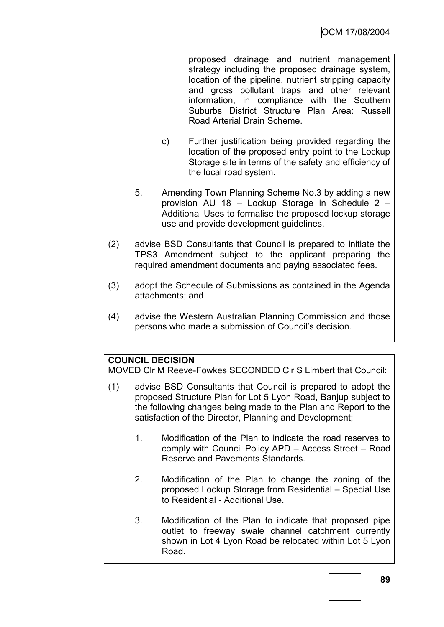proposed drainage and nutrient management strategy including the proposed drainage system, location of the pipeline, nutrient stripping capacity and gross pollutant traps and other relevant information, in compliance with the Southern Suburbs District Structure Plan Area: Russell Road Arterial Drain Scheme.

- c) Further justification being provided regarding the location of the proposed entry point to the Lockup Storage site in terms of the safety and efficiency of the local road system.
- 5. Amending Town Planning Scheme No.3 by adding a new provision AU 18 – Lockup Storage in Schedule 2 – Additional Uses to formalise the proposed lockup storage use and provide development guidelines.
- (2) advise BSD Consultants that Council is prepared to initiate the TPS3 Amendment subject to the applicant preparing the required amendment documents and paying associated fees.
- (3) adopt the Schedule of Submissions as contained in the Agenda attachments; and
- (4) advise the Western Australian Planning Commission and those persons who made a submission of Council"s decision.

# **COUNCIL DECISION**

MOVED Clr M Reeve-Fowkes SECONDED Clr S Limbert that Council:

- (1) advise BSD Consultants that Council is prepared to adopt the proposed Structure Plan for Lot 5 Lyon Road, Banjup subject to the following changes being made to the Plan and Report to the satisfaction of the Director, Planning and Development;
	- 1. Modification of the Plan to indicate the road reserves to comply with Council Policy APD – Access Street – Road Reserve and Pavements Standards.
	- 2. Modification of the Plan to change the zoning of the proposed Lockup Storage from Residential – Special Use to Residential - Additional Use.
	- 3. Modification of the Plan to indicate that proposed pipe outlet to freeway swale channel catchment currently shown in Lot 4 Lyon Road be relocated within Lot 5 Lyon Road.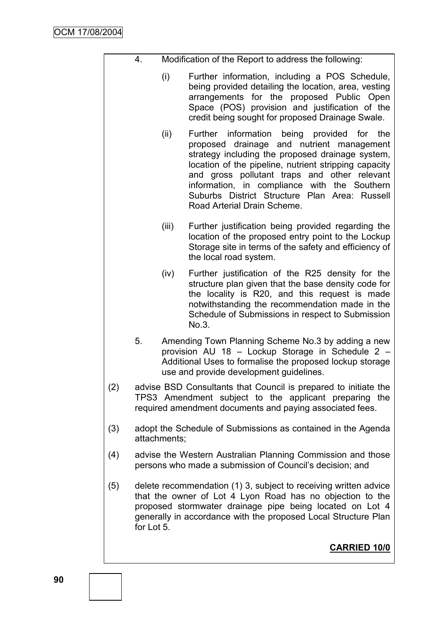|     | 4.                                                                                                                                                                                                                                                                        |                                                                                                                                                                                      | Modification of the Report to address the following:                                                                                                                                                                                                                                                                                                                                 |  |
|-----|---------------------------------------------------------------------------------------------------------------------------------------------------------------------------------------------------------------------------------------------------------------------------|--------------------------------------------------------------------------------------------------------------------------------------------------------------------------------------|--------------------------------------------------------------------------------------------------------------------------------------------------------------------------------------------------------------------------------------------------------------------------------------------------------------------------------------------------------------------------------------|--|
|     |                                                                                                                                                                                                                                                                           | (i)                                                                                                                                                                                  | Further information, including a POS Schedule,<br>being provided detailing the location, area, vesting<br>arrangements for the proposed Public Open<br>Space (POS) provision and justification of the<br>credit being sought for proposed Drainage Swale.                                                                                                                            |  |
|     |                                                                                                                                                                                                                                                                           | (ii)                                                                                                                                                                                 | Further information being provided for the<br>proposed drainage and nutrient management<br>strategy including the proposed drainage system,<br>location of the pipeline, nutrient stripping capacity<br>and gross pollutant traps and other relevant<br>information, in compliance with the Southern<br>Suburbs District Structure Plan Area: Russell<br>Road Arterial Drain Scheme. |  |
|     |                                                                                                                                                                                                                                                                           | (iii)                                                                                                                                                                                | Further justification being provided regarding the<br>location of the proposed entry point to the Lockup<br>Storage site in terms of the safety and efficiency of<br>the local road system.                                                                                                                                                                                          |  |
|     |                                                                                                                                                                                                                                                                           | (iv)                                                                                                                                                                                 | Further justification of the R25 density for the<br>structure plan given that the base density code for<br>the locality is R20, and this request is made<br>notwithstanding the recommendation made in the<br>Schedule of Submissions in respect to Submission<br>No.3.                                                                                                              |  |
|     | 5.                                                                                                                                                                                                                                                                        |                                                                                                                                                                                      | Amending Town Planning Scheme No.3 by adding a new<br>provision AU 18 - Lockup Storage in Schedule 2 -<br>Additional Uses to formalise the proposed lockup storage<br>use and provide development guidelines.                                                                                                                                                                        |  |
| (2) |                                                                                                                                                                                                                                                                           | advise BSD Consultants that Council is prepared to initiate the<br>TPS3 Amendment subject to the applicant preparing the<br>required amendment documents and paying associated fees. |                                                                                                                                                                                                                                                                                                                                                                                      |  |
| (3) |                                                                                                                                                                                                                                                                           | adopt the Schedule of Submissions as contained in the Agenda<br>attachments;                                                                                                         |                                                                                                                                                                                                                                                                                                                                                                                      |  |
| (4) |                                                                                                                                                                                                                                                                           | advise the Western Australian Planning Commission and those<br>persons who made a submission of Council's decision; and                                                              |                                                                                                                                                                                                                                                                                                                                                                                      |  |
| (5) | delete recommendation (1) 3, subject to receiving written advice<br>that the owner of Lot 4 Lyon Road has no objection to the<br>proposed stormwater drainage pipe being located on Lot 4<br>generally in accordance with the proposed Local Structure Plan<br>for Lot 5. |                                                                                                                                                                                      |                                                                                                                                                                                                                                                                                                                                                                                      |  |
|     |                                                                                                                                                                                                                                                                           |                                                                                                                                                                                      | <b>CARRIED 10/0</b>                                                                                                                                                                                                                                                                                                                                                                  |  |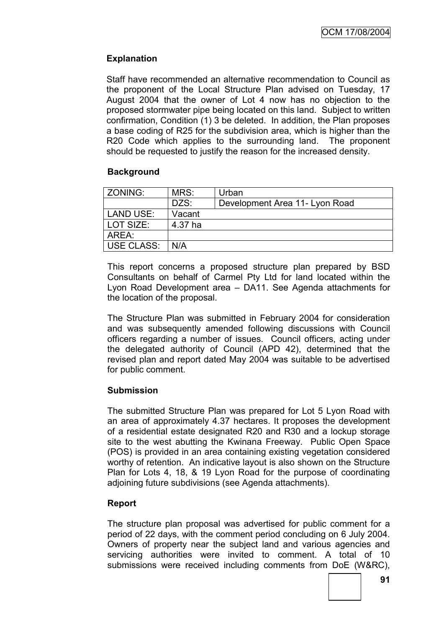# **Explanation**

Staff have recommended an alternative recommendation to Council as the proponent of the Local Structure Plan advised on Tuesday, 17 August 2004 that the owner of Lot 4 now has no objection to the proposed stormwater pipe being located on this land. Subject to written confirmation, Condition (1) 3 be deleted. In addition, the Plan proposes a base coding of R25 for the subdivision area, which is higher than the R20 Code which applies to the surrounding land. The proponent should be requested to justify the reason for the increased density.

#### **Background**

| ZONING:    | MRS:    | Urban                          |
|------------|---------|--------------------------------|
|            | DZS:    | Development Area 11- Lyon Road |
| LAND USE:  | Vacant  |                                |
| LOT SIZE:  | 4.37 ha |                                |
| AREA:      |         |                                |
| USE CLASS: | N/A     |                                |

This report concerns a proposed structure plan prepared by BSD Consultants on behalf of Carmel Pty Ltd for land located within the Lyon Road Development area – DA11. See Agenda attachments for the location of the proposal.

The Structure Plan was submitted in February 2004 for consideration and was subsequently amended following discussions with Council officers regarding a number of issues. Council officers, acting under the delegated authority of Council (APD 42), determined that the revised plan and report dated May 2004 was suitable to be advertised for public comment.

#### **Submission**

The submitted Structure Plan was prepared for Lot 5 Lyon Road with an area of approximately 4.37 hectares. It proposes the development of a residential estate designated R20 and R30 and a lockup storage site to the west abutting the Kwinana Freeway. Public Open Space (POS) is provided in an area containing existing vegetation considered worthy of retention. An indicative layout is also shown on the Structure Plan for Lots 4, 18, & 19 Lyon Road for the purpose of coordinating adjoining future subdivisions (see Agenda attachments).

# **Report**

The structure plan proposal was advertised for public comment for a period of 22 days, with the comment period concluding on 6 July 2004. Owners of property near the subject land and various agencies and servicing authorities were invited to comment. A total of 10 submissions were received including comments from DoE (W&RC),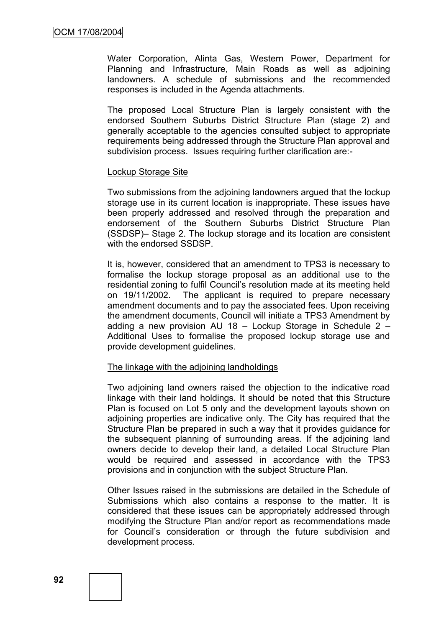Water Corporation, Alinta Gas, Western Power, Department for Planning and Infrastructure, Main Roads as well as adjoining landowners. A schedule of submissions and the recommended responses is included in the Agenda attachments.

The proposed Local Structure Plan is largely consistent with the endorsed Southern Suburbs District Structure Plan (stage 2) and generally acceptable to the agencies consulted subject to appropriate requirements being addressed through the Structure Plan approval and subdivision process. Issues requiring further clarification are:-

#### Lockup Storage Site

Two submissions from the adjoining landowners argued that the lockup storage use in its current location is inappropriate. These issues have been properly addressed and resolved through the preparation and endorsement of the Southern Suburbs District Structure Plan (SSDSP)– Stage 2. The lockup storage and its location are consistent with the endorsed SSDSP.

It is, however, considered that an amendment to TPS3 is necessary to formalise the lockup storage proposal as an additional use to the residential zoning to fulfil Council"s resolution made at its meeting held on 19/11/2002. The applicant is required to prepare necessary amendment documents and to pay the associated fees. Upon receiving the amendment documents, Council will initiate a TPS3 Amendment by adding a new provision AU 18 – Lockup Storage in Schedule 2 – Additional Uses to formalise the proposed lockup storage use and provide development guidelines.

#### The linkage with the adjoining landholdings

Two adjoining land owners raised the objection to the indicative road linkage with their land holdings. It should be noted that this Structure Plan is focused on Lot 5 only and the development layouts shown on adjoining properties are indicative only. The City has required that the Structure Plan be prepared in such a way that it provides guidance for the subsequent planning of surrounding areas. If the adjoining land owners decide to develop their land, a detailed Local Structure Plan would be required and assessed in accordance with the TPS3 provisions and in conjunction with the subject Structure Plan.

Other Issues raised in the submissions are detailed in the Schedule of Submissions which also contains a response to the matter. It is considered that these issues can be appropriately addressed through modifying the Structure Plan and/or report as recommendations made for Council"s consideration or through the future subdivision and development process.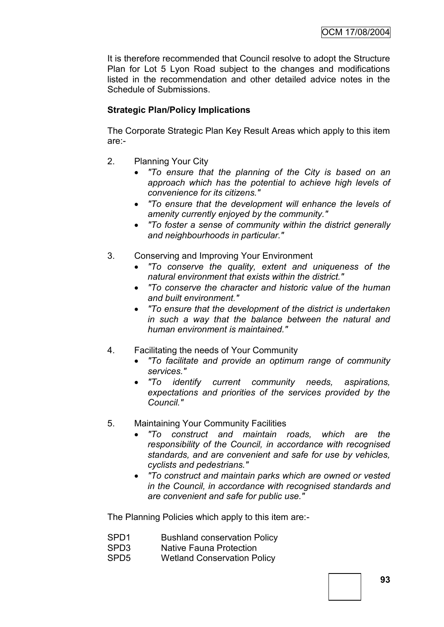It is therefore recommended that Council resolve to adopt the Structure Plan for Lot 5 Lyon Road subject to the changes and modifications listed in the recommendation and other detailed advice notes in the Schedule of Submissions.

# **Strategic Plan/Policy Implications**

The Corporate Strategic Plan Key Result Areas which apply to this item are:-

- 2. Planning Your City
	- *"To ensure that the planning of the City is based on an approach which has the potential to achieve high levels of convenience for its citizens."*
	- *"To ensure that the development will enhance the levels of amenity currently enjoyed by the community."*
	- *"To foster a sense of community within the district generally and neighbourhoods in particular."*
- 3. Conserving and Improving Your Environment
	- *"To conserve the quality, extent and uniqueness of the natural environment that exists within the district."*
	- *"To conserve the character and historic value of the human and built environment."*
	- *"To ensure that the development of the district is undertaken in such a way that the balance between the natural and human environment is maintained."*
- 4. Facilitating the needs of Your Community
	- *"To facilitate and provide an optimum range of community services."*
	- *"To identify current community needs, aspirations, expectations and priorities of the services provided by the Council."*
- 5. Maintaining Your Community Facilities
	- *"To construct and maintain roads, which are the responsibility of the Council, in accordance with recognised standards, and are convenient and safe for use by vehicles, cyclists and pedestrians."*
	- *"To construct and maintain parks which are owned or vested in the Council, in accordance with recognised standards and are convenient and safe for public use."*

The Planning Policies which apply to this item are:-

- SPD1 Bushland conservation Policy
- SPD3 Native Fauna Protection
- SPD5 Wetland Conservation Policy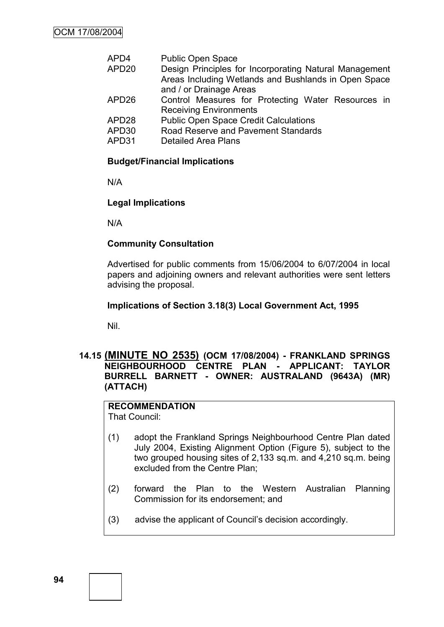| APD4  | <b>Public Open Space</b>                               |
|-------|--------------------------------------------------------|
| APD20 | Design Principles for Incorporating Natural Management |
|       | Areas Including Wetlands and Bushlands in Open Space   |
|       | and / or Drainage Areas                                |
| APD26 | Control Measures for Protecting Water Resources in     |
|       | <b>Receiving Environments</b>                          |
| APD28 | <b>Public Open Space Credit Calculations</b>           |
| APD30 | Road Reserve and Pavement Standards                    |
| APD31 | <b>Detailed Area Plans</b>                             |
|       |                                                        |

#### **Budget/Financial Implications**

N/A

#### **Legal Implications**

N/A

#### **Community Consultation**

Advertised for public comments from 15/06/2004 to 6/07/2004 in local papers and adjoining owners and relevant authorities were sent letters advising the proposal.

#### **Implications of Section 3.18(3) Local Government Act, 1995**

Nil.

#### **14.15 (MINUTE NO 2535) (OCM 17/08/2004) - FRANKLAND SPRINGS NEIGHBOURHOOD CENTRE PLAN - APPLICANT: TAYLOR BURRELL BARNETT - OWNER: AUSTRALAND (9643A) (MR) (ATTACH)**

#### **RECOMMENDATION** That Council:

(1) adopt the Frankland Springs Neighbourhood Centre Plan dated July 2004, Existing Alignment Option (Figure 5), subject to the two grouped housing sites of 2,133 sq.m. and 4,210 sq.m. being excluded from the Centre Plan;

- (2) forward the Plan to the Western Australian Planning Commission for its endorsement; and
- (3) advise the applicant of Council"s decision accordingly.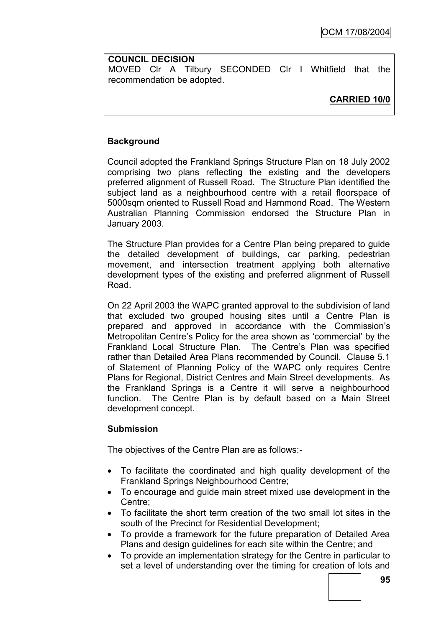#### **COUNCIL DECISION**

MOVED Clr A Tilbury SECONDED Clr I Whitfield that the recommendation be adopted.

# **CARRIED 10/0**

# **Background**

Council adopted the Frankland Springs Structure Plan on 18 July 2002 comprising two plans reflecting the existing and the developers preferred alignment of Russell Road. The Structure Plan identified the subject land as a neighbourhood centre with a retail floorspace of 5000sqm oriented to Russell Road and Hammond Road. The Western Australian Planning Commission endorsed the Structure Plan in January 2003.

The Structure Plan provides for a Centre Plan being prepared to guide the detailed development of buildings, car parking, pedestrian movement, and intersection treatment applying both alternative development types of the existing and preferred alignment of Russell Road.

On 22 April 2003 the WAPC granted approval to the subdivision of land that excluded two grouped housing sites until a Centre Plan is prepared and approved in accordance with the Commission"s Metropolitan Centre"s Policy for the area shown as "commercial" by the Frankland Local Structure Plan. The Centre"s Plan was specified rather than Detailed Area Plans recommended by Council. Clause 5.1 of Statement of Planning Policy of the WAPC only requires Centre Plans for Regional, District Centres and Main Street developments. As the Frankland Springs is a Centre it will serve a neighbourhood function. The Centre Plan is by default based on a Main Street development concept.

#### **Submission**

The objectives of the Centre Plan are as follows:-

- To facilitate the coordinated and high quality development of the Frankland Springs Neighbourhood Centre;
- To encourage and guide main street mixed use development in the Centre;
- To facilitate the short term creation of the two small lot sites in the south of the Precinct for Residential Development;
- To provide a framework for the future preparation of Detailed Area Plans and design guidelines for each site within the Centre; and
- To provide an implementation strategy for the Centre in particular to set a level of understanding over the timing for creation of lots and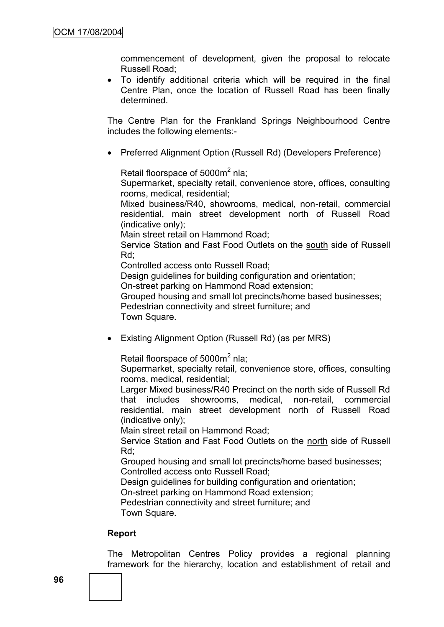commencement of development, given the proposal to relocate Russell Road;

 To identify additional criteria which will be required in the final Centre Plan, once the location of Russell Road has been finally determined.

The Centre Plan for the Frankland Springs Neighbourhood Centre includes the following elements:-

• Preferred Alignment Option (Russell Rd) (Developers Preference)

Retail floorspace of 5000m<sup>2</sup> nla;

Supermarket, specialty retail, convenience store, offices, consulting rooms, medical, residential;

Mixed business/R40, showrooms, medical, non-retail, commercial residential, main street development north of Russell Road (indicative only);

Main street retail on Hammond Road;

Service Station and Fast Food Outlets on the south side of Russell Rd;

Controlled access onto Russell Road;

Design guidelines for building configuration and orientation:

On-street parking on Hammond Road extension;

Grouped housing and small lot precincts/home based businesses;

Pedestrian connectivity and street furniture; and

Town Square.

Existing Alignment Option (Russell Rd) (as per MRS)

Retail floorspace of 5000m<sup>2</sup> nla;

Supermarket, specialty retail, convenience store, offices, consulting rooms, medical, residential;

Larger Mixed business/R40 Precinct on the north side of Russell Rd that includes showrooms, medical, non-retail, commercial residential, main street development north of Russell Road (indicative only);

Main street retail on Hammond Road;

Service Station and Fast Food Outlets on the north side of Russell Rd;

Grouped housing and small lot precincts/home based businesses; Controlled access onto Russell Road;

Design guidelines for building configuration and orientation;

On-street parking on Hammond Road extension;

Pedestrian connectivity and street furniture; and Town Square.

#### **Report**

The Metropolitan Centres Policy provides a regional planning framework for the hierarchy, location and establishment of retail and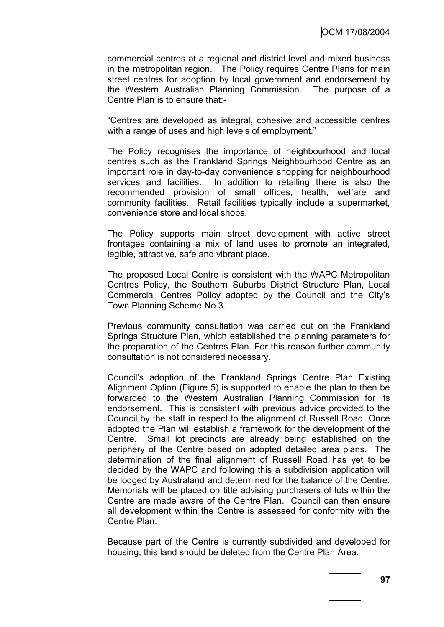commercial centres at a regional and district level and mixed business in the metropolitan region. The Policy requires Centre Plans for main street centres for adoption by local government and endorsement by the Western Australian Planning Commission. The purpose of a Centre Plan is to ensure that:-

"Centres are developed as integral, cohesive and accessible centres with a range of uses and high levels of employment."

The Policy recognises the importance of neighbourhood and local centres such as the Frankland Springs Neighbourhood Centre as an important role in day-to-day convenience shopping for neighbourhood services and facilities. In addition to retailing there is also the recommended provision of small offices, health, welfare and community facilities. Retail facilities typically include a supermarket, convenience store and local shops.

The Policy supports main street development with active street frontages containing a mix of land uses to promote an integrated, legible, attractive, safe and vibrant place.

The proposed Local Centre is consistent with the WAPC Metropolitan Centres Policy, the Southern Suburbs District Structure Plan, Local Commercial Centres Policy adopted by the Council and the City"s Town Planning Scheme No 3.

Previous community consultation was carried out on the Frankland Springs Structure Plan, which established the planning parameters for the preparation of the Centres Plan. For this reason further community consultation is not considered necessary.

Council"s adoption of the Frankland Springs Centre Plan Existing Alignment Option (Figure 5) is supported to enable the plan to then be forwarded to the Western Australian Planning Commission for its endorsement. This is consistent with previous advice provided to the Council by the staff in respect to the alignment of Russell Road. Once adopted the Plan will establish a framework for the development of the Centre. Small lot precincts are already being established on the periphery of the Centre based on adopted detailed area plans. The determination of the final alignment of Russell Road has yet to be decided by the WAPC and following this a subdivision application will be lodged by Australand and determined for the balance of the Centre. Memorials will be placed on title advising purchasers of lots within the Centre are made aware of the Centre Plan. Council can then ensure all development within the Centre is assessed for conformity with the Centre Plan.

Because part of the Centre is currently subdivided and developed for housing, this land should be deleted from the Centre Plan Area.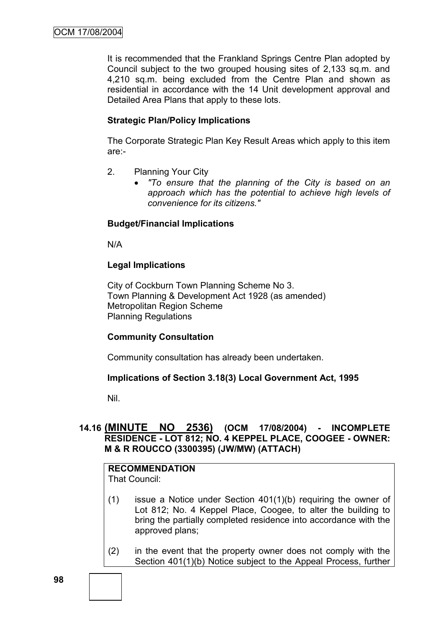It is recommended that the Frankland Springs Centre Plan adopted by Council subject to the two grouped housing sites of 2,133 sq.m. and 4,210 sq.m. being excluded from the Centre Plan and shown as residential in accordance with the 14 Unit development approval and Detailed Area Plans that apply to these lots.

#### **Strategic Plan/Policy Implications**

The Corporate Strategic Plan Key Result Areas which apply to this item are:-

- 2. Planning Your City
	- *"To ensure that the planning of the City is based on an approach which has the potential to achieve high levels of convenience for its citizens."*

#### **Budget/Financial Implications**

N/A

#### **Legal Implications**

City of Cockburn Town Planning Scheme No 3. Town Planning & Development Act 1928 (as amended) Metropolitan Region Scheme Planning Regulations

#### **Community Consultation**

Community consultation has already been undertaken.

#### **Implications of Section 3.18(3) Local Government Act, 1995**

Nil.

# **14.16 (MINUTE NO 2536) (OCM 17/08/2004) - INCOMPLETE RESIDENCE - LOT 812; NO. 4 KEPPEL PLACE, COOGEE - OWNER: M & R ROUCCO (3300395) (JW/MW) (ATTACH)**

# **RECOMMENDATION**

That Council:

- (1) issue a Notice under Section 401(1)(b) requiring the owner of Lot 812; No. 4 Keppel Place, Coogee, to alter the building to bring the partially completed residence into accordance with the approved plans;
- (2) in the event that the property owner does not comply with the Section 401(1)(b) Notice subject to the Appeal Process, further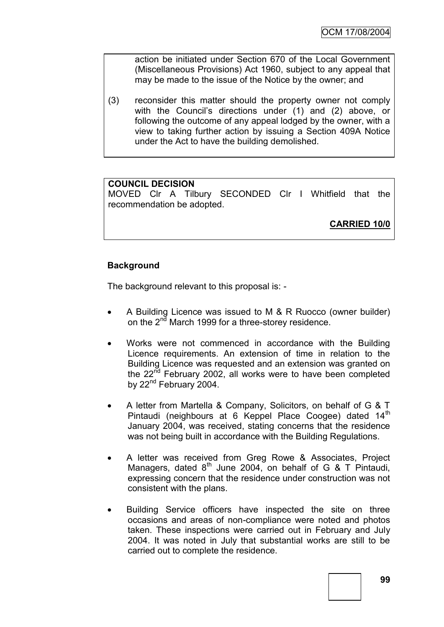action be initiated under Section 670 of the Local Government (Miscellaneous Provisions) Act 1960, subject to any appeal that may be made to the issue of the Notice by the owner; and

(3) reconsider this matter should the property owner not comply with the Council's directions under (1) and (2) above, or following the outcome of any appeal lodged by the owner, with a view to taking further action by issuing a Section 409A Notice under the Act to have the building demolished.

#### **COUNCIL DECISION**

MOVED Clr A Tilbury SECONDED Clr I Whitfield that the recommendation be adopted.

**CARRIED 10/0**

# **Background**

The background relevant to this proposal is: -

- A Building Licence was issued to M & R Ruocco (owner builder) on the 2<sup>nd</sup> March 1999 for a three-storey residence.
- Works were not commenced in accordance with the Building Licence requirements. An extension of time in relation to the Building Licence was requested and an extension was granted on the  $22<sup>nd</sup>$  February 2002, all works were to have been completed by 22<sup>nd</sup> February 2004.
- A letter from Martella & Company, Solicitors, on behalf of G & T Pintaudi (neighbours at 6 Keppel Place Coogee) dated 14<sup>th</sup> January 2004, was received, stating concerns that the residence was not being built in accordance with the Building Regulations.
- A letter was received from Greg Rowe & Associates, Project Managers, dated  $8<sup>th</sup>$  June 2004, on behalf of G & T Pintaudi, expressing concern that the residence under construction was not consistent with the plans.
- Building Service officers have inspected the site on three occasions and areas of non-compliance were noted and photos taken. These inspections were carried out in February and July 2004. It was noted in July that substantial works are still to be carried out to complete the residence.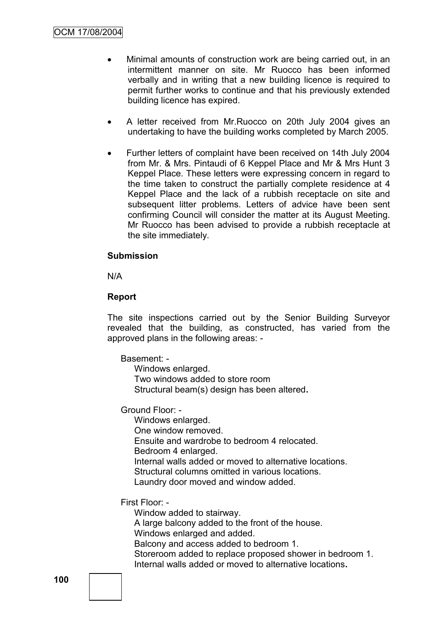- Minimal amounts of construction work are being carried out, in an intermittent manner on site. Mr Ruocco has been informed verbally and in writing that a new building licence is required to permit further works to continue and that his previously extended building licence has expired.
- A letter received from Mr.Ruocco on 20th July 2004 gives an undertaking to have the building works completed by March 2005.
- Further letters of complaint have been received on 14th July 2004 from Mr. & Mrs. Pintaudi of 6 Keppel Place and Mr & Mrs Hunt 3 Keppel Place. These letters were expressing concern in regard to the time taken to construct the partially complete residence at 4 Keppel Place and the lack of a rubbish receptacle on site and subsequent litter problems. Letters of advice have been sent confirming Council will consider the matter at its August Meeting. Mr Ruocco has been advised to provide a rubbish receptacle at the site immediately.

#### **Submission**

N/A

#### **Report**

The site inspections carried out by the Senior Building Surveyor revealed that the building, as constructed, has varied from the approved plans in the following areas: -

Basement: -

Windows enlarged. Two windows added to store room Structural beam(s) design has been altered**.**

Ground Floor: -

Windows enlarged. One window removed. Ensuite and wardrobe to bedroom 4 relocated. Bedroom 4 enlarged. Internal walls added or moved to alternative locations. Structural columns omitted in various locations. Laundry door moved and window added.

First Floor: -

Window added to stairway.

A large balcony added to the front of the house.

Windows enlarged and added.

Balcony and access added to bedroom 1.

Storeroom added to replace proposed shower in bedroom 1. Internal walls added or moved to alternative locations**.**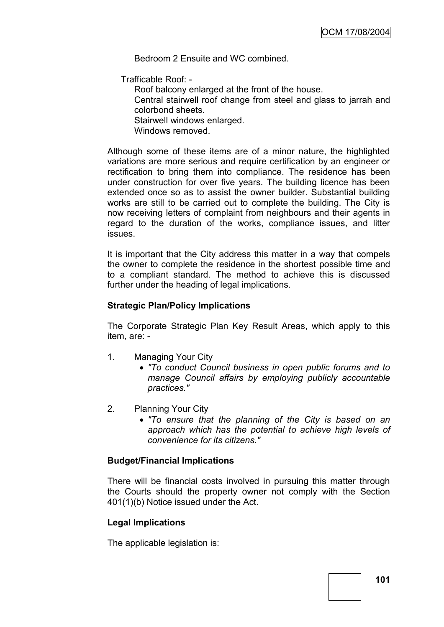Bedroom 2 Ensuite and WC combined.

Trafficable Roof: -

Roof balcony enlarged at the front of the house. Central stairwell roof change from steel and glass to jarrah and colorbond sheets. Stairwell windows enlarged. Windows removed.

Although some of these items are of a minor nature, the highlighted variations are more serious and require certification by an engineer or rectification to bring them into compliance. The residence has been under construction for over five years. The building licence has been extended once so as to assist the owner builder. Substantial building works are still to be carried out to complete the building. The City is now receiving letters of complaint from neighbours and their agents in regard to the duration of the works, compliance issues, and litter issues.

It is important that the City address this matter in a way that compels the owner to complete the residence in the shortest possible time and to a compliant standard. The method to achieve this is discussed further under the heading of legal implications.

#### **Strategic Plan/Policy Implications**

The Corporate Strategic Plan Key Result Areas, which apply to this item, are: -

- 1. Managing Your City
	- *"To conduct Council business in open public forums and to manage Council affairs by employing publicly accountable practices."*
- 2. Planning Your City
	- *"To ensure that the planning of the City is based on an approach which has the potential to achieve high levels of convenience for its citizens."*

#### **Budget/Financial Implications**

There will be financial costs involved in pursuing this matter through the Courts should the property owner not comply with the Section 401(1)(b) Notice issued under the Act.

#### **Legal Implications**

The applicable legislation is: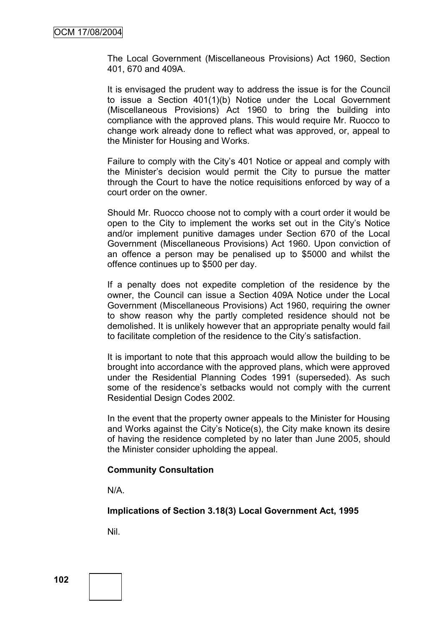The Local Government (Miscellaneous Provisions) Act 1960, Section 401, 670 and 409A.

It is envisaged the prudent way to address the issue is for the Council to issue a Section 401(1)(b) Notice under the Local Government (Miscellaneous Provisions) Act 1960 to bring the building into compliance with the approved plans. This would require Mr. Ruocco to change work already done to reflect what was approved, or, appeal to the Minister for Housing and Works.

Failure to comply with the City"s 401 Notice or appeal and comply with the Minister"s decision would permit the City to pursue the matter through the Court to have the notice requisitions enforced by way of a court order on the owner.

Should Mr. Ruocco choose not to comply with a court order it would be open to the City to implement the works set out in the City"s Notice and/or implement punitive damages under Section 670 of the Local Government (Miscellaneous Provisions) Act 1960. Upon conviction of an offence a person may be penalised up to \$5000 and whilst the offence continues up to \$500 per day.

If a penalty does not expedite completion of the residence by the owner, the Council can issue a Section 409A Notice under the Local Government (Miscellaneous Provisions) Act 1960, requiring the owner to show reason why the partly completed residence should not be demolished. It is unlikely however that an appropriate penalty would fail to facilitate completion of the residence to the City"s satisfaction.

It is important to note that this approach would allow the building to be brought into accordance with the approved plans, which were approved under the Residential Planning Codes 1991 (superseded). As such some of the residence's setbacks would not comply with the current Residential Design Codes 2002.

In the event that the property owner appeals to the Minister for Housing and Works against the City"s Notice(s), the City make known its desire of having the residence completed by no later than June 2005, should the Minister consider upholding the appeal.

#### **Community Consultation**

N/A.

**Implications of Section 3.18(3) Local Government Act, 1995**

Nil.

**102**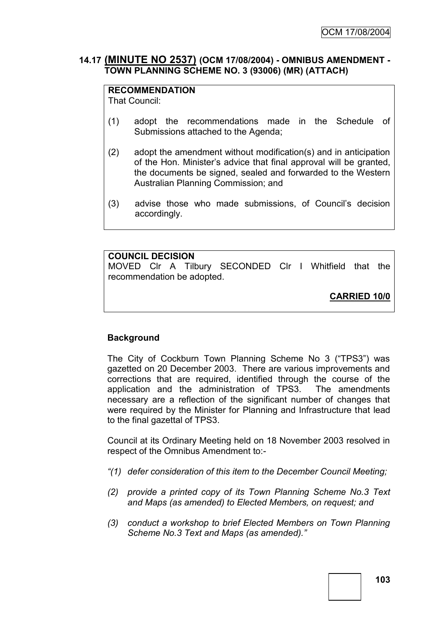#### **14.17 (MINUTE NO 2537) (OCM 17/08/2004) - OMNIBUS AMENDMENT - TOWN PLANNING SCHEME NO. 3 (93006) (MR) (ATTACH)**

## **RECOMMENDATION**

That Council:

- (1) adopt the recommendations made in the Schedule of Submissions attached to the Agenda;
- (2) adopt the amendment without modification(s) and in anticipation of the Hon. Minister"s advice that final approval will be granted, the documents be signed, sealed and forwarded to the Western Australian Planning Commission; and
- (3) advise those who made submissions, of Council"s decision accordingly.

#### **COUNCIL DECISION**

MOVED Clr A Tilbury SECONDED Clr I Whitfield that the recommendation be adopted.

**CARRIED 10/0**

# **Background**

The City of Cockburn Town Planning Scheme No 3 ("TPS3") was gazetted on 20 December 2003. There are various improvements and corrections that are required, identified through the course of the application and the administration of TPS3. The amendments necessary are a reflection of the significant number of changes that were required by the Minister for Planning and Infrastructure that lead to the final gazettal of TPS3.

Council at its Ordinary Meeting held on 18 November 2003 resolved in respect of the Omnibus Amendment to:-

- *"(1) defer consideration of this item to the December Council Meeting;*
- *(2) provide a printed copy of its Town Planning Scheme No.3 Text and Maps (as amended) to Elected Members, on request; and*
- *(3) conduct a workshop to brief Elected Members on Town Planning Scheme No.3 Text and Maps (as amended)."*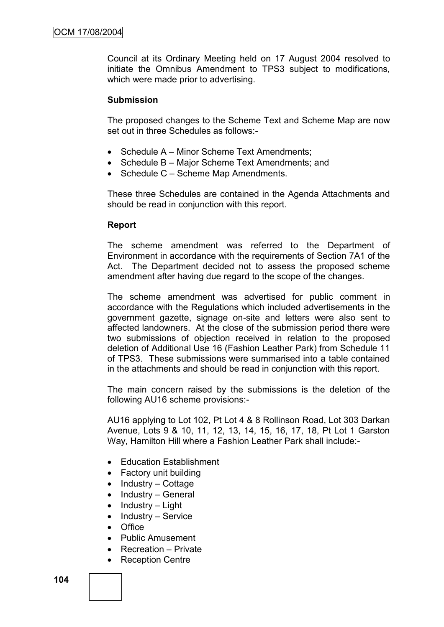Council at its Ordinary Meeting held on 17 August 2004 resolved to initiate the Omnibus Amendment to TPS3 subject to modifications, which were made prior to advertising.

#### **Submission**

The proposed changes to the Scheme Text and Scheme Map are now set out in three Schedules as follows:-

- Schedule A Minor Scheme Text Amendments:
- Schedule B Major Scheme Text Amendments; and
- Schedule C Scheme Map Amendments.

These three Schedules are contained in the Agenda Attachments and should be read in conjunction with this report.

#### **Report**

The scheme amendment was referred to the Department of Environment in accordance with the requirements of Section 7A1 of the Act. The Department decided not to assess the proposed scheme amendment after having due regard to the scope of the changes.

The scheme amendment was advertised for public comment in accordance with the Regulations which included advertisements in the government gazette, signage on-site and letters were also sent to affected landowners. At the close of the submission period there were two submissions of objection received in relation to the proposed deletion of Additional Use 16 (Fashion Leather Park) from Schedule 11 of TPS3. These submissions were summarised into a table contained in the attachments and should be read in conjunction with this report.

The main concern raised by the submissions is the deletion of the following AU16 scheme provisions:-

AU16 applying to Lot 102, Pt Lot 4 & 8 Rollinson Road, Lot 303 Darkan Avenue, Lots 9 & 10, 11, 12, 13, 14, 15, 16, 17, 18, Pt Lot 1 Garston Way, Hamilton Hill where a Fashion Leather Park shall include:-

- Education Establishment
- Factory unit building
- $\bullet$  Industry Cottage
- $\bullet$  Industry General
- Industry Light
- $\bullet$  Industry Service
- $\bullet$  Office
- **•** Public Amusement
- Recreation Private
- Reception Centre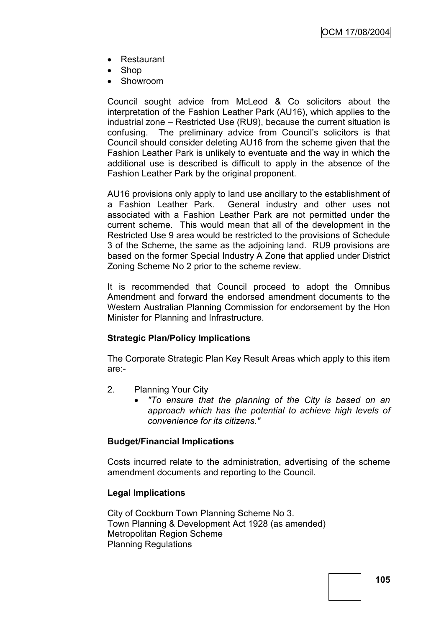- Restaurant
- Shop
- Showroom

Council sought advice from McLeod & Co solicitors about the interpretation of the Fashion Leather Park (AU16), which applies to the industrial zone – Restricted Use (RU9), because the current situation is confusing. The preliminary advice from Council"s solicitors is that Council should consider deleting AU16 from the scheme given that the Fashion Leather Park is unlikely to eventuate and the way in which the additional use is described is difficult to apply in the absence of the Fashion Leather Park by the original proponent.

AU16 provisions only apply to land use ancillary to the establishment of a Fashion Leather Park. General industry and other uses not associated with a Fashion Leather Park are not permitted under the current scheme. This would mean that all of the development in the Restricted Use 9 area would be restricted to the provisions of Schedule 3 of the Scheme, the same as the adjoining land. RU9 provisions are based on the former Special Industry A Zone that applied under District Zoning Scheme No 2 prior to the scheme review.

It is recommended that Council proceed to adopt the Omnibus Amendment and forward the endorsed amendment documents to the Western Australian Planning Commission for endorsement by the Hon Minister for Planning and Infrastructure.

## **Strategic Plan/Policy Implications**

The Corporate Strategic Plan Key Result Areas which apply to this item are:-

- 2. Planning Your City
	- *"To ensure that the planning of the City is based on an approach which has the potential to achieve high levels of convenience for its citizens."*

## **Budget/Financial Implications**

Costs incurred relate to the administration, advertising of the scheme amendment documents and reporting to the Council.

## **Legal Implications**

City of Cockburn Town Planning Scheme No 3. Town Planning & Development Act 1928 (as amended) Metropolitan Region Scheme Planning Regulations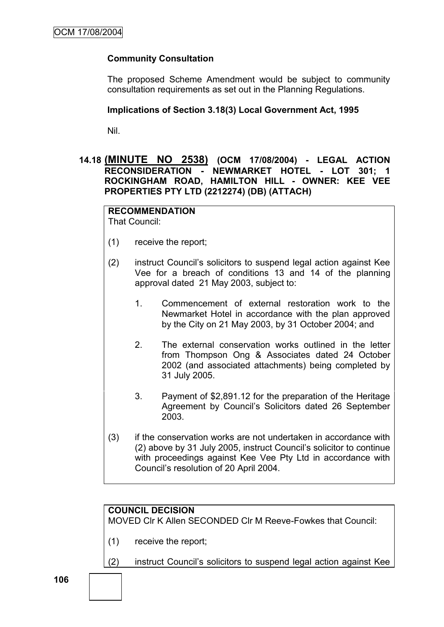# **Community Consultation**

The proposed Scheme Amendment would be subject to community consultation requirements as set out in the Planning Regulations.

#### **Implications of Section 3.18(3) Local Government Act, 1995**

Nil.

## **14.18 (MINUTE NO 2538) (OCM 17/08/2004) - LEGAL ACTION RECONSIDERATION - NEWMARKET HOTEL - LOT 301; 1 ROCKINGHAM ROAD, HAMILTON HILL - OWNER: KEE VEE PROPERTIES PTY LTD (2212274) (DB) (ATTACH)**

# **RECOMMENDATION**

That Council:

- (1) receive the report;
- (2) instruct Council"s solicitors to suspend legal action against Kee Vee for a breach of conditions 13 and 14 of the planning approval dated 21 May 2003, subject to:
	- 1. Commencement of external restoration work to the Newmarket Hotel in accordance with the plan approved by the City on 21 May 2003, by 31 October 2004; and
	- 2. The external conservation works outlined in the letter from Thompson Ong & Associates dated 24 October 2002 (and associated attachments) being completed by 31 July 2005.
	- 3. Payment of \$2,891.12 for the preparation of the Heritage Agreement by Council"s Solicitors dated 26 September 2003.
- (3) if the conservation works are not undertaken in accordance with (2) above by 31 July 2005, instruct Council"s solicitor to continue with proceedings against Kee Vee Pty Ltd in accordance with Council"s resolution of 20 April 2004.

## **COUNCIL DECISION**

MOVED Clr K Allen SECONDED Clr M Reeve-Fowkes that Council:

- (1) receive the report;
- (2) instruct Council"s solicitors to suspend legal action against Kee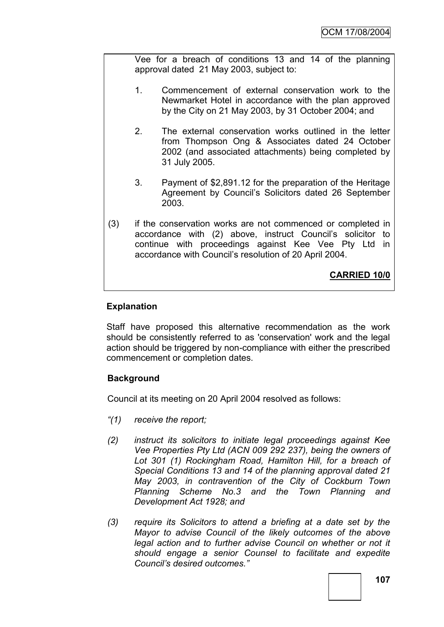Vee for a breach of conditions 13 and 14 of the planning approval dated 21 May 2003, subject to:

- 1. Commencement of external conservation work to the Newmarket Hotel in accordance with the plan approved by the City on 21 May 2003, by 31 October 2004; and
- 2. The external conservation works outlined in the letter from Thompson Ong & Associates dated 24 October 2002 (and associated attachments) being completed by 31 July 2005.
- 3. Payment of \$2,891.12 for the preparation of the Heritage Agreement by Council"s Solicitors dated 26 September 2003.
- (3) if the conservation works are not commenced or completed in accordance with (2) above, instruct Council"s solicitor to continue with proceedings against Kee Vee Pty Ltd in accordance with Council"s resolution of 20 April 2004.

**CARRIED 10/0**

# **Explanation**

Staff have proposed this alternative recommendation as the work should be consistently referred to as 'conservation' work and the legal action should be triggered by non-compliance with either the prescribed commencement or completion dates.

# **Background**

Council at its meeting on 20 April 2004 resolved as follows:

- *"(1) receive the report;*
- *(2) instruct its solicitors to initiate legal proceedings against Kee Vee Properties Pty Ltd (ACN 009 292 237), being the owners of Lot 301 (1) Rockingham Road, Hamilton Hill, for a breach of Special Conditions 13 and 14 of the planning approval dated 21 May 2003, in contravention of the City of Cockburn Town Planning Scheme No.3 and the Town Planning and Development Act 1928; and*
- *(3) require its Solicitors to attend a briefing at a date set by the Mayor to advise Council of the likely outcomes of the above*  legal action and to further advise Council on whether or not it *should engage a senior Counsel to facilitate and expedite Council"s desired outcomes."*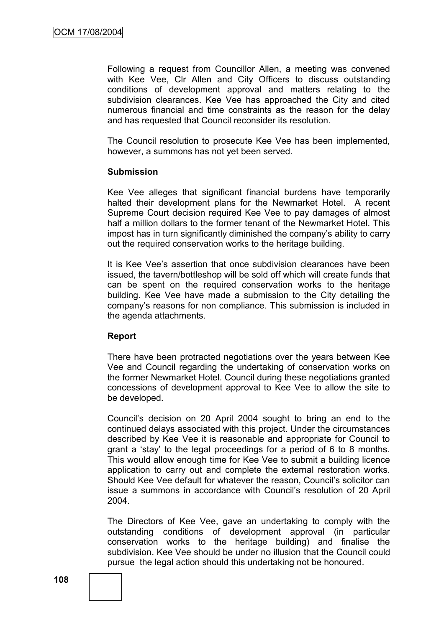Following a request from Councillor Allen, a meeting was convened with Kee Vee, Clr Allen and City Officers to discuss outstanding conditions of development approval and matters relating to the subdivision clearances. Kee Vee has approached the City and cited numerous financial and time constraints as the reason for the delay and has requested that Council reconsider its resolution.

The Council resolution to prosecute Kee Vee has been implemented, however, a summons has not yet been served.

#### **Submission**

Kee Vee alleges that significant financial burdens have temporarily halted their development plans for the Newmarket Hotel. A recent Supreme Court decision required Kee Vee to pay damages of almost half a million dollars to the former tenant of the Newmarket Hotel. This impost has in turn significantly diminished the company's ability to carry out the required conservation works to the heritage building.

It is Kee Vee's assertion that once subdivision clearances have been issued, the tavern/bottleshop will be sold off which will create funds that can be spent on the required conservation works to the heritage building. Kee Vee have made a submission to the City detailing the company"s reasons for non compliance. This submission is included in the agenda attachments.

## **Report**

There have been protracted negotiations over the years between Kee Vee and Council regarding the undertaking of conservation works on the former Newmarket Hotel. Council during these negotiations granted concessions of development approval to Kee Vee to allow the site to be developed.

Council"s decision on 20 April 2004 sought to bring an end to the continued delays associated with this project. Under the circumstances described by Kee Vee it is reasonable and appropriate for Council to grant a "stay" to the legal proceedings for a period of 6 to 8 months. This would allow enough time for Kee Vee to submit a building licence application to carry out and complete the external restoration works. Should Kee Vee default for whatever the reason, Council"s solicitor can issue a summons in accordance with Council"s resolution of 20 April 2004.

The Directors of Kee Vee, gave an undertaking to comply with the outstanding conditions of development approval (in particular conservation works to the heritage building) and finalise the subdivision. Kee Vee should be under no illusion that the Council could pursue the legal action should this undertaking not be honoured.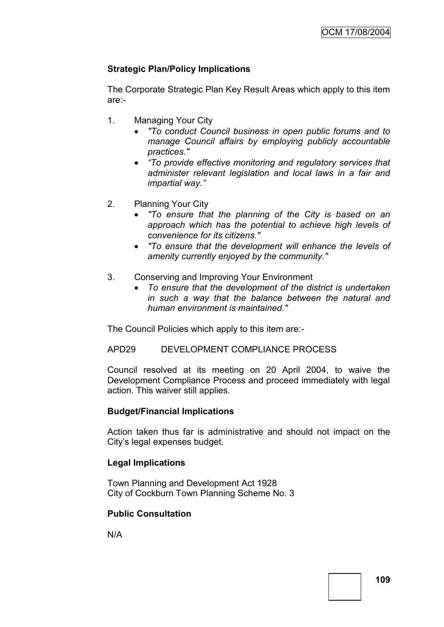# **Strategic Plan/Policy Implications**

The Corporate Strategic Plan Key Result Areas which apply to this item are:-

- 1. Managing Your City
	- *"To conduct Council business in open public forums and to manage Council affairs by employing publicly accountable practices."*
	- *"To provide effective monitoring and regulatory services that administer relevant legislation and local laws in a fair and impartial way."*
- 2. Planning Your City
	- *"To ensure that the planning of the City is based on an approach which has the potential to achieve high levels of convenience for its citizens."*
	- *"To ensure that the development will enhance the levels of amenity currently enjoyed by the community."*
- 3. Conserving and Improving Your Environment
	- *To ensure that the development of the district is undertaken in such a way that the balance between the natural and human environment is maintained."*

The Council Policies which apply to this item are:-

APD29 DEVELOPMENT COMPLIANCE PROCESS

Council resolved at its meeting on 20 April 2004, to waive the Development Compliance Process and proceed immediately with legal action. This waiver still applies.

## **Budget/Financial Implications**

Action taken thus far is administrative and should not impact on the City"s legal expenses budget.

# **Legal Implications**

Town Planning and Development Act 1928 City of Cockburn Town Planning Scheme No. 3

# **Public Consultation**

N/A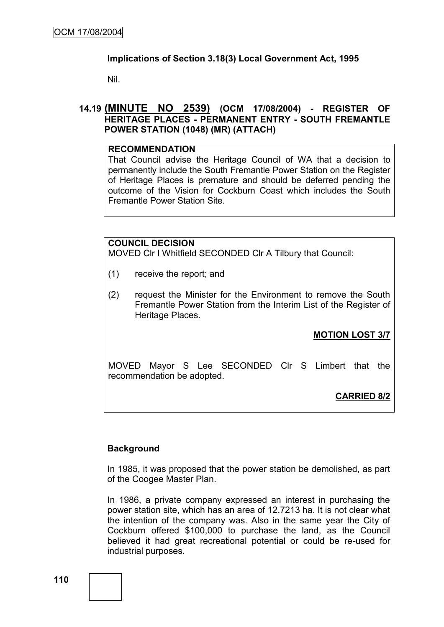## **Implications of Section 3.18(3) Local Government Act, 1995**

Nil.

## **14.19 (MINUTE NO 2539) (OCM 17/08/2004) - REGISTER OF HERITAGE PLACES - PERMANENT ENTRY - SOUTH FREMANTLE POWER STATION (1048) (MR) (ATTACH)**

#### **RECOMMENDATION**

That Council advise the Heritage Council of WA that a decision to permanently include the South Fremantle Power Station on the Register of Heritage Places is premature and should be deferred pending the outcome of the Vision for Cockburn Coast which includes the South Fremantle Power Station Site.

## **COUNCIL DECISION**

MOVED Clr I Whitfield SECONDED Clr A Tilbury that Council:

- (1) receive the report; and
- (2) request the Minister for the Environment to remove the South Fremantle Power Station from the Interim List of the Register of Heritage Places.

# **MOTION LOST 3/7**

MOVED Mayor S Lee SECONDED Clr S Limbert that the recommendation be adopted.

# **CARRIED 8/2**

## **Background**

In 1985, it was proposed that the power station be demolished, as part of the Coogee Master Plan.

In 1986, a private company expressed an interest in purchasing the power station site, which has an area of 12.7213 ha. It is not clear what the intention of the company was. Also in the same year the City of Cockburn offered \$100,000 to purchase the land, as the Council believed it had great recreational potential or could be re-used for industrial purposes.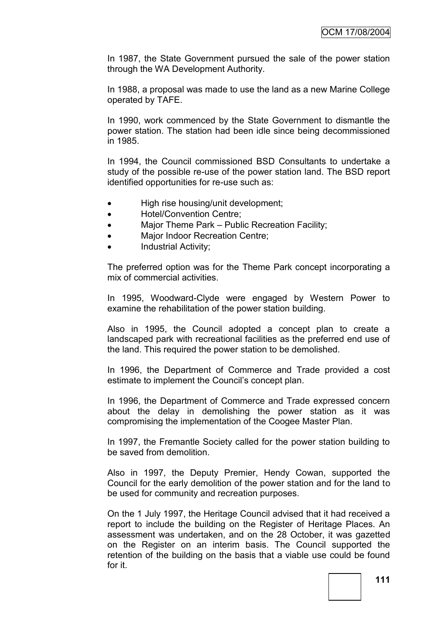In 1987, the State Government pursued the sale of the power station through the WA Development Authority.

In 1988, a proposal was made to use the land as a new Marine College operated by TAFE.

In 1990, work commenced by the State Government to dismantle the power station. The station had been idle since being decommissioned in 1985.

In 1994, the Council commissioned BSD Consultants to undertake a study of the possible re-use of the power station land. The BSD report identified opportunities for re-use such as:

- High rise housing/unit development;
- Hotel/Convention Centre;
- Major Theme Park Public Recreation Facility;
- Major Indoor Recreation Centre;
- Industrial Activity;

The preferred option was for the Theme Park concept incorporating a mix of commercial activities.

In 1995, Woodward-Clyde were engaged by Western Power to examine the rehabilitation of the power station building.

Also in 1995, the Council adopted a concept plan to create a landscaped park with recreational facilities as the preferred end use of the land. This required the power station to be demolished.

In 1996, the Department of Commerce and Trade provided a cost estimate to implement the Council"s concept plan.

In 1996, the Department of Commerce and Trade expressed concern about the delay in demolishing the power station as it was compromising the implementation of the Coogee Master Plan.

In 1997, the Fremantle Society called for the power station building to be saved from demolition.

Also in 1997, the Deputy Premier, Hendy Cowan, supported the Council for the early demolition of the power station and for the land to be used for community and recreation purposes.

On the 1 July 1997, the Heritage Council advised that it had received a report to include the building on the Register of Heritage Places. An assessment was undertaken, and on the 28 October, it was gazetted on the Register on an interim basis. The Council supported the retention of the building on the basis that a viable use could be found for it.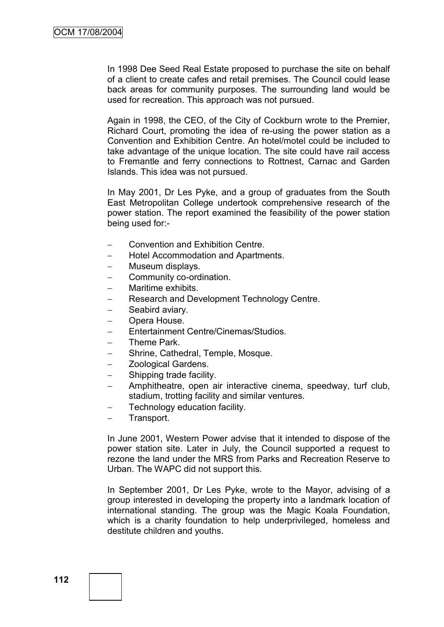In 1998 Dee Seed Real Estate proposed to purchase the site on behalf of a client to create cafes and retail premises. The Council could lease back areas for community purposes. The surrounding land would be used for recreation. This approach was not pursued.

Again in 1998, the CEO, of the City of Cockburn wrote to the Premier, Richard Court, promoting the idea of re-using the power station as a Convention and Exhibition Centre. An hotel/motel could be included to take advantage of the unique location. The site could have rail access to Fremantle and ferry connections to Rottnest, Carnac and Garden Islands. This idea was not pursued.

In May 2001, Dr Les Pyke, and a group of graduates from the South East Metropolitan College undertook comprehensive research of the power station. The report examined the feasibility of the power station being used for:-

- Convention and Exhibition Centre.
- Hotel Accommodation and Apartments.
- Museum displays.
- Community co-ordination.
- Maritime exhibits.
- Research and Development Technology Centre.
- Seabird aviary.
- Opera House.
- Entertainment Centre/Cinemas/Studios.
- Theme Park.
- Shrine, Cathedral, Temple, Mosque.
- **Zoological Gardens.**
- Shipping trade facility.
- Amphitheatre, open air interactive cinema, speedway, turf club, stadium, trotting facility and similar ventures.
- Technology education facility.
- Transport.

In June 2001, Western Power advise that it intended to dispose of the power station site. Later in July, the Council supported a request to rezone the land under the MRS from Parks and Recreation Reserve to Urban. The WAPC did not support this.

In September 2001, Dr Les Pyke, wrote to the Mayor, advising of a group interested in developing the property into a landmark location of international standing. The group was the Magic Koala Foundation, which is a charity foundation to help underprivileged, homeless and destitute children and youths.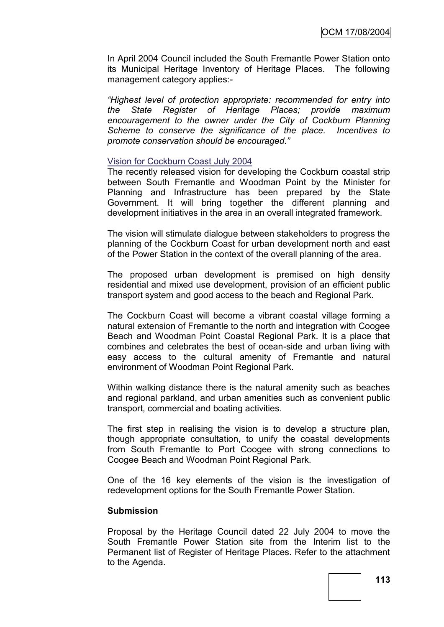In April 2004 Council included the South Fremantle Power Station onto its Municipal Heritage Inventory of Heritage Places. The following management category applies:-

*"Highest level of protection appropriate: recommended for entry into the State Register of Heritage Places; provide maximum encouragement to the owner under the City of Cockburn Planning Scheme to conserve the significance of the place. Incentives to promote conservation should be encouraged."*

#### Vision for Cockburn Coast July 2004

The recently released vision for developing the Cockburn coastal strip between South Fremantle and Woodman Point by the Minister for Planning and Infrastructure has been prepared by the State Government. It will bring together the different planning and development initiatives in the area in an overall integrated framework.

The vision will stimulate dialogue between stakeholders to progress the planning of the Cockburn Coast for urban development north and east of the Power Station in the context of the overall planning of the area.

The proposed urban development is premised on high density residential and mixed use development, provision of an efficient public transport system and good access to the beach and Regional Park.

The Cockburn Coast will become a vibrant coastal village forming a natural extension of Fremantle to the north and integration with Coogee Beach and Woodman Point Coastal Regional Park. It is a place that combines and celebrates the best of ocean-side and urban living with easy access to the cultural amenity of Fremantle and natural environment of Woodman Point Regional Park.

Within walking distance there is the natural amenity such as beaches and regional parkland, and urban amenities such as convenient public transport, commercial and boating activities.

The first step in realising the vision is to develop a structure plan, though appropriate consultation, to unify the coastal developments from South Fremantle to Port Coogee with strong connections to Coogee Beach and Woodman Point Regional Park.

One of the 16 key elements of the vision is the investigation of redevelopment options for the South Fremantle Power Station.

#### **Submission**

Proposal by the Heritage Council dated 22 July 2004 to move the South Fremantle Power Station site from the Interim list to the Permanent list of Register of Heritage Places. Refer to the attachment to the Agenda.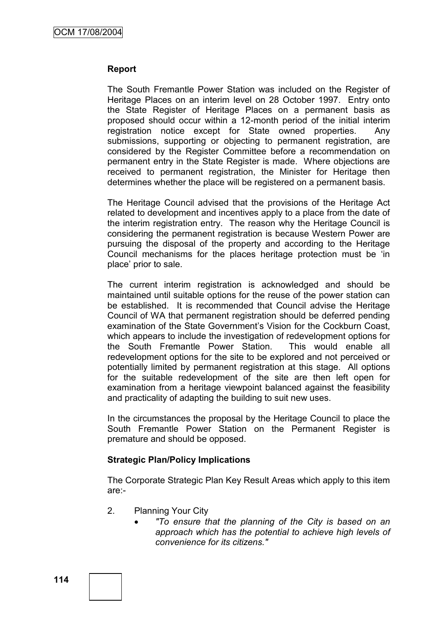#### **Report**

The South Fremantle Power Station was included on the Register of Heritage Places on an interim level on 28 October 1997. Entry onto the State Register of Heritage Places on a permanent basis as proposed should occur within a 12-month period of the initial interim registration notice except for State owned properties. Any submissions, supporting or objecting to permanent registration, are considered by the Register Committee before a recommendation on permanent entry in the State Register is made. Where objections are received to permanent registration, the Minister for Heritage then determines whether the place will be registered on a permanent basis.

The Heritage Council advised that the provisions of the Heritage Act related to development and incentives apply to a place from the date of the interim registration entry. The reason why the Heritage Council is considering the permanent registration is because Western Power are pursuing the disposal of the property and according to the Heritage Council mechanisms for the places heritage protection must be "in place" prior to sale.

The current interim registration is acknowledged and should be maintained until suitable options for the reuse of the power station can be established. It is recommended that Council advise the Heritage Council of WA that permanent registration should be deferred pending examination of the State Government's Vision for the Cockburn Coast, which appears to include the investigation of redevelopment options for the South Fremantle Power Station. This would enable all redevelopment options for the site to be explored and not perceived or potentially limited by permanent registration at this stage. All options for the suitable redevelopment of the site are then left open for examination from a heritage viewpoint balanced against the feasibility and practicality of adapting the building to suit new uses.

In the circumstances the proposal by the Heritage Council to place the South Fremantle Power Station on the Permanent Register is premature and should be opposed.

#### **Strategic Plan/Policy Implications**

The Corporate Strategic Plan Key Result Areas which apply to this item are:-

- 2. Planning Your City
	- *"To ensure that the planning of the City is based on an approach which has the potential to achieve high levels of convenience for its citizens."*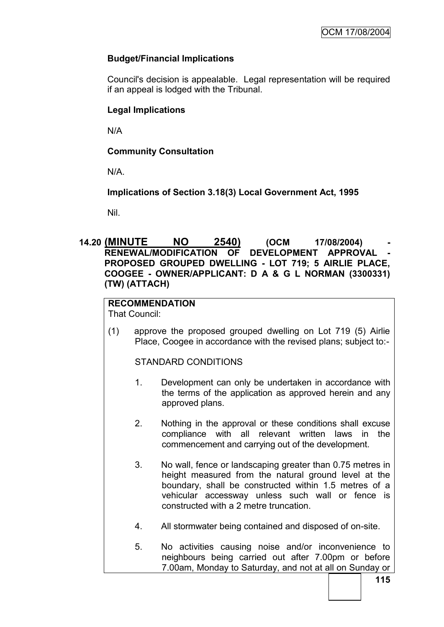# **Budget/Financial Implications**

Council's decision is appealable. Legal representation will be required if an appeal is lodged with the Tribunal.

# **Legal Implications**

N/A

# **Community Consultation**

N/A.

**Implications of Section 3.18(3) Local Government Act, 1995**

Nil.

## **14.20 (MINUTE NO 2540) (OCM 17/08/2004) - RENEWAL/MODIFICATION OF DEVELOPMENT APPROVAL PROPOSED GROUPED DWELLING - LOT 719; 5 AIRLIE PLACE, COOGEE - OWNER/APPLICANT: D A & G L NORMAN (3300331) (TW) (ATTACH)**

# **RECOMMENDATION**

That Council:

(1) approve the proposed grouped dwelling on Lot 719 (5) Airlie Place, Coogee in accordance with the revised plans; subject to:-

STANDARD CONDITIONS

- 1. Development can only be undertaken in accordance with the terms of the application as approved herein and any approved plans.
- 2. Nothing in the approval or these conditions shall excuse compliance with all relevant written laws in the commencement and carrying out of the development.
- 3. No wall, fence or landscaping greater than 0.75 metres in height measured from the natural ground level at the boundary, shall be constructed within 1.5 metres of a vehicular accessway unless such wall or fence is constructed with a 2 metre truncation.
- 4. All stormwater being contained and disposed of on-site.
- 5. No activities causing noise and/or inconvenience to neighbours being carried out after 7.00pm or before 7.00am, Monday to Saturday, and not at all on Sunday or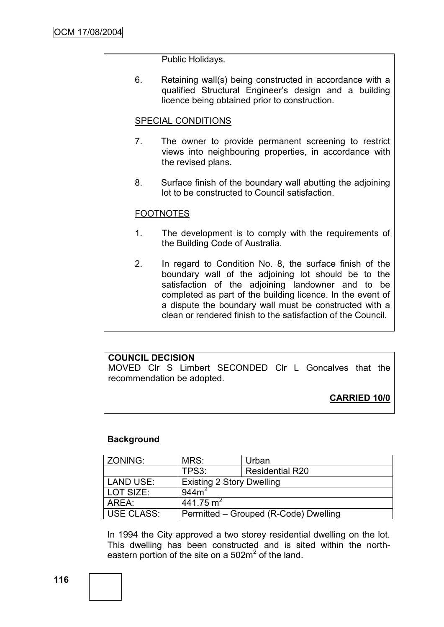Public Holidays.

6. Retaining wall(s) being constructed in accordance with a qualified Structural Engineer"s design and a building licence being obtained prior to construction.

## SPECIAL CONDITIONS

- 7. The owner to provide permanent screening to restrict views into neighbouring properties, in accordance with the revised plans.
- 8. Surface finish of the boundary wall abutting the adjoining lot to be constructed to Council satisfaction.

#### **FOOTNOTES**

- 1. The development is to comply with the requirements of the Building Code of Australia.
- 2. In regard to Condition No. 8, the surface finish of the boundary wall of the adjoining lot should be to the satisfaction of the adjoining landowner and to be completed as part of the building licence. In the event of a dispute the boundary wall must be constructed with a clean or rendered finish to the satisfaction of the Council.

# **COUNCIL DECISION**

MOVED Clr S Limbert SECONDED Clr L Goncalves that the recommendation be adopted.

**CARRIED 10/0**

## **Background**

| ZONING:           | MRS:                                  | Urban                  |  |
|-------------------|---------------------------------------|------------------------|--|
|                   | TPS3:                                 | <b>Residential R20</b> |  |
| <b>LAND USE:</b>  | <b>Existing 2 Story Dwelling</b>      |                        |  |
| LOT SIZE:         | 944m <sup>2</sup>                     |                        |  |
| AREA:             | 441.75 m <sup>2</sup>                 |                        |  |
| <b>USE CLASS:</b> | Permitted - Grouped (R-Code) Dwelling |                        |  |

In 1994 the City approved a two storey residential dwelling on the lot. This dwelling has been constructed and is sited within the northeastern portion of the site on a  $502m^2$  of the land.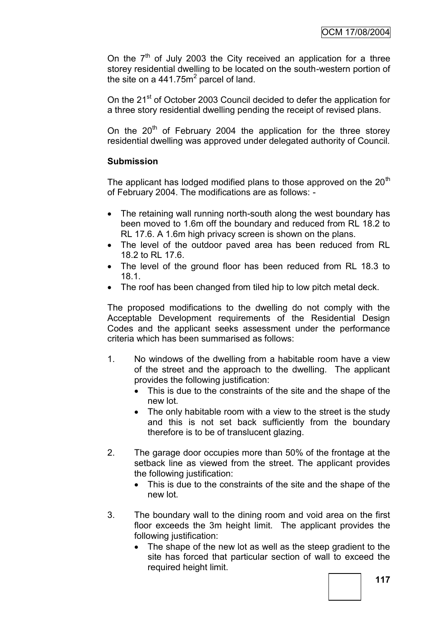On the  $7<sup>th</sup>$  of July 2003 the City received an application for a three storey residential dwelling to be located on the south-western portion of the site on a 441.75 $m^2$  parcel of land.

On the 21<sup>st</sup> of October 2003 Council decided to defer the application for a three story residential dwelling pending the receipt of revised plans.

On the  $20<sup>th</sup>$  of February 2004 the application for the three storey residential dwelling was approved under delegated authority of Council.

# **Submission**

The applicant has lodged modified plans to those approved on the  $20<sup>th</sup>$ of February 2004. The modifications are as follows: -

- The retaining wall running north-south along the west boundary has been moved to 1.6m off the boundary and reduced from RL 18.2 to RL 17.6. A 1.6m high privacy screen is shown on the plans.
- The level of the outdoor paved area has been reduced from RL 18.2 to RL 17.6.
- The level of the ground floor has been reduced from RL 18.3 to 18.1.
- The roof has been changed from tiled hip to low pitch metal deck.

The proposed modifications to the dwelling do not comply with the Acceptable Development requirements of the Residential Design Codes and the applicant seeks assessment under the performance criteria which has been summarised as follows:

- 1. No windows of the dwelling from a habitable room have a view of the street and the approach to the dwelling. The applicant provides the following justification:
	- This is due to the constraints of the site and the shape of the new lot*.*
	- The only habitable room with a view to the street is the study and this is not set back sufficiently from the boundary therefore is to be of translucent glazing.
- 2. The garage door occupies more than 50% of the frontage at the setback line as viewed from the street. The applicant provides the following justification:
	- This is due to the constraints of the site and the shape of the new lot*.*
- 3. The boundary wall to the dining room and void area on the first floor exceeds the 3m height limit. The applicant provides the following justification:
	- The shape of the new lot as well as the steep gradient to the site has forced that particular section of wall to exceed the required height limit.

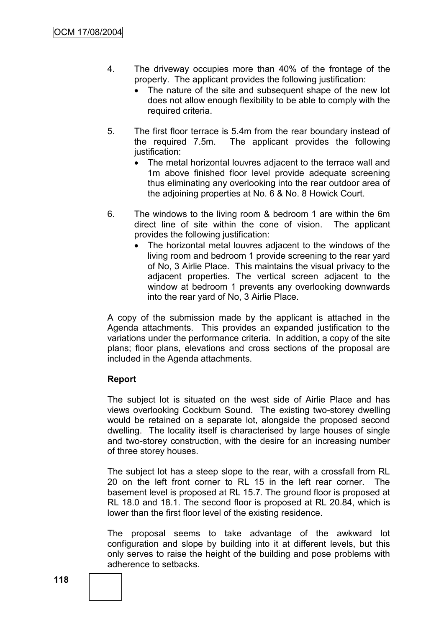- 4. The driveway occupies more than 40% of the frontage of the property. The applicant provides the following justification:
	- The nature of the site and subsequent shape of the new lot does not allow enough flexibility to be able to comply with the required criteria.
- 5. The first floor terrace is 5.4m from the rear boundary instead of the required 7.5m. The applicant provides the following justification:
	- The metal horizontal louvres adjacent to the terrace wall and 1m above finished floor level provide adequate screening thus eliminating any overlooking into the rear outdoor area of the adjoining properties at No. 6 & No. 8 Howick Court.
- 6. The windows to the living room & bedroom 1 are within the 6m direct line of site within the cone of vision. The applicant provides the following justification:
	- The horizontal metal louvres adjacent to the windows of the living room and bedroom 1 provide screening to the rear yard of No, 3 Airlie Place. This maintains the visual privacy to the adjacent properties. The vertical screen adjacent to the window at bedroom 1 prevents any overlooking downwards into the rear yard of No, 3 Airlie Place.

A copy of the submission made by the applicant is attached in the Agenda attachments. This provides an expanded justification to the variations under the performance criteria. In addition, a copy of the site plans; floor plans, elevations and cross sections of the proposal are included in the Agenda attachments.

# **Report**

The subject lot is situated on the west side of Airlie Place and has views overlooking Cockburn Sound. The existing two-storey dwelling would be retained on a separate lot, alongside the proposed second dwelling. The locality itself is characterised by large houses of single and two-storey construction, with the desire for an increasing number of three storey houses.

The subject lot has a steep slope to the rear, with a crossfall from RL 20 on the left front corner to RL 15 in the left rear corner. The basement level is proposed at RL 15.7. The ground floor is proposed at RL 18.0 and 18.1. The second floor is proposed at RL 20.84, which is lower than the first floor level of the existing residence.

The proposal seems to take advantage of the awkward lot configuration and slope by building into it at different levels, but this only serves to raise the height of the building and pose problems with adherence to setbacks.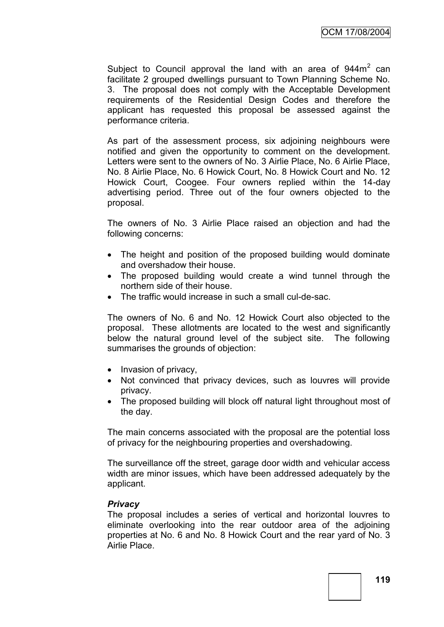Subject to Council approval the land with an area of  $944m<sup>2</sup>$  can facilitate 2 grouped dwellings pursuant to Town Planning Scheme No. 3. The proposal does not comply with the Acceptable Development requirements of the Residential Design Codes and therefore the applicant has requested this proposal be assessed against the performance criteria.

As part of the assessment process, six adjoining neighbours were notified and given the opportunity to comment on the development. Letters were sent to the owners of No. 3 Airlie Place, No. 6 Airlie Place, No. 8 Airlie Place, No. 6 Howick Court, No. 8 Howick Court and No. 12 Howick Court, Coogee. Four owners replied within the 14-day advertising period. Three out of the four owners objected to the proposal.

The owners of No. 3 Airlie Place raised an objection and had the following concerns:

- The height and position of the proposed building would dominate and overshadow their house.
- The proposed building would create a wind tunnel through the northern side of their house.
- The traffic would increase in such a small cul-de-sac.

The owners of No. 6 and No. 12 Howick Court also objected to the proposal. These allotments are located to the west and significantly below the natural ground level of the subject site. The following summarises the grounds of objection:

- Invasion of privacy,
- Not convinced that privacy devices, such as louvres will provide privacy.
- The proposed building will block off natural light throughout most of the day.

The main concerns associated with the proposal are the potential loss of privacy for the neighbouring properties and overshadowing.

The surveillance off the street, garage door width and vehicular access width are minor issues, which have been addressed adequately by the applicant.

## *Privacy*

The proposal includes a series of vertical and horizontal louvres to eliminate overlooking into the rear outdoor area of the adjoining properties at No. 6 and No. 8 Howick Court and the rear yard of No. 3 Airlie Place.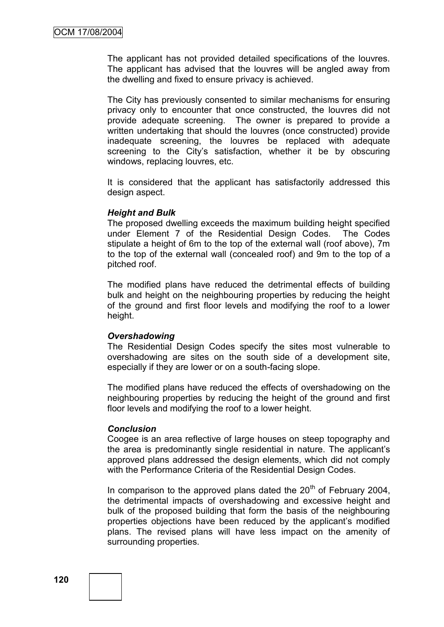The applicant has not provided detailed specifications of the louvres. The applicant has advised that the louvres will be angled away from the dwelling and fixed to ensure privacy is achieved.

The City has previously consented to similar mechanisms for ensuring privacy only to encounter that once constructed, the louvres did not provide adequate screening. The owner is prepared to provide a written undertaking that should the louvres (once constructed) provide inadequate screening, the louvres be replaced with adequate screening to the City"s satisfaction, whether it be by obscuring windows, replacing louvres, etc.

It is considered that the applicant has satisfactorily addressed this design aspect.

#### *Height and Bulk*

The proposed dwelling exceeds the maximum building height specified under Element 7 of the Residential Design Codes. The Codes stipulate a height of 6m to the top of the external wall (roof above), 7m to the top of the external wall (concealed roof) and 9m to the top of a pitched roof.

The modified plans have reduced the detrimental effects of building bulk and height on the neighbouring properties by reducing the height of the ground and first floor levels and modifying the roof to a lower height.

#### *Overshadowing*

The Residential Design Codes specify the sites most vulnerable to overshadowing are sites on the south side of a development site, especially if they are lower or on a south-facing slope.

The modified plans have reduced the effects of overshadowing on the neighbouring properties by reducing the height of the ground and first floor levels and modifying the roof to a lower height.

#### *Conclusion*

Coogee is an area reflective of large houses on steep topography and the area is predominantly single residential in nature. The applicant"s approved plans addressed the design elements, which did not comply with the Performance Criteria of the Residential Design Codes.

In comparison to the approved plans dated the  $20<sup>th</sup>$  of February 2004, the detrimental impacts of overshadowing and excessive height and bulk of the proposed building that form the basis of the neighbouring properties objections have been reduced by the applicant"s modified plans. The revised plans will have less impact on the amenity of surrounding properties.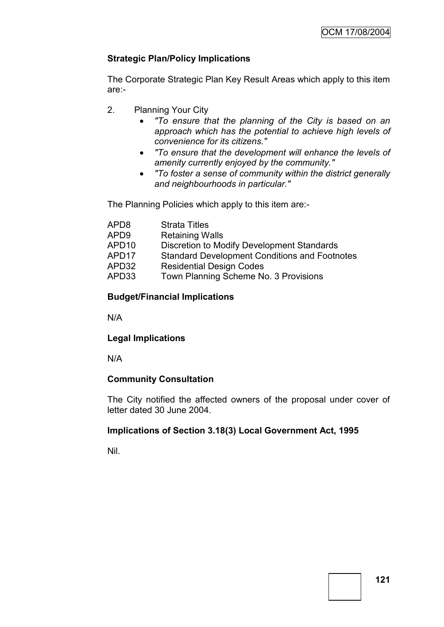# **Strategic Plan/Policy Implications**

The Corporate Strategic Plan Key Result Areas which apply to this item are:-

- 2. Planning Your City
	- *"To ensure that the planning of the City is based on an approach which has the potential to achieve high levels of convenience for its citizens."*
	- *"To ensure that the development will enhance the levels of amenity currently enjoyed by the community."*
	- *"To foster a sense of community within the district generally and neighbourhoods in particular."*

The Planning Policies which apply to this item are:-

| APD8<br><b>Strata Titles</b>                                  |  |
|---------------------------------------------------------------|--|
| <b>Retaining Walls</b><br>APD9                                |  |
| APD10<br>Discretion to Modify Development Standards           |  |
| <b>Standard Development Conditions and Footnotes</b><br>APD17 |  |
| <b>Residential Design Codes</b><br>APD32                      |  |
| Town Planning Scheme No. 3 Provisions<br>APD33                |  |

# **Budget/Financial Implications**

N/A

# **Legal Implications**

N/A

# **Community Consultation**

The City notified the affected owners of the proposal under cover of letter dated 30 June 2004.

# **Implications of Section 3.18(3) Local Government Act, 1995**

Nil.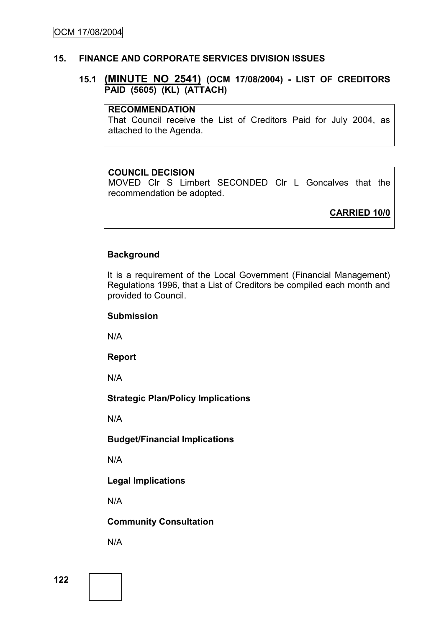#### **15. FINANCE AND CORPORATE SERVICES DIVISION ISSUES**

### **15.1 (MINUTE NO 2541) (OCM 17/08/2004) - LIST OF CREDITORS PAID (5605) (KL) (ATTACH)**

#### **RECOMMENDATION**

That Council receive the List of Creditors Paid for July 2004, as attached to the Agenda.

#### **COUNCIL DECISION**

MOVED Clr S Limbert SECONDED Clr L Goncalves that the recommendation be adopted.

**CARRIED 10/0**

#### **Background**

It is a requirement of the Local Government (Financial Management) Regulations 1996, that a List of Creditors be compiled each month and provided to Council.

#### **Submission**

N/A

#### **Report**

N/A

## **Strategic Plan/Policy Implications**

N/A

## **Budget/Financial Implications**

N/A

## **Legal Implications**

N/A

## **Community Consultation**

N/A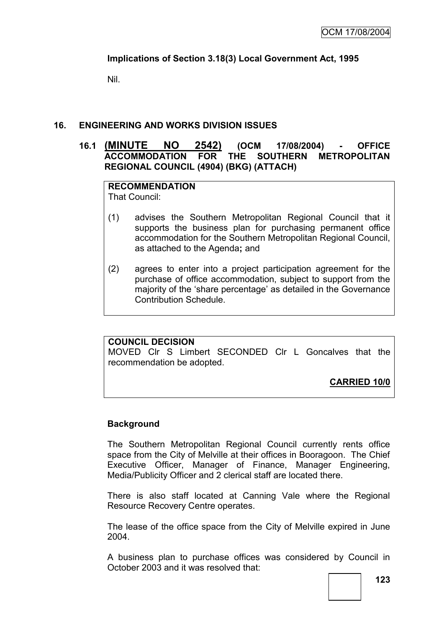# **Implications of Section 3.18(3) Local Government Act, 1995**

Nil.

## **16. ENGINEERING AND WORKS DIVISION ISSUES**

## **16.1 (MINUTE NO 2542) (OCM 17/08/2004) - OFFICE ACCOMMODATION FOR THE SOUTHERN METROPOLITAN REGIONAL COUNCIL (4904) (BKG) (ATTACH)**

#### **RECOMMENDATION** That Council:

- (1) advises the Southern Metropolitan Regional Council that it supports the business plan for purchasing permanent office accommodation for the Southern Metropolitan Regional Council, as attached to the Agenda**;** and
- (2) agrees to enter into a project participation agreement for the purchase of office accommodation, subject to support from the majority of the "share percentage" as detailed in the Governance Contribution Schedule.

## **COUNCIL DECISION**

MOVED Clr S Limbert SECONDED Clr L Goncalves that the recommendation be adopted.

**CARRIED 10/0**

## **Background**

The Southern Metropolitan Regional Council currently rents office space from the City of Melville at their offices in Booragoon. The Chief Executive Officer, Manager of Finance, Manager Engineering, Media/Publicity Officer and 2 clerical staff are located there.

There is also staff located at Canning Vale where the Regional Resource Recovery Centre operates.

The lease of the office space from the City of Melville expired in June 2004.

A business plan to purchase offices was considered by Council in October 2003 and it was resolved that: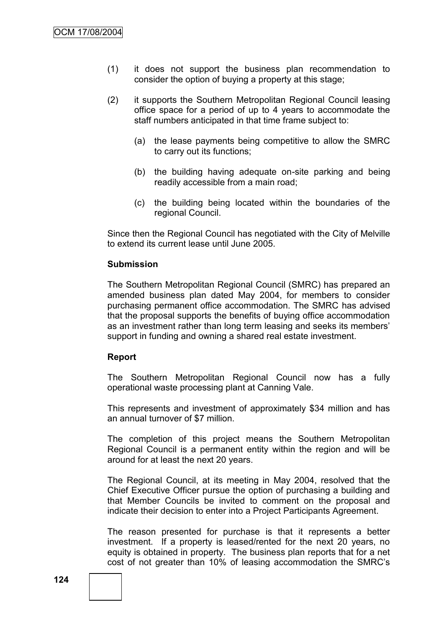- (1) it does not support the business plan recommendation to consider the option of buying a property at this stage;
- (2) it supports the Southern Metropolitan Regional Council leasing office space for a period of up to 4 years to accommodate the staff numbers anticipated in that time frame subject to:
	- (a) the lease payments being competitive to allow the SMRC to carry out its functions;
	- (b) the building having adequate on-site parking and being readily accessible from a main road;
	- (c) the building being located within the boundaries of the regional Council.

Since then the Regional Council has negotiated with the City of Melville to extend its current lease until June 2005.

#### **Submission**

The Southern Metropolitan Regional Council (SMRC) has prepared an amended business plan dated May 2004, for members to consider purchasing permanent office accommodation. The SMRC has advised that the proposal supports the benefits of buying office accommodation as an investment rather than long term leasing and seeks its members" support in funding and owning a shared real estate investment.

#### **Report**

The Southern Metropolitan Regional Council now has a fully operational waste processing plant at Canning Vale.

This represents and investment of approximately \$34 million and has an annual turnover of \$7 million.

The completion of this project means the Southern Metropolitan Regional Council is a permanent entity within the region and will be around for at least the next 20 years.

The Regional Council, at its meeting in May 2004, resolved that the Chief Executive Officer pursue the option of purchasing a building and that Member Councils be invited to comment on the proposal and indicate their decision to enter into a Project Participants Agreement.

The reason presented for purchase is that it represents a better investment. If a property is leased/rented for the next 20 years, no equity is obtained in property. The business plan reports that for a net cost of not greater than 10% of leasing accommodation the SMRC"s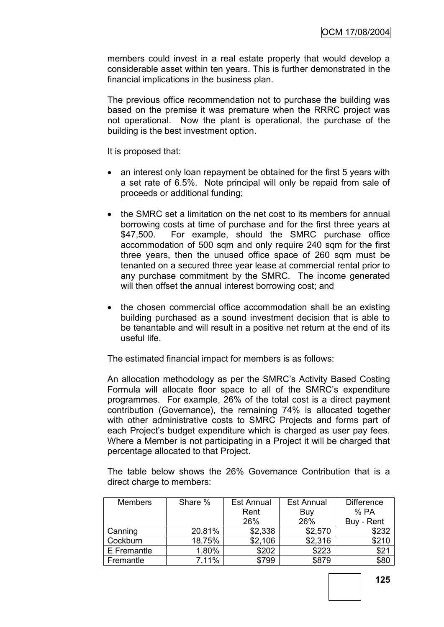members could invest in a real estate property that would develop a considerable asset within ten years. This is further demonstrated in the financial implications in the business plan.

The previous office recommendation not to purchase the building was based on the premise it was premature when the RRRC project was not operational. Now the plant is operational, the purchase of the building is the best investment option.

It is proposed that:

- an interest only loan repayment be obtained for the first 5 years with a set rate of 6.5%. Note principal will only be repaid from sale of proceeds or additional funding;
- the SMRC set a limitation on the net cost to its members for annual borrowing costs at time of purchase and for the first three years at \$47,500. For example, should the SMRC purchase office accommodation of 500 sqm and only require 240 sqm for the first three years, then the unused office space of 260 sqm must be tenanted on a secured three year lease at commercial rental prior to any purchase commitment by the SMRC. The income generated will then offset the annual interest borrowing cost; and
- the chosen commercial office accommodation shall be an existing building purchased as a sound investment decision that is able to be tenantable and will result in a positive net return at the end of its useful life.

The estimated financial impact for members is as follows:

An allocation methodology as per the SMRC"s Activity Based Costing Formula will allocate floor space to all of the SMRC"s expenditure programmes. For example, 26% of the total cost is a direct payment contribution (Governance), the remaining 74% is allocated together with other administrative costs to SMRC Projects and forms part of each Project"s budget expenditure which is charged as user pay fees. Where a Member is not participating in a Project it will be charged that percentage allocated to that Project.

The table below shows the 26% Governance Contribution that is a direct charge to members:

| <b>Members</b> | Share % | <b>Est Annual</b> | <b>Est Annual</b> | <b>Difference</b> |
|----------------|---------|-------------------|-------------------|-------------------|
|                |         | Rent              | Buy               | %PA               |
|                |         | 26%               | 26%               | Buy - Rent        |
| Canning        | 20.81%  | \$2,338           | \$2,570           | \$232             |
| Cockburn       | 18.75%  | \$2,106           | \$2,316           | \$210             |
| E Fremantle    | 1.80%   | \$202             | \$223             | \$21              |
| Fremantle      | 7.11%   | \$799             | \$879             | \$80              |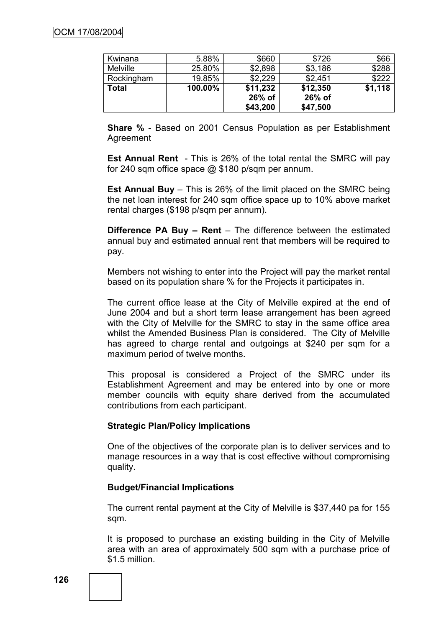| Kwinana         | 5.88%   | \$660    | \$726    | \$66    |
|-----------------|---------|----------|----------|---------|
| <b>Melville</b> | 25.80%  | \$2,898  | \$3,186  | \$288   |
| Rockingham      | 19.85%  | \$2,229  | \$2,451  | \$222   |
| Total           | 100.00% | \$11,232 | \$12,350 | \$1,118 |
|                 |         | 26% of   | $26%$ of |         |
|                 |         | \$43,200 | \$47,500 |         |

**Share %** - Based on 2001 Census Population as per Establishment Agreement

**Est Annual Rent** - This is 26% of the total rental the SMRC will pay for 240 sqm office space @ \$180 p/sqm per annum.

**Est Annual Buy** – This is 26% of the limit placed on the SMRC being the net loan interest for 240 sqm office space up to 10% above market rental charges (\$198 p/sqm per annum).

**Difference PA Buy – Rent** – The difference between the estimated annual buy and estimated annual rent that members will be required to pay.

Members not wishing to enter into the Project will pay the market rental based on its population share % for the Projects it participates in.

The current office lease at the City of Melville expired at the end of June 2004 and but a short term lease arrangement has been agreed with the City of Melville for the SMRC to stay in the same office area whilst the Amended Business Plan is considered. The City of Melville has agreed to charge rental and outgoings at \$240 per sqm for a maximum period of twelve months.

This proposal is considered a Project of the SMRC under its Establishment Agreement and may be entered into by one or more member councils with equity share derived from the accumulated contributions from each participant.

## **Strategic Plan/Policy Implications**

One of the objectives of the corporate plan is to deliver services and to manage resources in a way that is cost effective without compromising quality.

## **Budget/Financial Implications**

The current rental payment at the City of Melville is \$37,440 pa for 155 sqm.

It is proposed to purchase an existing building in the City of Melville area with an area of approximately 500 sqm with a purchase price of \$1.5 million.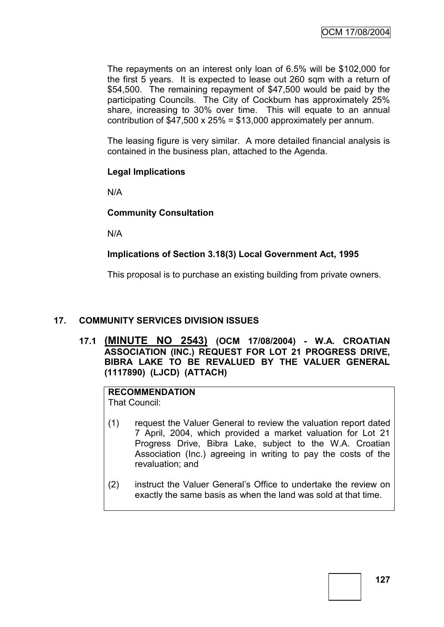The repayments on an interest only loan of 6.5% will be \$102,000 for the first 5 years. It is expected to lease out 260 sqm with a return of \$54,500. The remaining repayment of \$47,500 would be paid by the participating Councils. The City of Cockburn has approximately 25% share, increasing to 30% over time. This will equate to an annual contribution of  $$47,500 \times 25\% = $13,000$  approximately per annum.

The leasing figure is very similar. A more detailed financial analysis is contained in the business plan, attached to the Agenda.

## **Legal Implications**

N/A

## **Community Consultation**

N/A

## **Implications of Section 3.18(3) Local Government Act, 1995**

This proposal is to purchase an existing building from private owners.

## **17. COMMUNITY SERVICES DIVISION ISSUES**

**17.1 (MINUTE NO 2543) (OCM 17/08/2004) - W.A. CROATIAN ASSOCIATION (INC.) REQUEST FOR LOT 21 PROGRESS DRIVE, BIBRA LAKE TO BE REVALUED BY THE VALUER GENERAL (1117890) (LJCD) (ATTACH)**

# **RECOMMENDATION**

That Council:

- (1) request the Valuer General to review the valuation report dated 7 April, 2004, which provided a market valuation for Lot 21 Progress Drive, Bibra Lake, subject to the W.A. Croatian Association (Inc.) agreeing in writing to pay the costs of the revaluation; and
- (2) instruct the Valuer General"s Office to undertake the review on exactly the same basis as when the land was sold at that time.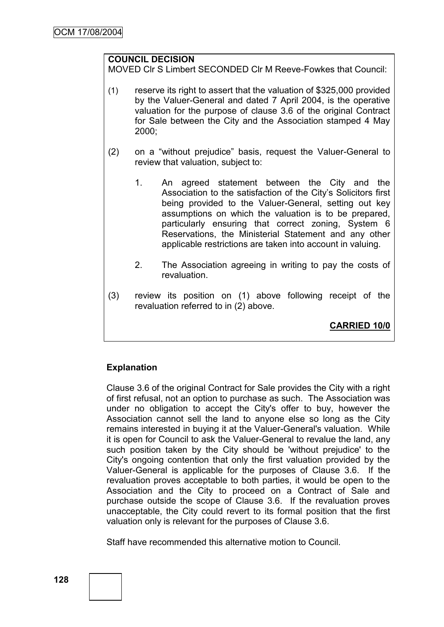## **COUNCIL DECISION**

MOVED Clr S Limbert SECONDED Clr M Reeve-Fowkes that Council:

- (1) reserve its right to assert that the valuation of \$325,000 provided by the Valuer-General and dated 7 April 2004, is the operative valuation for the purpose of clause 3.6 of the original Contract for Sale between the City and the Association stamped 4 May 2000;
- (2) on a "without prejudice" basis, request the Valuer-General to review that valuation, subject to:
	- 1. An agreed statement between the City and the Association to the satisfaction of the City"s Solicitors first being provided to the Valuer-General, setting out key assumptions on which the valuation is to be prepared, particularly ensuring that correct zoning, System 6 Reservations, the Ministerial Statement and any other applicable restrictions are taken into account in valuing.
	- 2. The Association agreeing in writing to pay the costs of revaluation.
- (3) review its position on (1) above following receipt of the revaluation referred to in (2) above.

**CARRIED 10/0**

# **Explanation**

Clause 3.6 of the original Contract for Sale provides the City with a right of first refusal, not an option to purchase as such. The Association was under no obligation to accept the City's offer to buy, however the Association cannot sell the land to anyone else so long as the City remains interested in buying it at the Valuer-General's valuation. While it is open for Council to ask the Valuer-General to revalue the land, any such position taken by the City should be 'without prejudice' to the City's ongoing contention that only the first valuation provided by the Valuer-General is applicable for the purposes of Clause 3.6. If the revaluation proves acceptable to both parties, it would be open to the Association and the City to proceed on a Contract of Sale and purchase outside the scope of Clause 3.6. If the revaluation proves unacceptable, the City could revert to its formal position that the first valuation only is relevant for the purposes of Clause 3.6.

Staff have recommended this alternative motion to Council.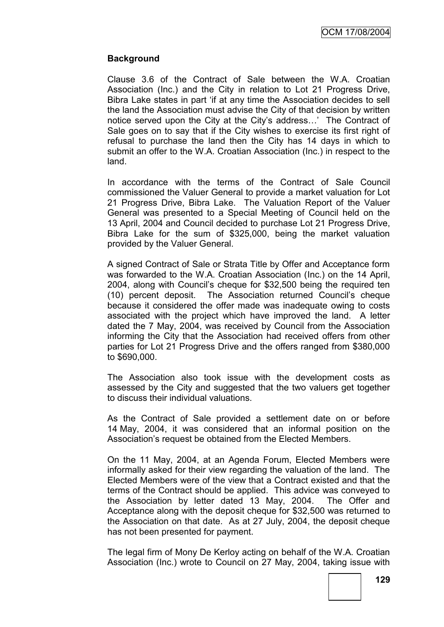OCM 17/08/2004

## **Background**

Clause 3.6 of the Contract of Sale between the W.A. Croatian Association (Inc.) and the City in relation to Lot 21 Progress Drive, Bibra Lake states in part "if at any time the Association decides to sell the land the Association must advise the City of that decision by written notice served upon the City at the City's address...' The Contract of Sale goes on to say that if the City wishes to exercise its first right of refusal to purchase the land then the City has 14 days in which to submit an offer to the W.A. Croatian Association (Inc.) in respect to the land.

In accordance with the terms of the Contract of Sale Council commissioned the Valuer General to provide a market valuation for Lot 21 Progress Drive, Bibra Lake. The Valuation Report of the Valuer General was presented to a Special Meeting of Council held on the 13 April, 2004 and Council decided to purchase Lot 21 Progress Drive, Bibra Lake for the sum of \$325,000, being the market valuation provided by the Valuer General.

A signed Contract of Sale or Strata Title by Offer and Acceptance form was forwarded to the W.A. Croatian Association (Inc.) on the 14 April, 2004, along with Council"s cheque for \$32,500 being the required ten (10) percent deposit. The Association returned Council"s cheque because it considered the offer made was inadequate owing to costs associated with the project which have improved the land. A letter dated the 7 May, 2004, was received by Council from the Association informing the City that the Association had received offers from other parties for Lot 21 Progress Drive and the offers ranged from \$380,000 to \$690,000.

The Association also took issue with the development costs as assessed by the City and suggested that the two valuers get together to discuss their individual valuations.

As the Contract of Sale provided a settlement date on or before 14 May, 2004, it was considered that an informal position on the Association"s request be obtained from the Elected Members.

On the 11 May, 2004, at an Agenda Forum, Elected Members were informally asked for their view regarding the valuation of the land. The Elected Members were of the view that a Contract existed and that the terms of the Contract should be applied. This advice was conveyed to the Association by letter dated 13 May, 2004. The Offer and Acceptance along with the deposit cheque for \$32,500 was returned to the Association on that date. As at 27 July, 2004, the deposit cheque has not been presented for payment.

The legal firm of Mony De Kerloy acting on behalf of the W.A. Croatian Association (Inc.) wrote to Council on 27 May, 2004, taking issue with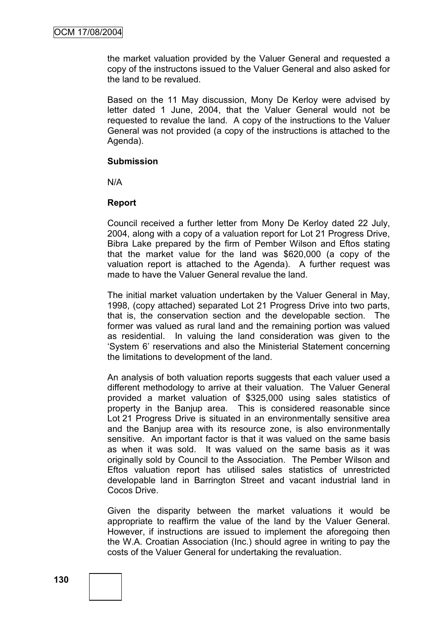the market valuation provided by the Valuer General and requested a copy of the instructons issued to the Valuer General and also asked for the land to be revalued.

Based on the 11 May discussion, Mony De Kerloy were advised by letter dated 1 June, 2004, that the Valuer General would not be requested to revalue the land. A copy of the instructions to the Valuer General was not provided (a copy of the instructions is attached to the Agenda).

#### **Submission**

N/A

## **Report**

Council received a further letter from Mony De Kerloy dated 22 July, 2004, along with a copy of a valuation report for Lot 21 Progress Drive, Bibra Lake prepared by the firm of Pember Wilson and Eftos stating that the market value for the land was \$620,000 (a copy of the valuation report is attached to the Agenda). A further request was made to have the Valuer General revalue the land.

The initial market valuation undertaken by the Valuer General in May, 1998, (copy attached) separated Lot 21 Progress Drive into two parts, that is, the conservation section and the developable section. The former was valued as rural land and the remaining portion was valued as residential. In valuing the land consideration was given to the "System 6" reservations and also the Ministerial Statement concerning the limitations to development of the land.

An analysis of both valuation reports suggests that each valuer used a different methodology to arrive at their valuation. The Valuer General provided a market valuation of \$325,000 using sales statistics of property in the Banjup area. This is considered reasonable since Lot 21 Progress Drive is situated in an environmentally sensitive area and the Banjup area with its resource zone, is also environmentally sensitive. An important factor is that it was valued on the same basis as when it was sold. It was valued on the same basis as it was originally sold by Council to the Association. The Pember Wilson and Eftos valuation report has utilised sales statistics of unrestricted developable land in Barrington Street and vacant industrial land in Cocos Drive.

Given the disparity between the market valuations it would be appropriate to reaffirm the value of the land by the Valuer General. However, if instructions are issued to implement the aforegoing then the W.A. Croatian Association (Inc.) should agree in writing to pay the costs of the Valuer General for undertaking the revaluation.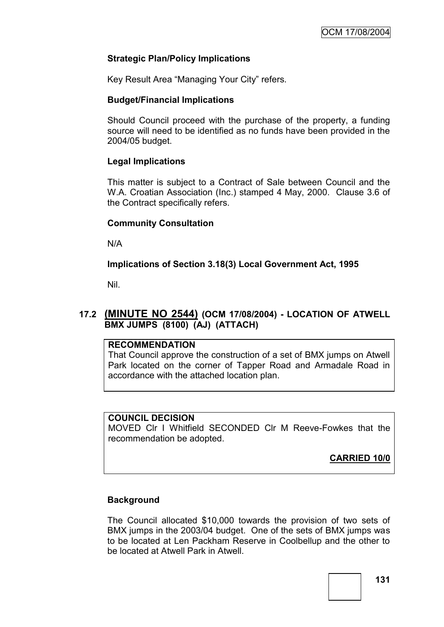## **Strategic Plan/Policy Implications**

Key Result Area "Managing Your City" refers.

#### **Budget/Financial Implications**

Should Council proceed with the purchase of the property, a funding source will need to be identified as no funds have been provided in the 2004/05 budget.

## **Legal Implications**

This matter is subject to a Contract of Sale between Council and the W.A. Croatian Association (Inc.) stamped 4 May, 2000. Clause 3.6 of the Contract specifically refers.

## **Community Consultation**

N/A

**Implications of Section 3.18(3) Local Government Act, 1995**

Nil.

# **17.2 (MINUTE NO 2544) (OCM 17/08/2004) - LOCATION OF ATWELL BMX JUMPS (8100) (AJ) (ATTACH)**

#### **RECOMMENDATION**

That Council approve the construction of a set of BMX jumps on Atwell Park located on the corner of Tapper Road and Armadale Road in accordance with the attached location plan.

## **COUNCIL DECISION**

MOVED Clr I Whitfield SECONDED Clr M Reeve-Fowkes that the recommendation be adopted.

**CARRIED 10/0**

## **Background**

The Council allocated \$10,000 towards the provision of two sets of BMX jumps in the 2003/04 budget. One of the sets of BMX jumps was to be located at Len Packham Reserve in Coolbellup and the other to be located at Atwell Park in Atwell.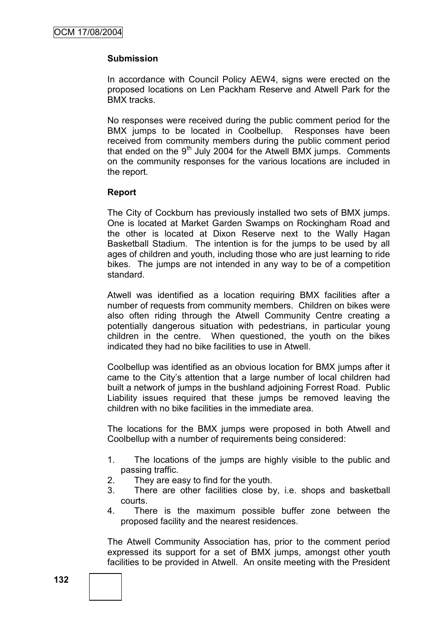## **Submission**

In accordance with Council Policy AEW4, signs were erected on the proposed locations on Len Packham Reserve and Atwell Park for the BMX tracks.

No responses were received during the public comment period for the BMX jumps to be located in Coolbellup. Responses have been received from community members during the public comment period that ended on the  $9<sup>th</sup>$  July 2004 for the Atwell BMX jumps. Comments on the community responses for the various locations are included in the report.

#### **Report**

The City of Cockburn has previously installed two sets of BMX jumps. One is located at Market Garden Swamps on Rockingham Road and the other is located at Dixon Reserve next to the Wally Hagan Basketball Stadium. The intention is for the jumps to be used by all ages of children and youth, including those who are just learning to ride bikes. The jumps are not intended in any way to be of a competition standard.

Atwell was identified as a location requiring BMX facilities after a number of requests from community members. Children on bikes were also often riding through the Atwell Community Centre creating a potentially dangerous situation with pedestrians, in particular young children in the centre. When questioned, the youth on the bikes indicated they had no bike facilities to use in Atwell.

Coolbellup was identified as an obvious location for BMX jumps after it came to the City"s attention that a large number of local children had built a network of jumps in the bushland adjoining Forrest Road. Public Liability issues required that these jumps be removed leaving the children with no bike facilities in the immediate area.

The locations for the BMX jumps were proposed in both Atwell and Coolbellup with a number of requirements being considered:

- 1. The locations of the jumps are highly visible to the public and passing traffic.
- 2. They are easy to find for the youth.
- 3. There are other facilities close by, i.e. shops and basketball courts.
- 4. There is the maximum possible buffer zone between the proposed facility and the nearest residences.

The Atwell Community Association has, prior to the comment period expressed its support for a set of BMX jumps, amongst other youth facilities to be provided in Atwell. An onsite meeting with the President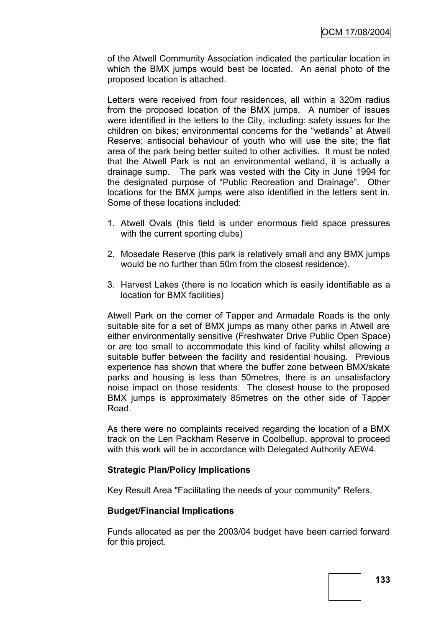of the Atwell Community Association indicated the particular location in which the BMX jumps would best be located. An aerial photo of the proposed location is attached.

Letters were received from four residences, all within a 320m radius from the proposed location of the BMX jumps. A number of issues were identified in the letters to the City, including: safety issues for the children on bikes; environmental concerns for the "wetlands" at Atwell Reserve; antisocial behaviour of youth who will use the site; the flat area of the park being better suited to other activities. It must be noted that the Atwell Park is not an environmental wetland, it is actually a drainage sump. The park was vested with the City in June 1994 for the designated purpose of "Public Recreation and Drainage". Other locations for the BMX jumps were also identified in the letters sent in. Some of these locations included:

- 1. Atwell Ovals (this field is under enormous field space pressures with the current sporting clubs)
- 2. Mosedale Reserve (this park is relatively small and any BMX jumps would be no further than 50m from the closest residence).
- 3. Harvest Lakes (there is no location which is easily identifiable as a location for BMX facilities)

Atwell Park on the corner of Tapper and Armadale Roads is the only suitable site for a set of BMX jumps as many other parks in Atwell are either environmentally sensitive (Freshwater Drive Public Open Space) or are too small to accommodate this kind of facility whilst allowing a suitable buffer between the facility and residential housing. Previous experience has shown that where the buffer zone between BMX/skate parks and housing is less than 50metres, there is an unsatisfactory noise impact on those residents. The closest house to the proposed BMX jumps is approximately 85metres on the other side of Tapper Road.

As there were no complaints received regarding the location of a BMX track on the Len Packham Reserve in Coolbellup, approval to proceed with this work will be in accordance with Delegated Authority AEW4.

#### **Strategic Plan/Policy Implications**

Key Result Area "Facilitating the needs of your community" Refers.

#### **Budget/Financial Implications**

Funds allocated as per the 2003/04 budget have been carried forward for this project.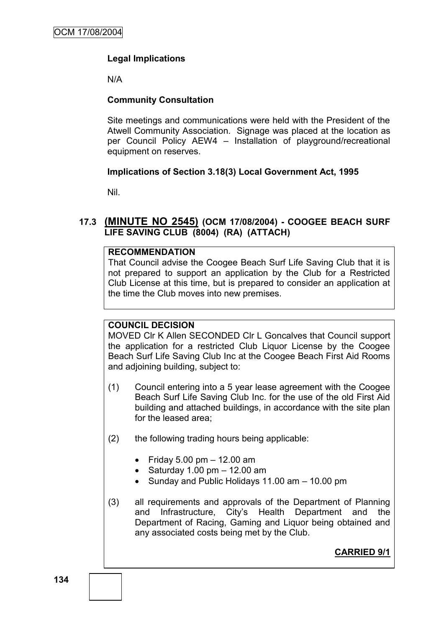# **Legal Implications**

N/A

## **Community Consultation**

Site meetings and communications were held with the President of the Atwell Community Association. Signage was placed at the location as per Council Policy AEW4 – Installation of playground/recreational equipment on reserves.

#### **Implications of Section 3.18(3) Local Government Act, 1995**

Nil.

# **17.3 (MINUTE NO 2545) (OCM 17/08/2004) - COOGEE BEACH SURF LIFE SAVING CLUB (8004) (RA) (ATTACH)**

#### **RECOMMENDATION**

That Council advise the Coogee Beach Surf Life Saving Club that it is not prepared to support an application by the Club for a Restricted Club License at this time, but is prepared to consider an application at the time the Club moves into new premises.

## **COUNCIL DECISION**

MOVED Clr K Allen SECONDED Clr L Goncalves that Council support the application for a restricted Club Liquor License by the Coogee Beach Surf Life Saving Club Inc at the Coogee Beach First Aid Rooms and adjoining building, subject to:

- (1) Council entering into a 5 year lease agreement with the Coogee Beach Surf Life Saving Club Inc. for the use of the old First Aid building and attached buildings, in accordance with the site plan for the leased area;
- (2) the following trading hours being applicable:
	- $\bullet$  Friday 5.00 pm  $-$  12.00 am
	- $\bullet$  Saturday 1.00 pm  $-$  12.00 am
	- Sunday and Public Holidays 11.00 am 10.00 pm
- (3) all requirements and approvals of the Department of Planning and Infrastructure, City"s Health Department and the Department of Racing, Gaming and Liquor being obtained and any associated costs being met by the Club.

**CARRIED 9/1**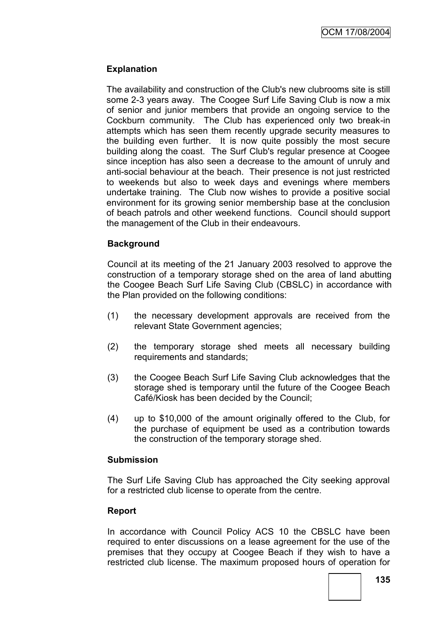## **Explanation**

The availability and construction of the Club's new clubrooms site is still some 2-3 years away. The Coogee Surf Life Saving Club is now a mix of senior and junior members that provide an ongoing service to the Cockburn community. The Club has experienced only two break-in attempts which has seen them recently upgrade security measures to the building even further. It is now quite possibly the most secure building along the coast. The Surf Club's regular presence at Coogee since inception has also seen a decrease to the amount of unruly and anti-social behaviour at the beach. Their presence is not just restricted to weekends but also to week days and evenings where members undertake training. The Club now wishes to provide a positive social environment for its growing senior membership base at the conclusion of beach patrols and other weekend functions. Council should support the management of the Club in their endeavours.

## **Background**

Council at its meeting of the 21 January 2003 resolved to approve the construction of a temporary storage shed on the area of land abutting the Coogee Beach Surf Life Saving Club (CBSLC) in accordance with the Plan provided on the following conditions:

- (1) the necessary development approvals are received from the relevant State Government agencies;
- (2) the temporary storage shed meets all necessary building requirements and standards;
- (3) the Coogee Beach Surf Life Saving Club acknowledges that the storage shed is temporary until the future of the Coogee Beach Café/Kiosk has been decided by the Council;
- (4) up to \$10,000 of the amount originally offered to the Club, for the purchase of equipment be used as a contribution towards the construction of the temporary storage shed.

## **Submission**

The Surf Life Saving Club has approached the City seeking approval for a restricted club license to operate from the centre.

## **Report**

In accordance with Council Policy ACS 10 the CBSLC have been required to enter discussions on a lease agreement for the use of the premises that they occupy at Coogee Beach if they wish to have a restricted club license. The maximum proposed hours of operation for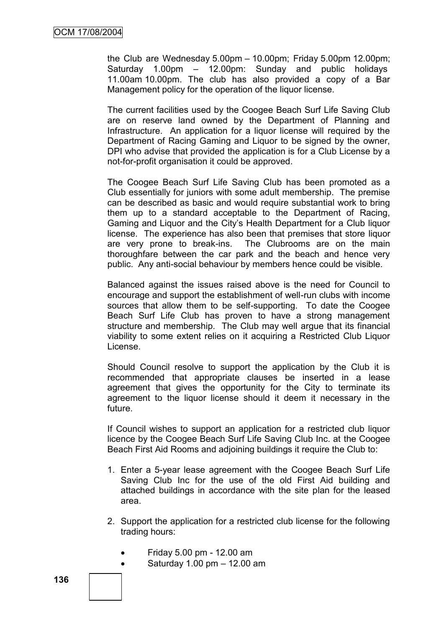the Club are Wednesday  $5.00 \text{pm} - 10.00 \text{pm}$ ; Friday  $5.00 \text{pm}$  12.00 $\text{pm}$ ; Saturday 1.00pm – 12.00pm: Sunday and public holidays 11.00am 10.00pm. The club has also provided a copy of a Bar Management policy for the operation of the liquor license.

The current facilities used by the Coogee Beach Surf Life Saving Club are on reserve land owned by the Department of Planning and Infrastructure. An application for a liquor license will required by the Department of Racing Gaming and Liquor to be signed by the owner, DPI who advise that provided the application is for a Club License by a not-for-profit organisation it could be approved.

The Coogee Beach Surf Life Saving Club has been promoted as a Club essentially for juniors with some adult membership. The premise can be described as basic and would require substantial work to bring them up to a standard acceptable to the Department of Racing, Gaming and Liquor and the City"s Health Department for a Club liquor license. The experience has also been that premises that store liquor are very prone to break-ins. The Clubrooms are on the main thoroughfare between the car park and the beach and hence very public. Any anti-social behaviour by members hence could be visible.

Balanced against the issues raised above is the need for Council to encourage and support the establishment of well-run clubs with income sources that allow them to be self-supporting. To date the Coogee Beach Surf Life Club has proven to have a strong management structure and membership. The Club may well argue that its financial viability to some extent relies on it acquiring a Restricted Club Liquor License.

Should Council resolve to support the application by the Club it is recommended that appropriate clauses be inserted in a lease agreement that gives the opportunity for the City to terminate its agreement to the liquor license should it deem it necessary in the future.

If Council wishes to support an application for a restricted club liquor licence by the Coogee Beach Surf Life Saving Club Inc. at the Coogee Beach First Aid Rooms and adjoining buildings it require the Club to:

- 1. Enter a 5-year lease agreement with the Coogee Beach Surf Life Saving Club Inc for the use of the old First Aid building and attached buildings in accordance with the site plan for the leased area.
- 2. Support the application for a restricted club license for the following trading hours:
	- Friday 5.00 pm 12.00 am
	- $\bullet$  Saturday 1.00 pm  $-$  12.00 am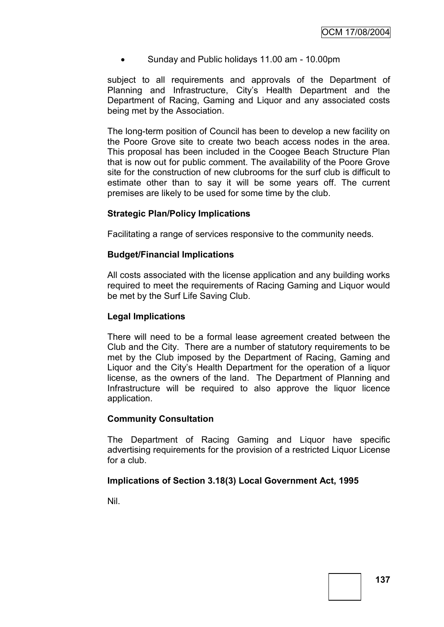Sunday and Public holidays 11.00 am - 10.00pm

subject to all requirements and approvals of the Department of Planning and Infrastructure, City"s Health Department and the Department of Racing, Gaming and Liquor and any associated costs being met by the Association.

The long-term position of Council has been to develop a new facility on the Poore Grove site to create two beach access nodes in the area. This proposal has been included in the Coogee Beach Structure Plan that is now out for public comment. The availability of the Poore Grove site for the construction of new clubrooms for the surf club is difficult to estimate other than to say it will be some years off. The current premises are likely to be used for some time by the club.

#### **Strategic Plan/Policy Implications**

Facilitating a range of services responsive to the community needs.

#### **Budget/Financial Implications**

All costs associated with the license application and any building works required to meet the requirements of Racing Gaming and Liquor would be met by the Surf Life Saving Club.

#### **Legal Implications**

There will need to be a formal lease agreement created between the Club and the City. There are a number of statutory requirements to be met by the Club imposed by the Department of Racing, Gaming and Liquor and the City"s Health Department for the operation of a liquor license, as the owners of the land. The Department of Planning and Infrastructure will be required to also approve the liquor licence application.

#### **Community Consultation**

The Department of Racing Gaming and Liquor have specific advertising requirements for the provision of a restricted Liquor License for a club.

## **Implications of Section 3.18(3) Local Government Act, 1995**

Nil.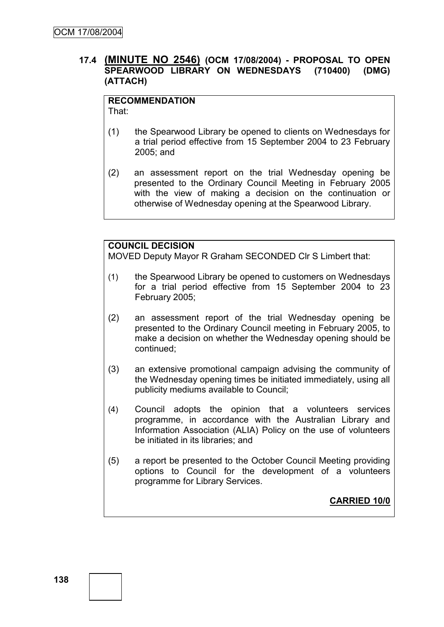## **17.4 (MINUTE NO 2546) (OCM 17/08/2004) - PROPOSAL TO OPEN SPEARWOOD LIBRARY ON WEDNESDAYS (710400) (DMG) (ATTACH)**

# **RECOMMENDATION**

That:

- (1) the Spearwood Library be opened to clients on Wednesdays for a trial period effective from 15 September 2004 to 23 February 2005; and
- (2) an assessment report on the trial Wednesday opening be presented to the Ordinary Council Meeting in February 2005 with the view of making a decision on the continuation or otherwise of Wednesday opening at the Spearwood Library.

# **COUNCIL DECISION**

MOVED Deputy Mayor R Graham SECONDED Clr S Limbert that:

- (1) the Spearwood Library be opened to customers on Wednesdays for a trial period effective from 15 September 2004 to 23 February 2005;
- (2) an assessment report of the trial Wednesday opening be presented to the Ordinary Council meeting in February 2005, to make a decision on whether the Wednesday opening should be continued;
- (3) an extensive promotional campaign advising the community of the Wednesday opening times be initiated immediately, using all publicity mediums available to Council;
- (4) Council adopts the opinion that a volunteers services programme, in accordance with the Australian Library and Information Association (ALIA) Policy on the use of volunteers be initiated in its libraries; and
- (5) a report be presented to the October Council Meeting providing options to Council for the development of a volunteers programme for Library Services.

**CARRIED 10/0**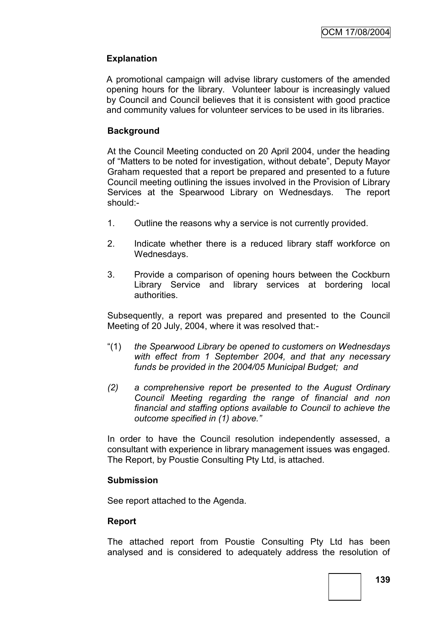# **Explanation**

A promotional campaign will advise library customers of the amended opening hours for the library. Volunteer labour is increasingly valued by Council and Council believes that it is consistent with good practice and community values for volunteer services to be used in its libraries.

## **Background**

At the Council Meeting conducted on 20 April 2004, under the heading of "Matters to be noted for investigation, without debate", Deputy Mayor Graham requested that a report be prepared and presented to a future Council meeting outlining the issues involved in the Provision of Library Services at the Spearwood Library on Wednesdays. The report should:-

- 1. Outline the reasons why a service is not currently provided.
- 2. Indicate whether there is a reduced library staff workforce on Wednesdays.
- 3. Provide a comparison of opening hours between the Cockburn Library Service and library services at bordering local authorities.

Subsequently, a report was prepared and presented to the Council Meeting of 20 July, 2004, where it was resolved that:-

- "(1) *the Spearwood Library be opened to customers on Wednesdays with effect from 1 September 2004, and that any necessary funds be provided in the 2004/05 Municipal Budget; and*
- *(2) a comprehensive report be presented to the August Ordinary Council Meeting regarding the range of financial and non financial and staffing options available to Council to achieve the outcome specified in (1) above."*

In order to have the Council resolution independently assessed, a consultant with experience in library management issues was engaged. The Report, by Poustie Consulting Pty Ltd, is attached.

#### **Submission**

See report attached to the Agenda.

#### **Report**

The attached report from Poustie Consulting Pty Ltd has been analysed and is considered to adequately address the resolution of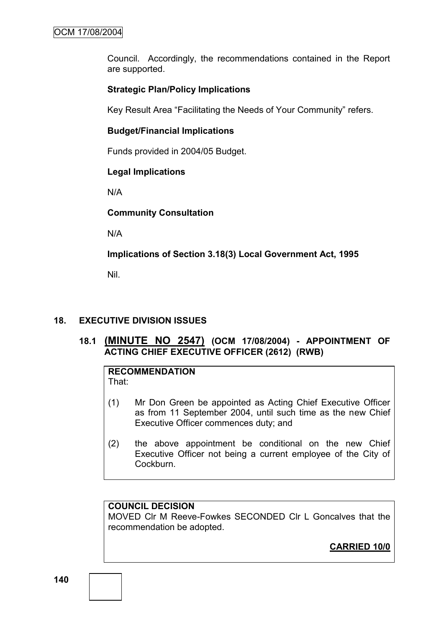Council. Accordingly, the recommendations contained in the Report are supported.

## **Strategic Plan/Policy Implications**

Key Result Area "Facilitating the Needs of Your Community" refers.

## **Budget/Financial Implications**

Funds provided in 2004/05 Budget.

## **Legal Implications**

N/A

## **Community Consultation**

N/A

# **Implications of Section 3.18(3) Local Government Act, 1995**

Nil.

# **18. EXECUTIVE DIVISION ISSUES**

# **18.1 (MINUTE NO 2547) (OCM 17/08/2004) - APPOINTMENT OF ACTING CHIEF EXECUTIVE OFFICER (2612) (RWB)**

#### **RECOMMENDATION** That:

- (1) Mr Don Green be appointed as Acting Chief Executive Officer as from 11 September 2004, until such time as the new Chief Executive Officer commences duty; and
- (2) the above appointment be conditional on the new Chief Executive Officer not being a current employee of the City of **Cockburn**

# **COUNCIL DECISION**

MOVED Clr M Reeve-Fowkes SECONDED Clr L Goncalves that the recommendation be adopted.

**CARRIED 10/0**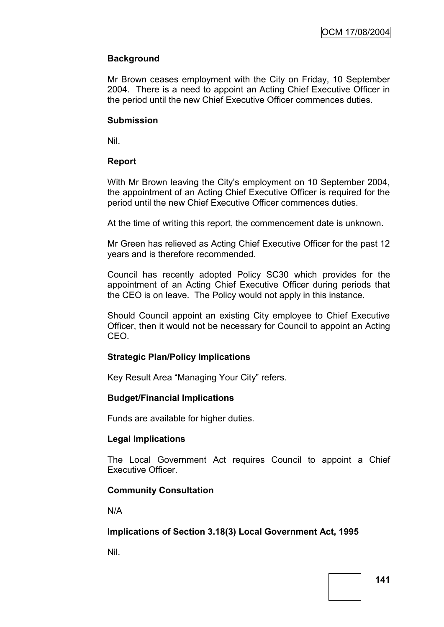## **Background**

Mr Brown ceases employment with the City on Friday, 10 September 2004. There is a need to appoint an Acting Chief Executive Officer in the period until the new Chief Executive Officer commences duties.

#### **Submission**

Nil.

## **Report**

With Mr Brown leaving the City's employment on 10 September 2004, the appointment of an Acting Chief Executive Officer is required for the period until the new Chief Executive Officer commences duties.

At the time of writing this report, the commencement date is unknown.

Mr Green has relieved as Acting Chief Executive Officer for the past 12 years and is therefore recommended.

Council has recently adopted Policy SC30 which provides for the appointment of an Acting Chief Executive Officer during periods that the CEO is on leave. The Policy would not apply in this instance.

Should Council appoint an existing City employee to Chief Executive Officer, then it would not be necessary for Council to appoint an Acting CEO.

### **Strategic Plan/Policy Implications**

Key Result Area "Managing Your City" refers.

### **Budget/Financial Implications**

Funds are available for higher duties.

### **Legal Implications**

The Local Government Act requires Council to appoint a Chief Executive Officer.

# **Community Consultation**

N/A

### **Implications of Section 3.18(3) Local Government Act, 1995**

Nil.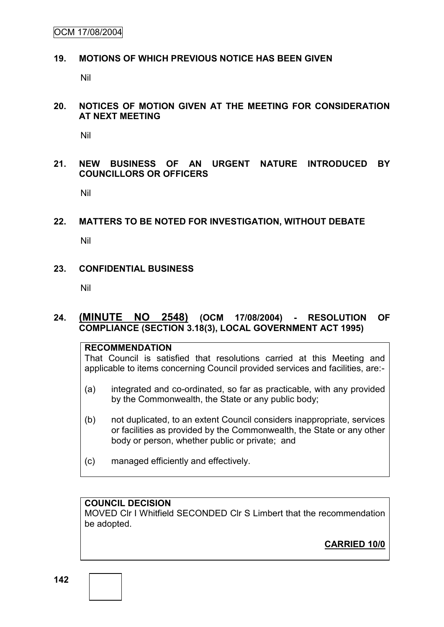OCM 17/08/2004

#### **19. MOTIONS OF WHICH PREVIOUS NOTICE HAS BEEN GIVEN**

Nil

#### **20. NOTICES OF MOTION GIVEN AT THE MEETING FOR CONSIDERATION AT NEXT MEETING**

Nil

### **21. NEW BUSINESS OF AN URGENT NATURE INTRODUCED BY COUNCILLORS OR OFFICERS**

Nil

### **22. MATTERS TO BE NOTED FOR INVESTIGATION, WITHOUT DEBATE**

Nil

#### **23. CONFIDENTIAL BUSINESS**

Nil

### **24. (MINUTE NO 2548) (OCM 17/08/2004) - RESOLUTION OF COMPLIANCE (SECTION 3.18(3), LOCAL GOVERNMENT ACT 1995)**

#### **RECOMMENDATION**

That Council is satisfied that resolutions carried at this Meeting and applicable to items concerning Council provided services and facilities, are:-

- (a) integrated and co-ordinated, so far as practicable, with any provided by the Commonwealth, the State or any public body;
- (b) not duplicated, to an extent Council considers inappropriate, services or facilities as provided by the Commonwealth, the State or any other body or person, whether public or private; and
- (c) managed efficiently and effectively.

### **COUNCIL DECISION**

MOVED Clr I Whitfield SECONDED Clr S Limbert that the recommendation be adopted.

**CARRIED 10/0**

**142**